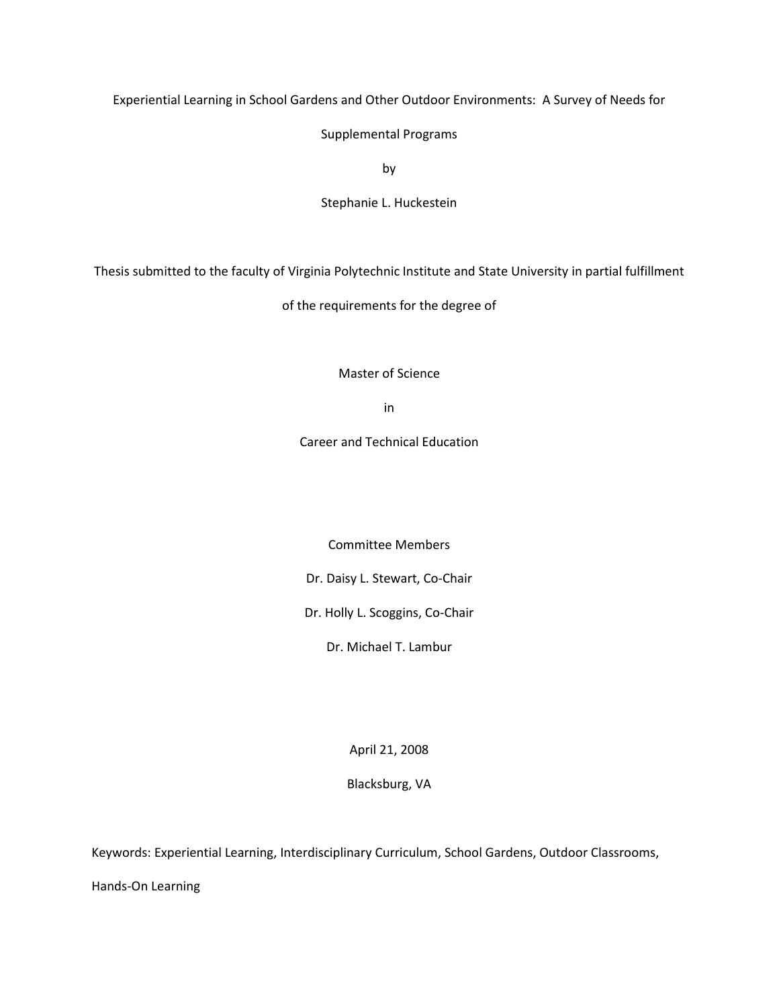Experiential Learning in School Gardens and Other Outdoor Environments: A Survey of Needs for

Supplemental Programs

by

Stephanie L. Huckestein

Thesis submitted to the faculty of Virginia Polytechnic Institute and State University in partial fulfillment

of the requirements for the degree of

Master of Science

in

Career and Technical Education

Committee Members

Dr. Daisy L. Stewart, Co-Chair

Dr. Holly L. Scoggins, Co-Chair

Dr. Michael T. Lambur

April 21, 2008

Blacksburg, VA

Keywords: Experiential Learning, Interdisciplinary Curriculum, School Gardens, Outdoor Classrooms,

Hands-On Learning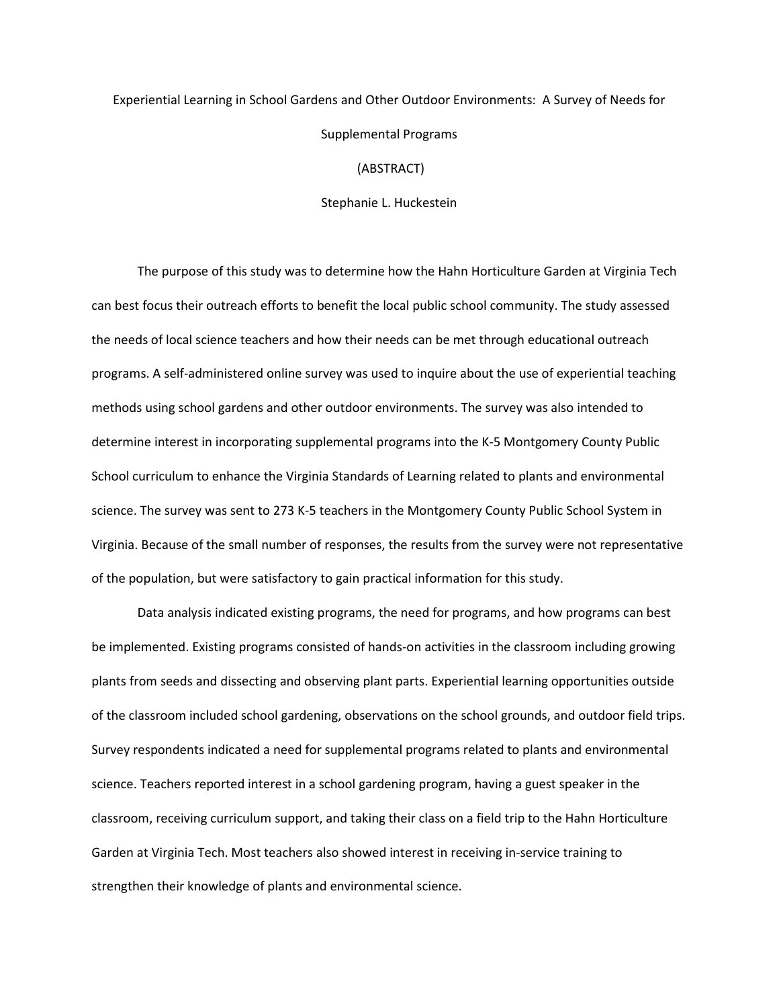## Experiential Learning in School Gardens and Other Outdoor Environments: A Survey of Needs for Supplemental Programs (ABSTRACT)

Stephanie L. Huckestein

The purpose of this study was to determine how the Hahn Horticulture Garden at Virginia Tech can best focus their outreach efforts to benefit the local public school community. The study assessed the needs of local science teachers and how their needs can be met through educational outreach programs. A self-administered online survey was used to inquire about the use of experiential teaching methods using school gardens and other outdoor environments. The survey was also intended to determine interest in incorporating supplemental programs into the K-5 Montgomery County Public School curriculum to enhance the Virginia Standards of Learning related to plants and environmental science. The survey was sent to 273 K-5 teachers in the Montgomery County Public School System in Virginia. Because of the small number of responses, the results from the survey were not representative of the population, but were satisfactory to gain practical information for this study.

Data analysis indicated existing programs, the need for programs, and how programs can best be implemented. Existing programs consisted of hands-on activities in the classroom including growing plants from seeds and dissecting and observing plant parts. Experiential learning opportunities outside of the classroom included school gardening, observations on the school grounds, and outdoor field trips. Survey respondents indicated a need for supplemental programs related to plants and environmental science. Teachers reported interest in a school gardening program, having a guest speaker in the classroom, receiving curriculum support, and taking their class on a field trip to the Hahn Horticulture Garden at Virginia Tech. Most teachers also showed interest in receiving in-service training to strengthen their knowledge of plants and environmental science.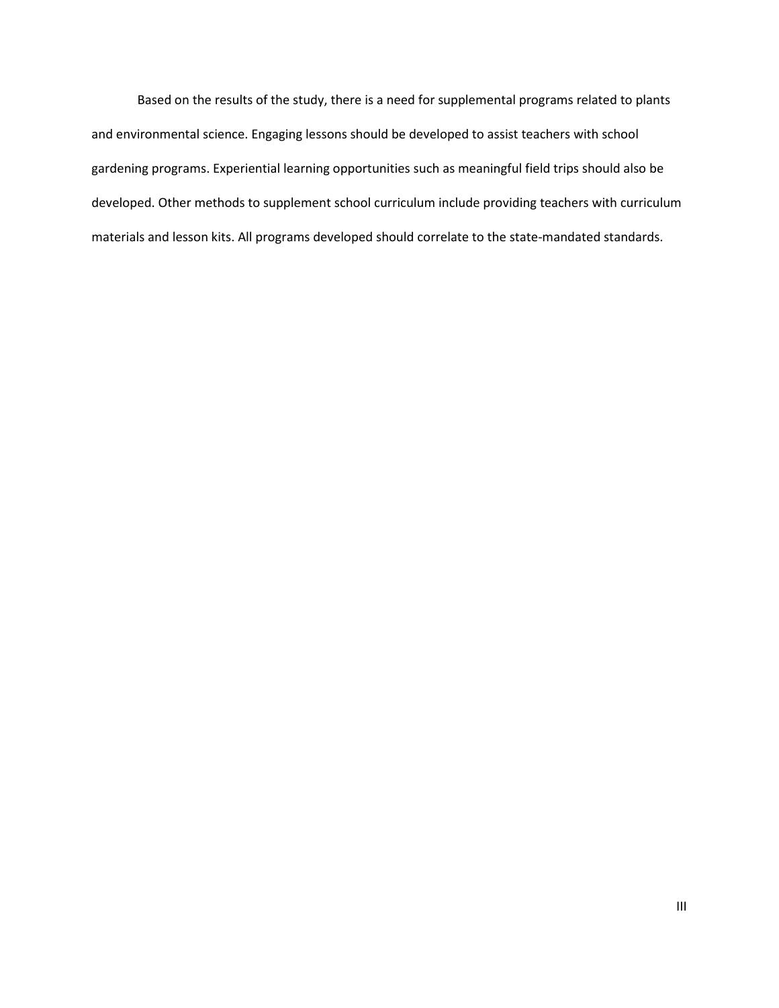Based on the results of the study, there is a need for supplemental programs related to plants and environmental science. Engaging lessons should be developed to assist teachers with school gardening programs. Experiential learning opportunities such as meaningful field trips should also be developed. Other methods to supplement school curriculum include providing teachers with curriculum materials and lesson kits. All programs developed should correlate to the state-mandated standards.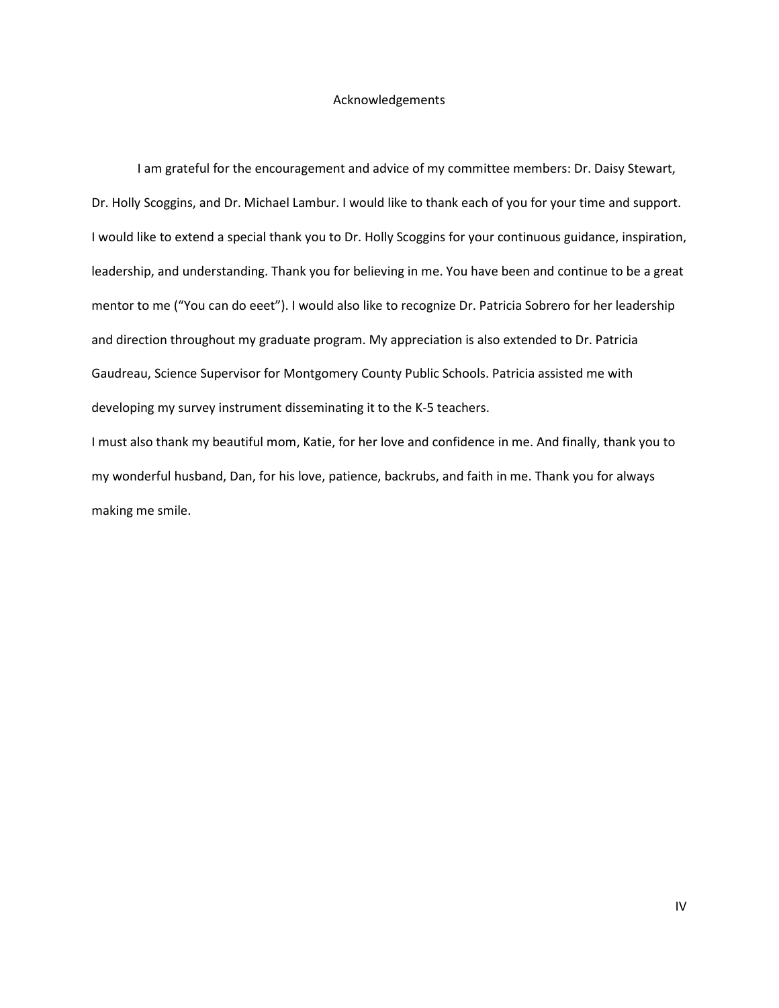#### Acknowledgements

 I am grateful for the encouragement and advice of my committee members: Dr. Daisy Stewart, Dr. Holly Scoggins, and Dr. Michael Lambur. I would like to thank each of you for your time and support. I would like to extend a special thank you to Dr. Holly Scoggins for your continuous guidance, inspiration, leadership, and understanding. Thank you for believing in me. You have been and continue to be a great mentor to me ("You can do eeet"). I would also like to recognize Dr. Patricia Sobrero for her leadership and direction throughout my graduate program. My appreciation is also extended to Dr. Patricia Gaudreau, Science Supervisor for Montgomery County Public Schools. Patricia assisted me with developing my survey instrument disseminating it to the K-5 teachers.

I must also thank my beautiful mom, Katie, for her love and confidence in me. And finally, thank you to my wonderful husband, Dan, for his love, patience, backrubs, and faith in me. Thank you for always making me smile.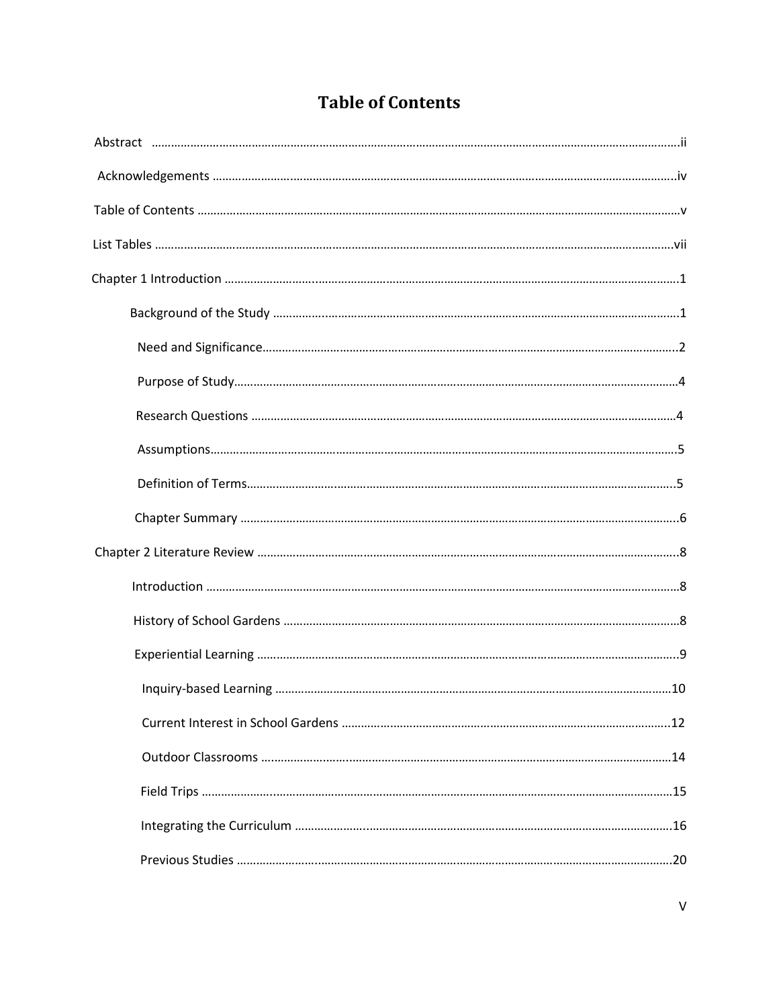|  | <b>Table of Contents</b> |
|--|--------------------------|
|--|--------------------------|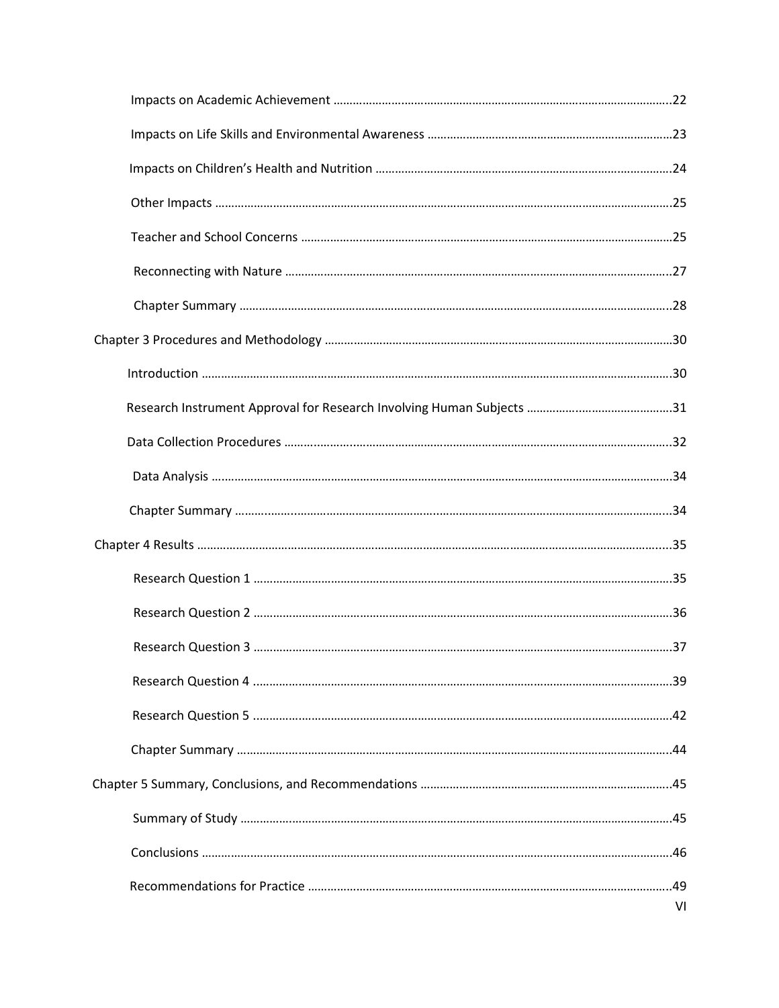|  | VI |
|--|----|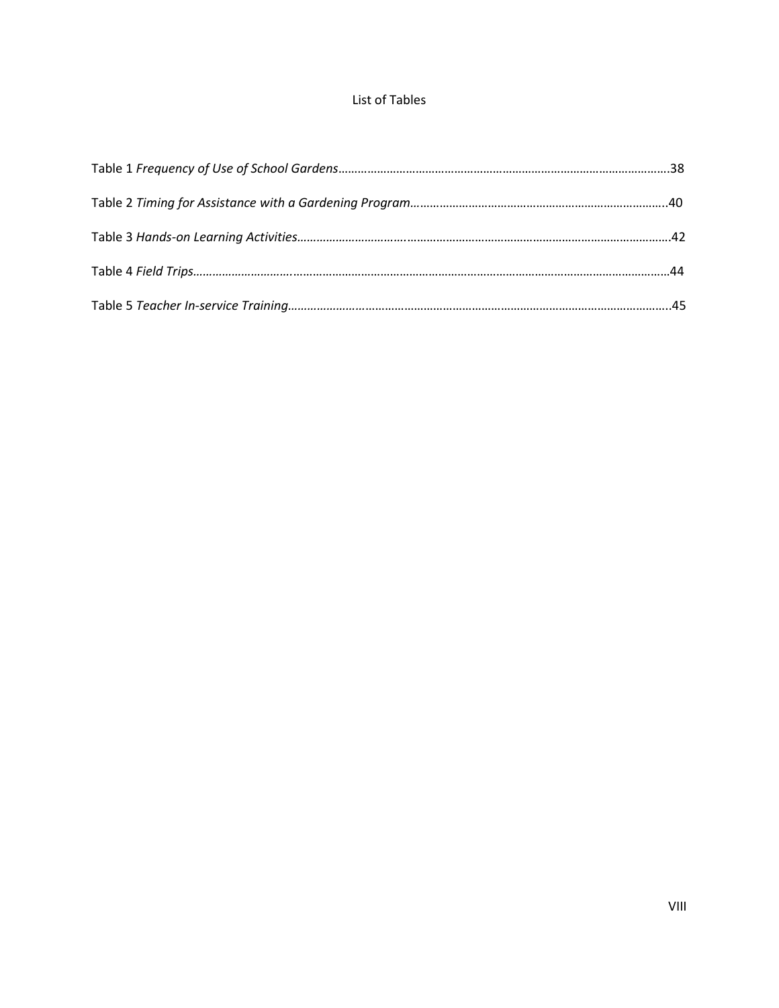### List of Tables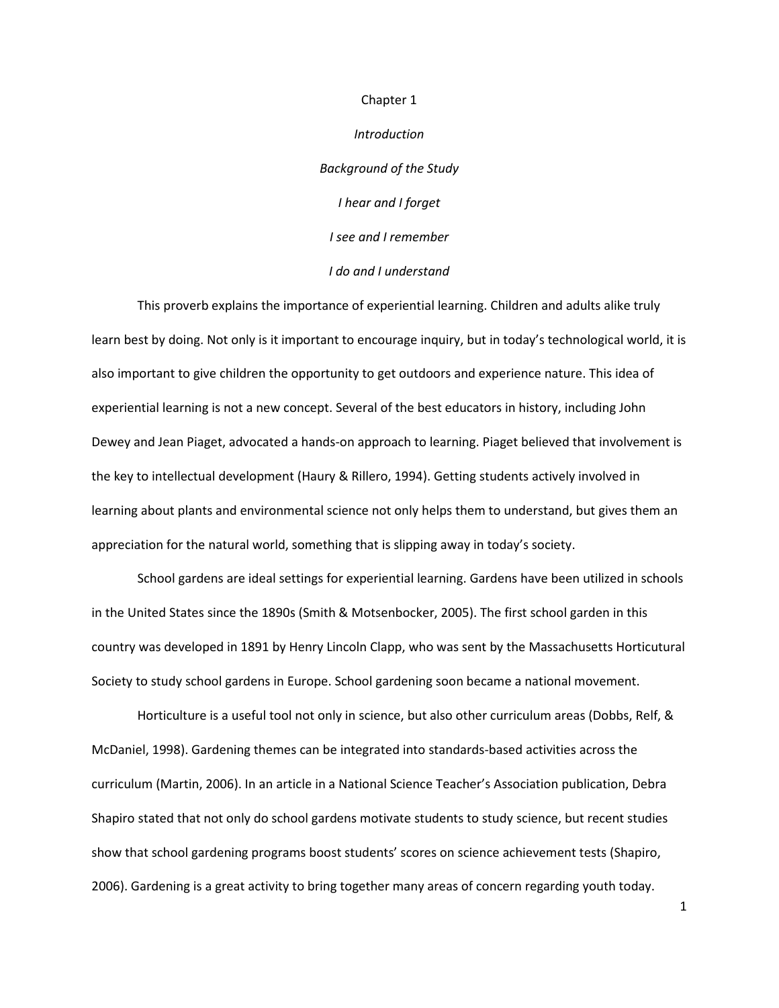# Introduction Background of the Study I hear and I forget I see and I remember I do and I understand

Chapter 1

 This proverb explains the importance of experiential learning. Children and adults alike truly learn best by doing. Not only is it important to encourage inquiry, but in today's technological world, it is also important to give children the opportunity to get outdoors and experience nature. This idea of experiential learning is not a new concept. Several of the best educators in history, including John Dewey and Jean Piaget, advocated a hands-on approach to learning. Piaget believed that involvement is the key to intellectual development (Haury & Rillero, 1994). Getting students actively involved in learning about plants and environmental science not only helps them to understand, but gives them an appreciation for the natural world, something that is slipping away in today's society.

School gardens are ideal settings for experiential learning. Gardens have been utilized in schools in the United States since the 1890s (Smith & Motsenbocker, 2005). The first school garden in this country was developed in 1891 by Henry Lincoln Clapp, who was sent by the Massachusetts Horticutural Society to study school gardens in Europe. School gardening soon became a national movement.

Horticulture is a useful tool not only in science, but also other curriculum areas (Dobbs, Relf, & McDaniel, 1998). Gardening themes can be integrated into standards-based activities across the curriculum (Martin, 2006). In an article in a National Science Teacher's Association publication, Debra Shapiro stated that not only do school gardens motivate students to study science, but recent studies show that school gardening programs boost students' scores on science achievement tests (Shapiro, 2006). Gardening is a great activity to bring together many areas of concern regarding youth today.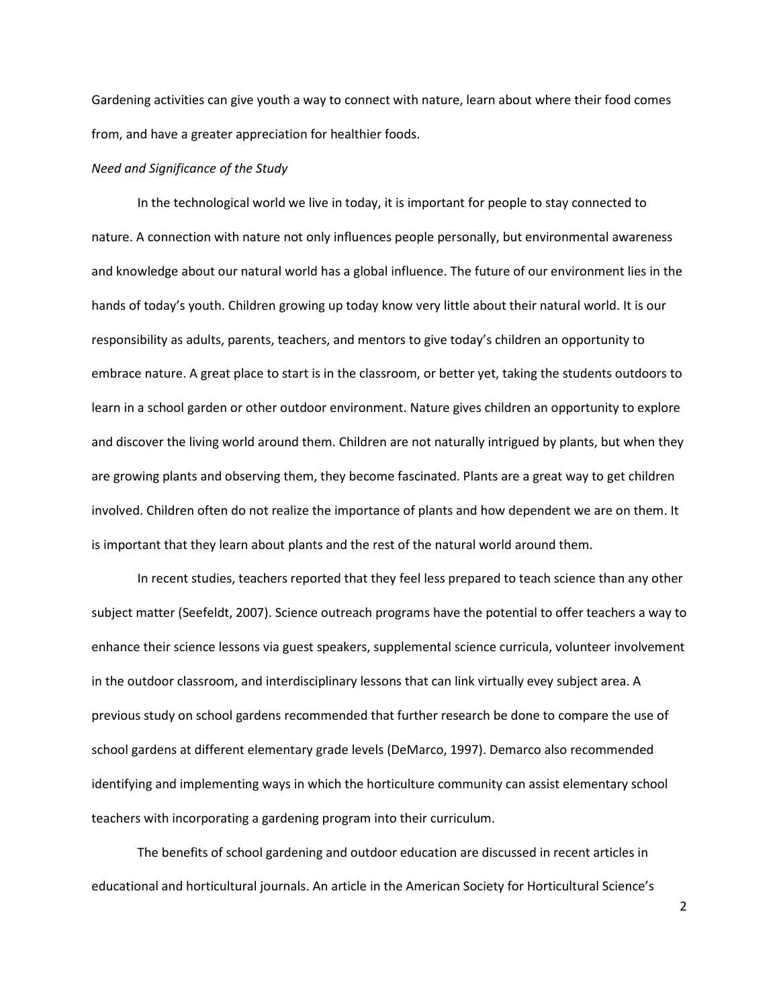Gardening activities can give youth a way to connect with nature, learn about where their food comes from, and have a greater appreciation for healthier foods.

#### Need and Significance of the Study

In the technological world we live in today, it is important for people to stay connected to nature. A connection with nature not only influences people personally, but environmental awareness and knowledge about our natural world has a global influence. The future of our environment lies in the hands of today's youth. Children growing up today know very little about their natural world. It is our responsibility as adults, parents, teachers, and mentors to give today's children an opportunity to embrace nature. A great place to start is in the classroom, or better yet, taking the students outdoors to learn in a school garden or other outdoor environment. Nature gives children an opportunity to explore and discover the living world around them. Children are not naturally intrigued by plants, but when they are growing plants and observing them, they become fascinated. Plants are a great way to get children involved. Children often do not realize the importance of plants and how dependent we are on them. It is important that they learn about plants and the rest of the natural world around them.

In recent studies, teachers reported that they feel less prepared to teach science than any other subject matter (Seefeldt, 2007). Science outreach programs have the potential to offer teachers a way to enhance their science lessons via guest speakers, supplemental science curricula, volunteer involvement in the outdoor classroom, and interdisciplinary lessons that can link virtually evey subject area. A previous study on school gardens recommended that further research be done to compare the use of school gardens at different elementary grade levels (DeMarco, 1997). Demarco also recommended identifying and implementing ways in which the horticulture community can assist elementary school teachers with incorporating a gardening program into their curriculum.

The benefits of school gardening and outdoor education are discussed in recent articles in educational and horticultural journals. An article in the American Society for Horticultural Science's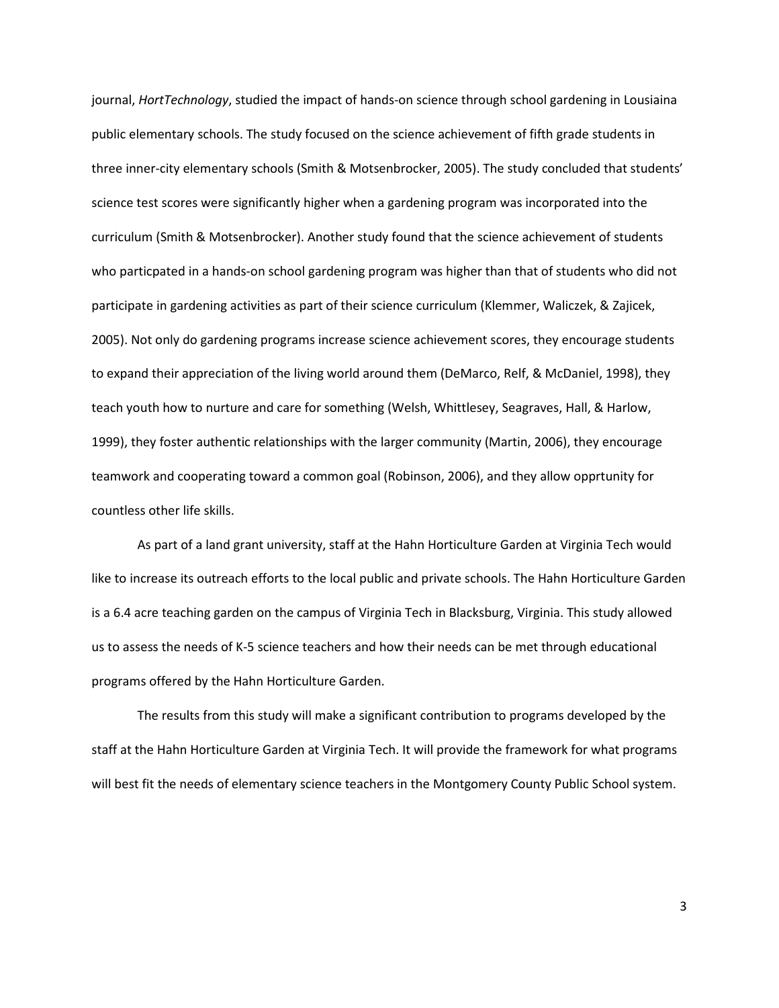journal, HortTechnology, studied the impact of hands-on science through school gardening in Lousiaina public elementary schools. The study focused on the science achievement of fifth grade students in three inner-city elementary schools (Smith & Motsenbrocker, 2005). The study concluded that students' science test scores were significantly higher when a gardening program was incorporated into the curriculum (Smith & Motsenbrocker). Another study found that the science achievement of students who particpated in a hands-on school gardening program was higher than that of students who did not participate in gardening activities as part of their science curriculum (Klemmer, Waliczek, & Zajicek, 2005). Not only do gardening programs increase science achievement scores, they encourage students to expand their appreciation of the living world around them (DeMarco, Relf, & McDaniel, 1998), they teach youth how to nurture and care for something (Welsh, Whittlesey, Seagraves, Hall, & Harlow, 1999), they foster authentic relationships with the larger community (Martin, 2006), they encourage teamwork and cooperating toward a common goal (Robinson, 2006), and they allow opprtunity for countless other life skills.

As part of a land grant university, staff at the Hahn Horticulture Garden at Virginia Tech would like to increase its outreach efforts to the local public and private schools. The Hahn Horticulture Garden is a 6.4 acre teaching garden on the campus of Virginia Tech in Blacksburg, Virginia. This study allowed us to assess the needs of K-5 science teachers and how their needs can be met through educational programs offered by the Hahn Horticulture Garden.

The results from this study will make a significant contribution to programs developed by the staff at the Hahn Horticulture Garden at Virginia Tech. It will provide the framework for what programs will best fit the needs of elementary science teachers in the Montgomery County Public School system.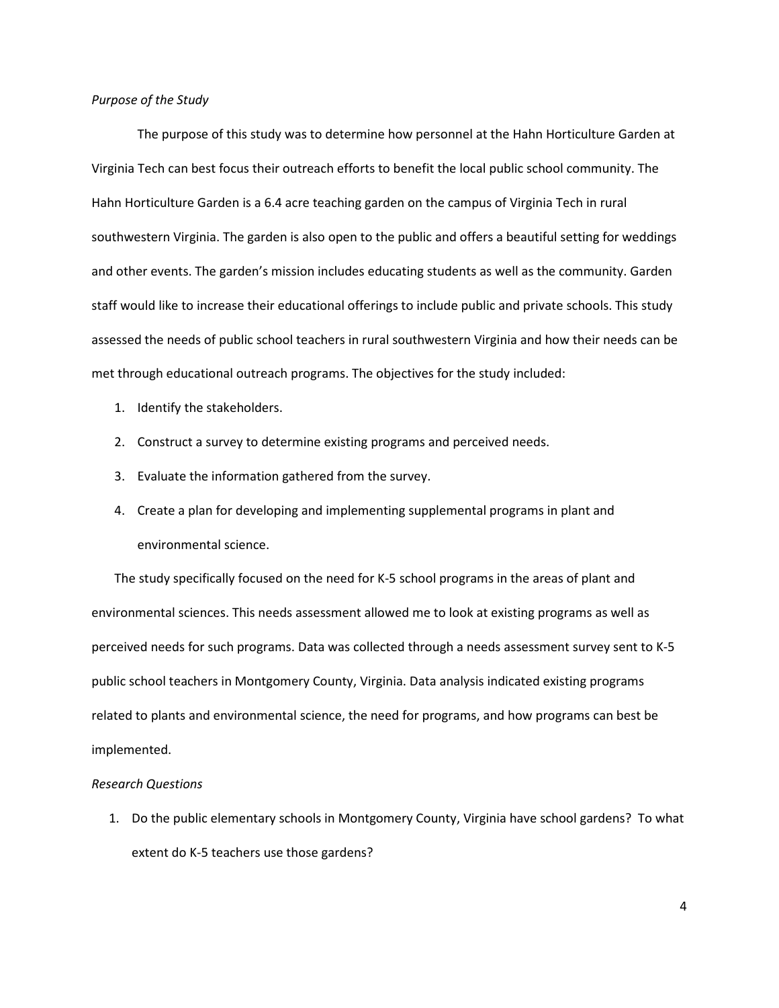#### Purpose of the Study

The purpose of this study was to determine how personnel at the Hahn Horticulture Garden at Virginia Tech can best focus their outreach efforts to benefit the local public school community. The Hahn Horticulture Garden is a 6.4 acre teaching garden on the campus of Virginia Tech in rural southwestern Virginia. The garden is also open to the public and offers a beautiful setting for weddings and other events. The garden's mission includes educating students as well as the community. Garden staff would like to increase their educational offerings to include public and private schools. This study assessed the needs of public school teachers in rural southwestern Virginia and how their needs can be met through educational outreach programs. The objectives for the study included:

- 1. Identify the stakeholders.
- 2. Construct a survey to determine existing programs and perceived needs.
- 3. Evaluate the information gathered from the survey.
- 4. Create a plan for developing and implementing supplemental programs in plant and environmental science.

The study specifically focused on the need for K-5 school programs in the areas of plant and environmental sciences. This needs assessment allowed me to look at existing programs as well as perceived needs for such programs. Data was collected through a needs assessment survey sent to K-5 public school teachers in Montgomery County, Virginia. Data analysis indicated existing programs related to plants and environmental science, the need for programs, and how programs can best be implemented.

#### Research Questions

1. Do the public elementary schools in Montgomery County, Virginia have school gardens? To what extent do K-5 teachers use those gardens?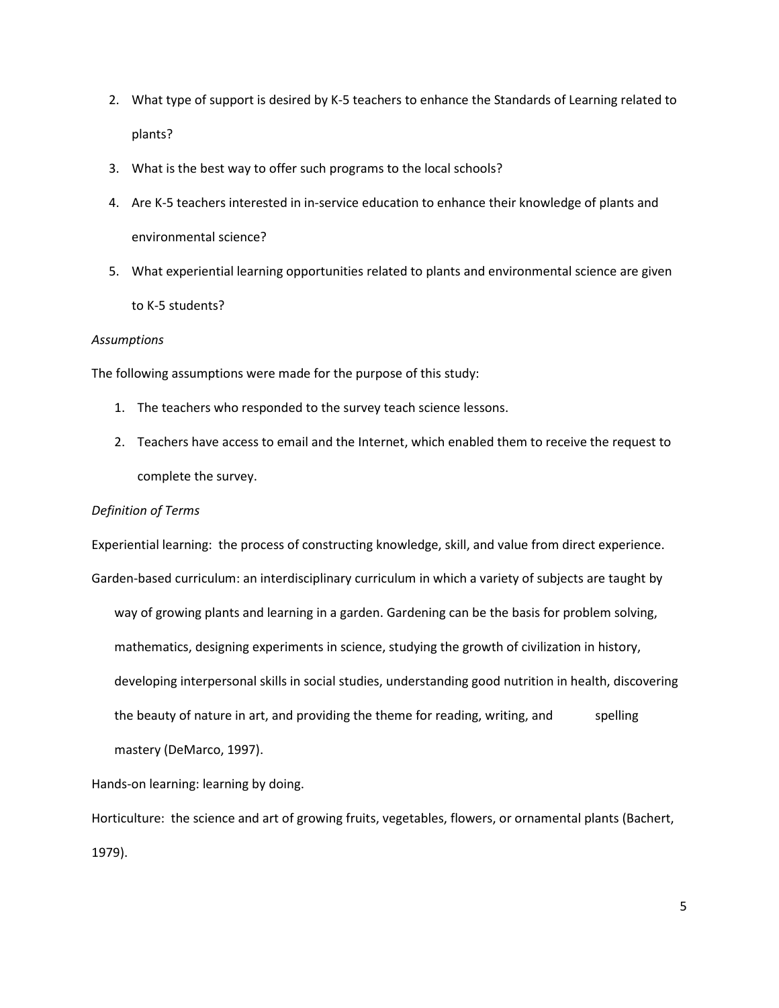- 2. What type of support is desired by K-5 teachers to enhance the Standards of Learning related to plants?
- 3. What is the best way to offer such programs to the local schools?
- 4. Are K-5 teachers interested in in-service education to enhance their knowledge of plants and environmental science?
- 5. What experiential learning opportunities related to plants and environmental science are given to K-5 students?

#### **Assumptions**

The following assumptions were made for the purpose of this study:

- 1. The teachers who responded to the survey teach science lessons.
- 2. Teachers have access to email and the Internet, which enabled them to receive the request to complete the survey.

#### Definition of Terms

Experiential learning: the process of constructing knowledge, skill, and value from direct experience. Garden-based curriculum: an interdisciplinary curriculum in which a variety of subjects are taught by way of growing plants and learning in a garden. Gardening can be the basis for problem solving, mathematics, designing experiments in science, studying the growth of civilization in history, developing interpersonal skills in social studies, understanding good nutrition in health, discovering the beauty of nature in art, and providing the theme for reading, writing, and spelling mastery (DeMarco, 1997).

Hands-on learning: learning by doing.

Horticulture: the science and art of growing fruits, vegetables, flowers, or ornamental plants (Bachert, 1979).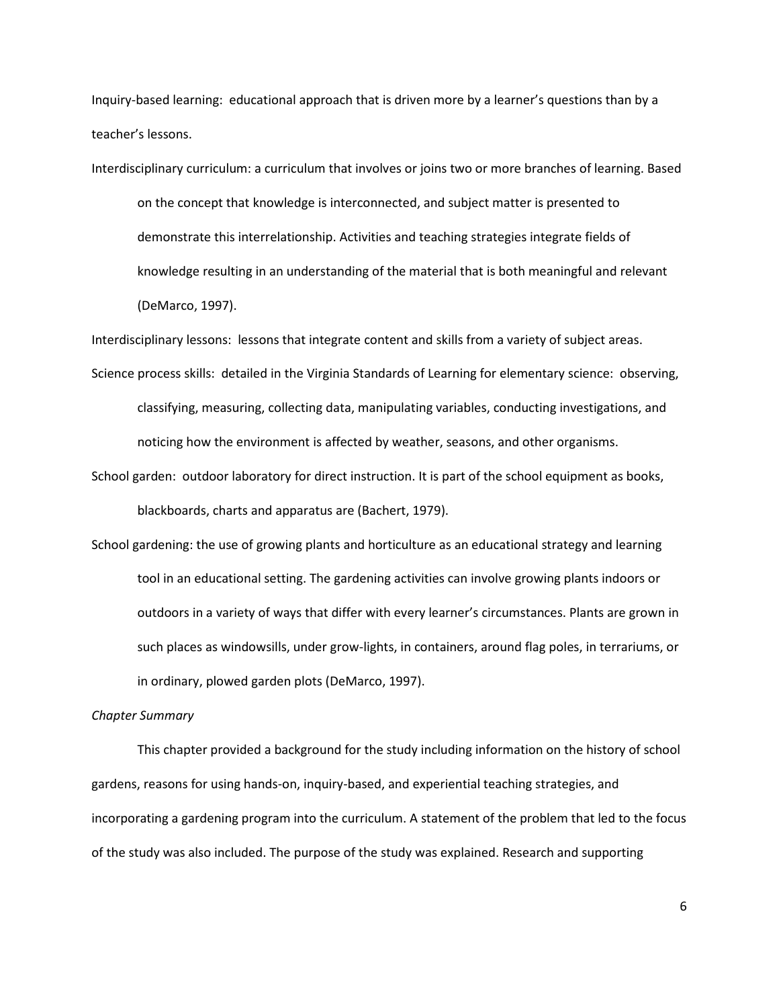Inquiry-based learning: educational approach that is driven more by a learner's questions than by a teacher's lessons.

Interdisciplinary curriculum: a curriculum that involves or joins two or more branches of learning. Based

 on the concept that knowledge is interconnected, and subject matter is presented to demonstrate this interrelationship. Activities and teaching strategies integrate fields of knowledge resulting in an understanding of the material that is both meaningful and relevant (DeMarco, 1997).

Interdisciplinary lessons: lessons that integrate content and skills from a variety of subject areas.

Science process skills: detailed in the Virginia Standards of Learning for elementary science: observing, classifying, measuring, collecting data, manipulating variables, conducting investigations, and noticing how the environment is affected by weather, seasons, and other organisms.

School garden: outdoor laboratory for direct instruction. It is part of the school equipment as books, blackboards, charts and apparatus are (Bachert, 1979).

School gardening: the use of growing plants and horticulture as an educational strategy and learning tool in an educational setting. The gardening activities can involve growing plants indoors or outdoors in a variety of ways that differ with every learner's circumstances. Plants are grown in such places as windowsills, under grow-lights, in containers, around flag poles, in terrariums, or in ordinary, plowed garden plots (DeMarco, 1997).

#### Chapter Summary

This chapter provided a background for the study including information on the history of school gardens, reasons for using hands-on, inquiry-based, and experiential teaching strategies, and incorporating a gardening program into the curriculum. A statement of the problem that led to the focus of the study was also included. The purpose of the study was explained. Research and supporting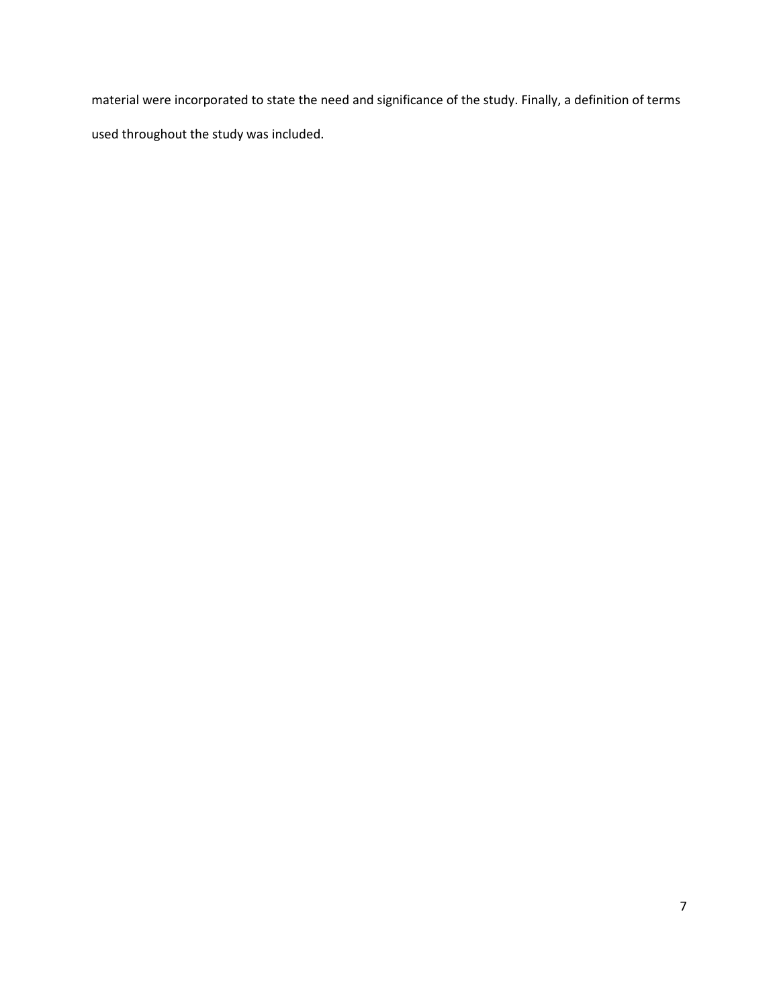material were incorporated to state the need and significance of the study. Finally, a definition of terms used throughout the study was included.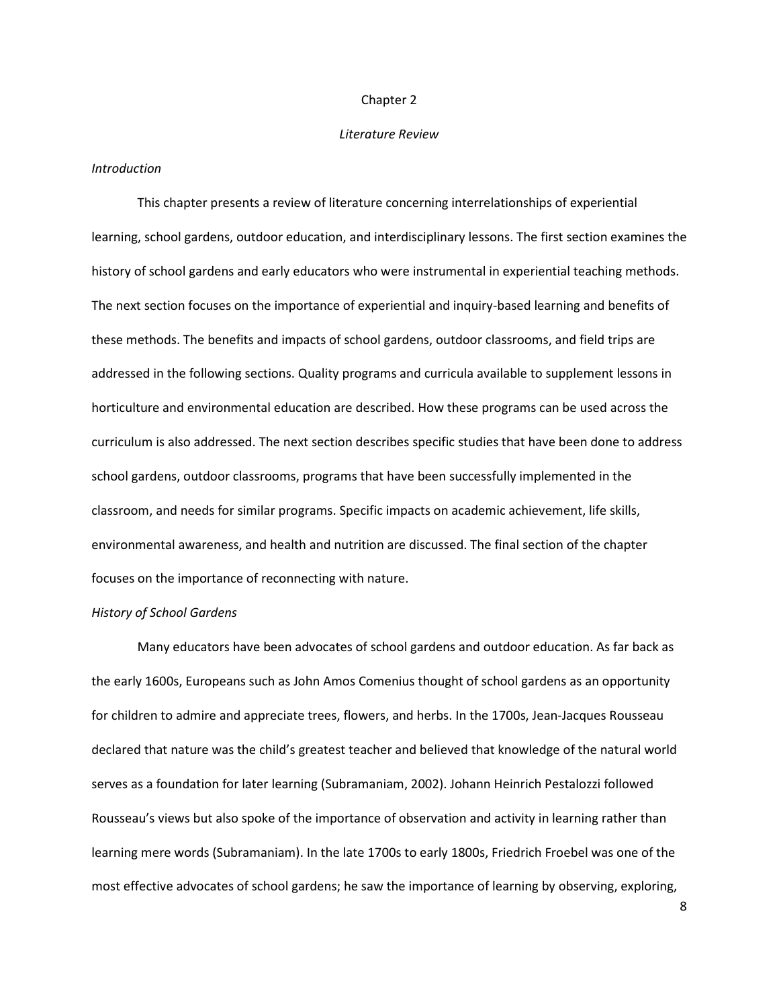#### Chapter 2

#### Literature Review

#### Introduction

This chapter presents a review of literature concerning interrelationships of experiential learning, school gardens, outdoor education, and interdisciplinary lessons. The first section examines the history of school gardens and early educators who were instrumental in experiential teaching methods. The next section focuses on the importance of experiential and inquiry-based learning and benefits of these methods. The benefits and impacts of school gardens, outdoor classrooms, and field trips are addressed in the following sections. Quality programs and curricula available to supplement lessons in horticulture and environmental education are described. How these programs can be used across the curriculum is also addressed. The next section describes specific studies that have been done to address school gardens, outdoor classrooms, programs that have been successfully implemented in the classroom, and needs for similar programs. Specific impacts on academic achievement, life skills, environmental awareness, and health and nutrition are discussed. The final section of the chapter focuses on the importance of reconnecting with nature.

#### History of School Gardens

 Many educators have been advocates of school gardens and outdoor education. As far back as the early 1600s, Europeans such as John Amos Comenius thought of school gardens as an opportunity for children to admire and appreciate trees, flowers, and herbs. In the 1700s, Jean-Jacques Rousseau declared that nature was the child's greatest teacher and believed that knowledge of the natural world serves as a foundation for later learning (Subramaniam, 2002). Johann Heinrich Pestalozzi followed Rousseau's views but also spoke of the importance of observation and activity in learning rather than learning mere words (Subramaniam). In the late 1700s to early 1800s, Friedrich Froebel was one of the most effective advocates of school gardens; he saw the importance of learning by observing, exploring,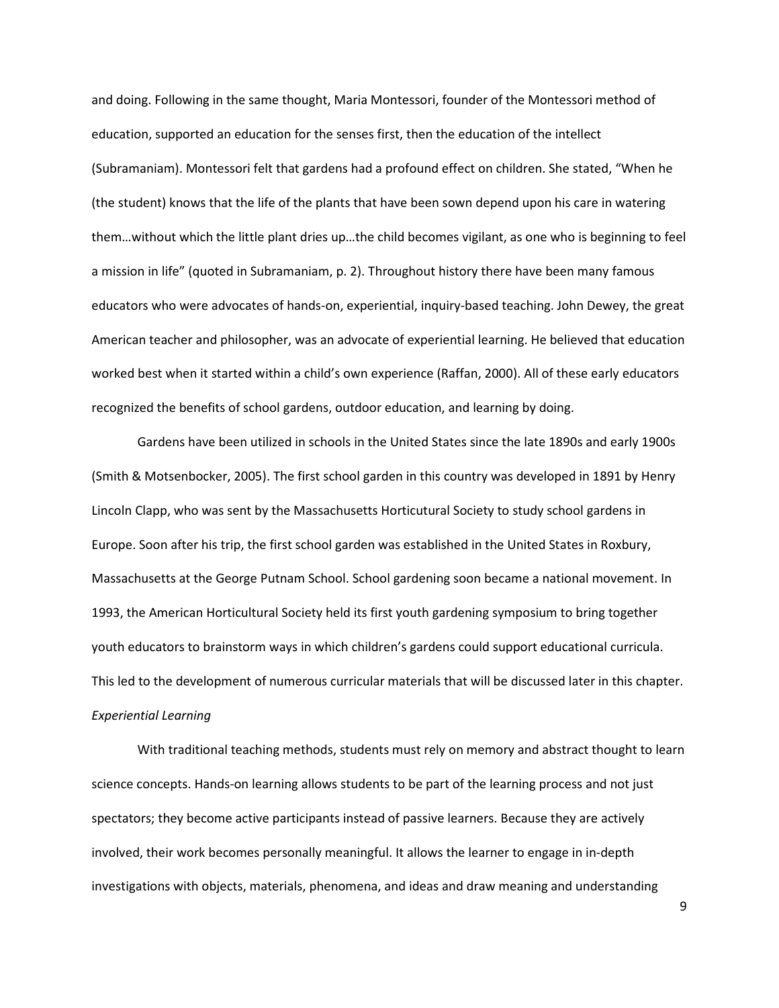and doing. Following in the same thought, Maria Montessori, founder of the Montessori method of education, supported an education for the senses first, then the education of the intellect (Subramaniam). Montessori felt that gardens had a profound effect on children. She stated, "When he (the student) knows that the life of the plants that have been sown depend upon his care in watering them…without which the little plant dries up…the child becomes vigilant, as one who is beginning to feel a mission in life" (quoted in Subramaniam, p. 2). Throughout history there have been many famous educators who were advocates of hands-on, experiential, inquiry-based teaching. John Dewey, the great American teacher and philosopher, was an advocate of experiential learning. He believed that education worked best when it started within a child's own experience (Raffan, 2000). All of these early educators recognized the benefits of school gardens, outdoor education, and learning by doing.

 Gardens have been utilized in schools in the United States since the late 1890s and early 1900s (Smith & Motsenbocker, 2005). The first school garden in this country was developed in 1891 by Henry Lincoln Clapp, who was sent by the Massachusetts Horticutural Society to study school gardens in Europe. Soon after his trip, the first school garden was established in the United States in Roxbury, Massachusetts at the George Putnam School. School gardening soon became a national movement. In 1993, the American Horticultural Society held its first youth gardening symposium to bring together youth educators to brainstorm ways in which children's gardens could support educational curricula. This led to the development of numerous curricular materials that will be discussed later in this chapter. Experiential Learning

With traditional teaching methods, students must rely on memory and abstract thought to learn science concepts. Hands-on learning allows students to be part of the learning process and not just spectators; they become active participants instead of passive learners. Because they are actively involved, their work becomes personally meaningful. It allows the learner to engage in in-depth investigations with objects, materials, phenomena, and ideas and draw meaning and understanding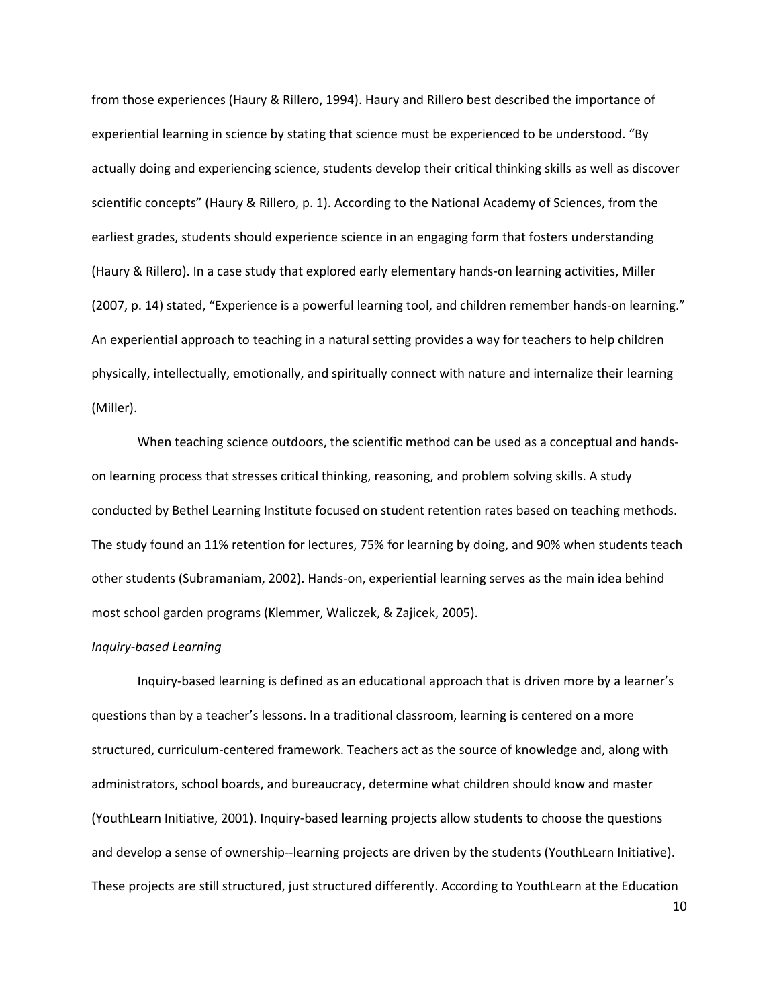from those experiences (Haury & Rillero, 1994). Haury and Rillero best described the importance of experiential learning in science by stating that science must be experienced to be understood. "By actually doing and experiencing science, students develop their critical thinking skills as well as discover scientific concepts" (Haury & Rillero, p. 1). According to the National Academy of Sciences, from the earliest grades, students should experience science in an engaging form that fosters understanding (Haury & Rillero). In a case study that explored early elementary hands-on learning activities, Miller (2007, p. 14) stated, "Experience is a powerful learning tool, and children remember hands-on learning." An experiential approach to teaching in a natural setting provides a way for teachers to help children physically, intellectually, emotionally, and spiritually connect with nature and internalize their learning (Miller).

When teaching science outdoors, the scientific method can be used as a conceptual and handson learning process that stresses critical thinking, reasoning, and problem solving skills. A study conducted by Bethel Learning Institute focused on student retention rates based on teaching methods. The study found an 11% retention for lectures, 75% for learning by doing, and 90% when students teach other students (Subramaniam, 2002). Hands-on, experiential learning serves as the main idea behind most school garden programs (Klemmer, Waliczek, & Zajicek, 2005).

#### Inquiry-based Learning

Inquiry-based learning is defined as an educational approach that is driven more by a learner's questions than by a teacher's lessons. In a traditional classroom, learning is centered on a more structured, curriculum-centered framework. Teachers act as the source of knowledge and, along with administrators, school boards, and bureaucracy, determine what children should know and master (YouthLearn Initiative, 2001). Inquiry-based learning projects allow students to choose the questions and develop a sense of ownership--learning projects are driven by the students (YouthLearn Initiative). These projects are still structured, just structured differently. According to YouthLearn at the Education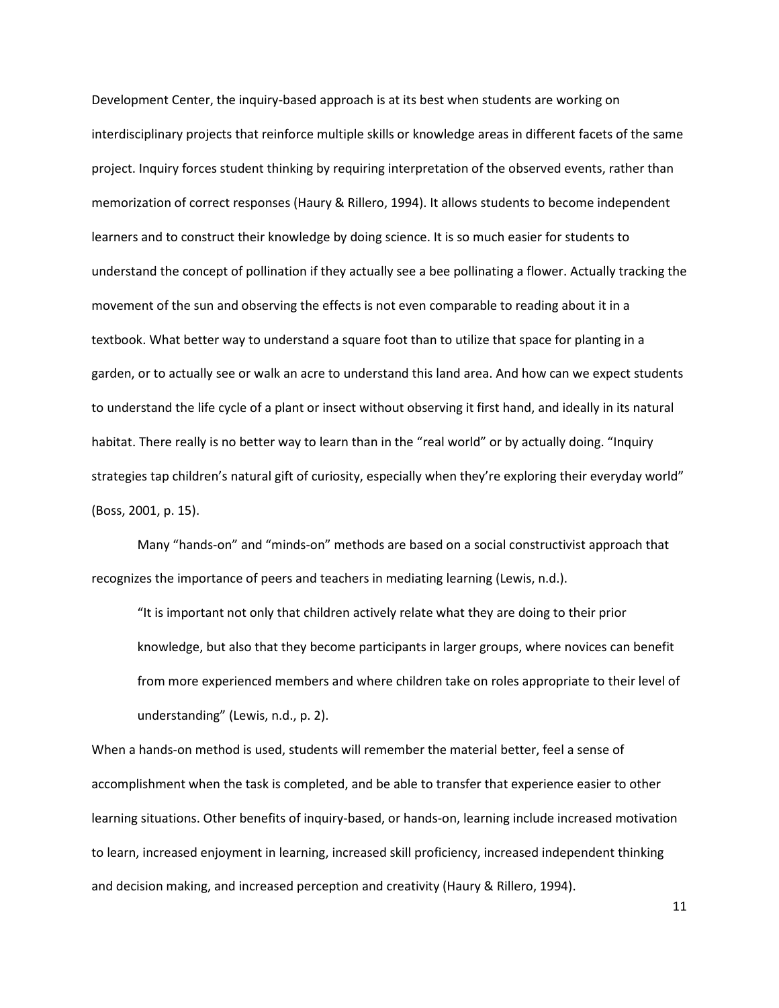Development Center, the inquiry-based approach is at its best when students are working on interdisciplinary projects that reinforce multiple skills or knowledge areas in different facets of the same project. Inquiry forces student thinking by requiring interpretation of the observed events, rather than memorization of correct responses (Haury & Rillero, 1994). It allows students to become independent learners and to construct their knowledge by doing science. It is so much easier for students to understand the concept of pollination if they actually see a bee pollinating a flower. Actually tracking the movement of the sun and observing the effects is not even comparable to reading about it in a textbook. What better way to understand a square foot than to utilize that space for planting in a garden, or to actually see or walk an acre to understand this land area. And how can we expect students to understand the life cycle of a plant or insect without observing it first hand, and ideally in its natural habitat. There really is no better way to learn than in the "real world" or by actually doing. "Inquiry strategies tap children's natural gift of curiosity, especially when they're exploring their everyday world" (Boss, 2001, p. 15).

Many "hands-on" and "minds-on" methods are based on a social constructivist approach that recognizes the importance of peers and teachers in mediating learning (Lewis, n.d.).

"It is important not only that children actively relate what they are doing to their prior knowledge, but also that they become participants in larger groups, where novices can benefit from more experienced members and where children take on roles appropriate to their level of understanding" (Lewis, n.d., p. 2).

When a hands-on method is used, students will remember the material better, feel a sense of accomplishment when the task is completed, and be able to transfer that experience easier to other learning situations. Other benefits of inquiry-based, or hands-on, learning include increased motivation to learn, increased enjoyment in learning, increased skill proficiency, increased independent thinking and decision making, and increased perception and creativity (Haury & Rillero, 1994).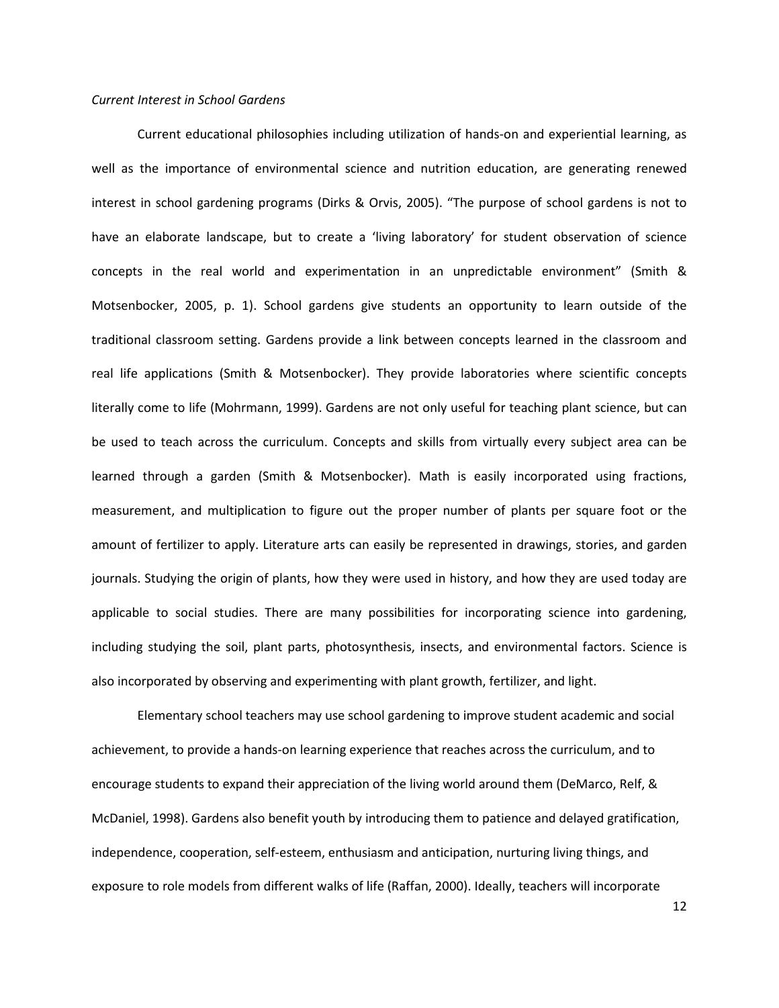#### Current Interest in School Gardens

Current educational philosophies including utilization of hands-on and experiential learning, as well as the importance of environmental science and nutrition education, are generating renewed interest in school gardening programs (Dirks & Orvis, 2005). "The purpose of school gardens is not to have an elaborate landscape, but to create a 'living laboratory' for student observation of science concepts in the real world and experimentation in an unpredictable environment" (Smith & Motsenbocker, 2005, p. 1). School gardens give students an opportunity to learn outside of the traditional classroom setting. Gardens provide a link between concepts learned in the classroom and real life applications (Smith & Motsenbocker). They provide laboratories where scientific concepts literally come to life (Mohrmann, 1999). Gardens are not only useful for teaching plant science, but can be used to teach across the curriculum. Concepts and skills from virtually every subject area can be learned through a garden (Smith & Motsenbocker). Math is easily incorporated using fractions, measurement, and multiplication to figure out the proper number of plants per square foot or the amount of fertilizer to apply. Literature arts can easily be represented in drawings, stories, and garden journals. Studying the origin of plants, how they were used in history, and how they are used today are applicable to social studies. There are many possibilities for incorporating science into gardening, including studying the soil, plant parts, photosynthesis, insects, and environmental factors. Science is also incorporated by observing and experimenting with plant growth, fertilizer, and light.

Elementary school teachers may use school gardening to improve student academic and social achievement, to provide a hands-on learning experience that reaches across the curriculum, and to encourage students to expand their appreciation of the living world around them (DeMarco, Relf, & McDaniel, 1998). Gardens also benefit youth by introducing them to patience and delayed gratification, independence, cooperation, self-esteem, enthusiasm and anticipation, nurturing living things, and exposure to role models from different walks of life (Raffan, 2000). Ideally, teachers will incorporate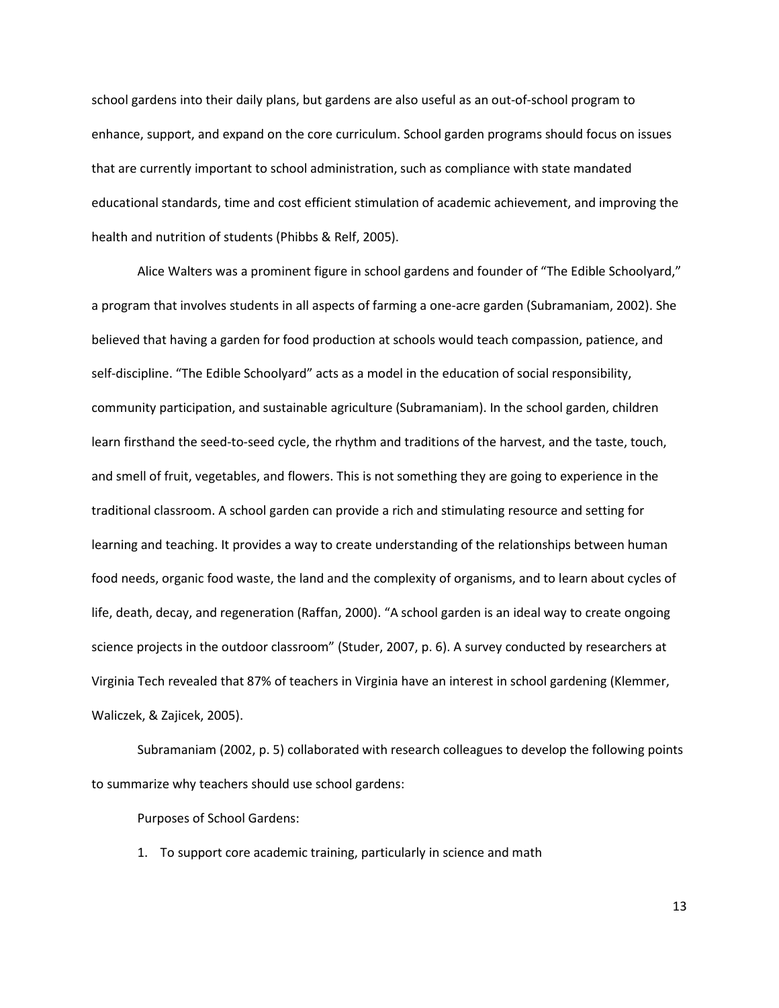school gardens into their daily plans, but gardens are also useful as an out-of-school program to enhance, support, and expand on the core curriculum. School garden programs should focus on issues that are currently important to school administration, such as compliance with state mandated educational standards, time and cost efficient stimulation of academic achievement, and improving the health and nutrition of students (Phibbs & Relf, 2005).

Alice Walters was a prominent figure in school gardens and founder of "The Edible Schoolyard," a program that involves students in all aspects of farming a one-acre garden (Subramaniam, 2002). She believed that having a garden for food production at schools would teach compassion, patience, and self-discipline. "The Edible Schoolyard" acts as a model in the education of social responsibility, community participation, and sustainable agriculture (Subramaniam). In the school garden, children learn firsthand the seed-to-seed cycle, the rhythm and traditions of the harvest, and the taste, touch, and smell of fruit, vegetables, and flowers. This is not something they are going to experience in the traditional classroom. A school garden can provide a rich and stimulating resource and setting for learning and teaching. It provides a way to create understanding of the relationships between human food needs, organic food waste, the land and the complexity of organisms, and to learn about cycles of life, death, decay, and regeneration (Raffan, 2000). "A school garden is an ideal way to create ongoing science projects in the outdoor classroom" (Studer, 2007, p. 6). A survey conducted by researchers at Virginia Tech revealed that 87% of teachers in Virginia have an interest in school gardening (Klemmer, Waliczek, & Zajicek, 2005).

Subramaniam (2002, p. 5) collaborated with research colleagues to develop the following points to summarize why teachers should use school gardens:

Purposes of School Gardens:

1. To support core academic training, particularly in science and math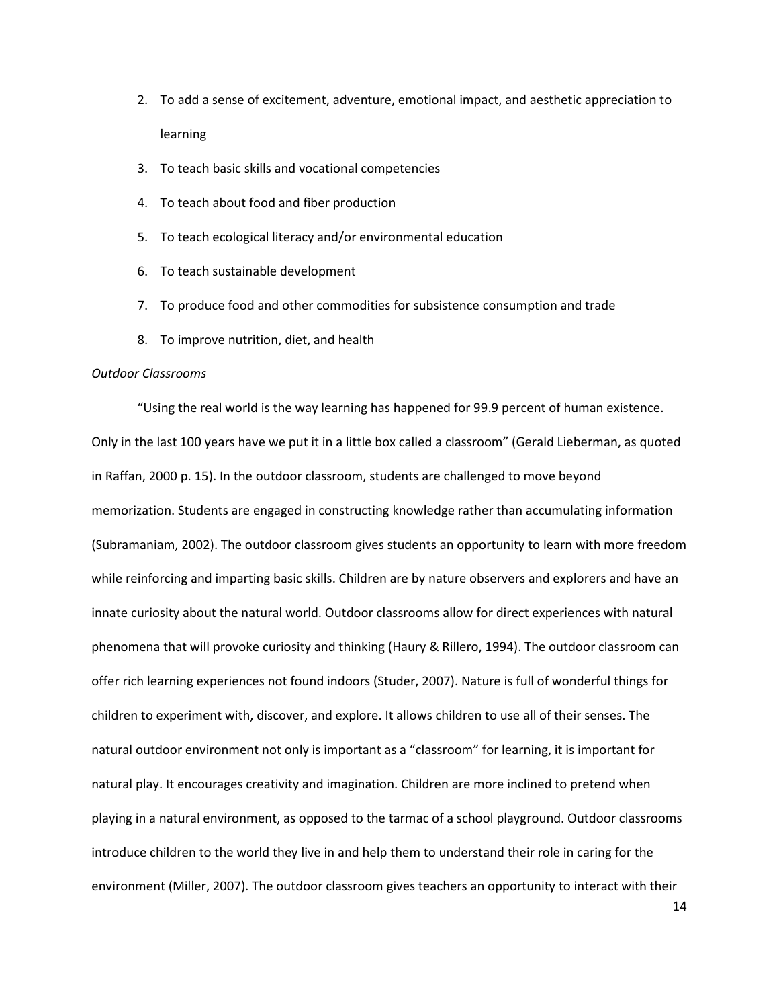- 2. To add a sense of excitement, adventure, emotional impact, and aesthetic appreciation to learning
- 3. To teach basic skills and vocational competencies
- 4. To teach about food and fiber production
- 5. To teach ecological literacy and/or environmental education
- 6. To teach sustainable development
- 7. To produce food and other commodities for subsistence consumption and trade
- 8. To improve nutrition, diet, and health

#### Outdoor Classrooms

"Using the real world is the way learning has happened for 99.9 percent of human existence. Only in the last 100 years have we put it in a little box called a classroom" (Gerald Lieberman, as quoted in Raffan, 2000 p. 15). In the outdoor classroom, students are challenged to move beyond memorization. Students are engaged in constructing knowledge rather than accumulating information (Subramaniam, 2002). The outdoor classroom gives students an opportunity to learn with more freedom while reinforcing and imparting basic skills. Children are by nature observers and explorers and have an innate curiosity about the natural world. Outdoor classrooms allow for direct experiences with natural phenomena that will provoke curiosity and thinking (Haury & Rillero, 1994). The outdoor classroom can offer rich learning experiences not found indoors (Studer, 2007). Nature is full of wonderful things for children to experiment with, discover, and explore. It allows children to use all of their senses. The natural outdoor environment not only is important as a "classroom" for learning, it is important for natural play. It encourages creativity and imagination. Children are more inclined to pretend when playing in a natural environment, as opposed to the tarmac of a school playground. Outdoor classrooms introduce children to the world they live in and help them to understand their role in caring for the environment (Miller, 2007). The outdoor classroom gives teachers an opportunity to interact with their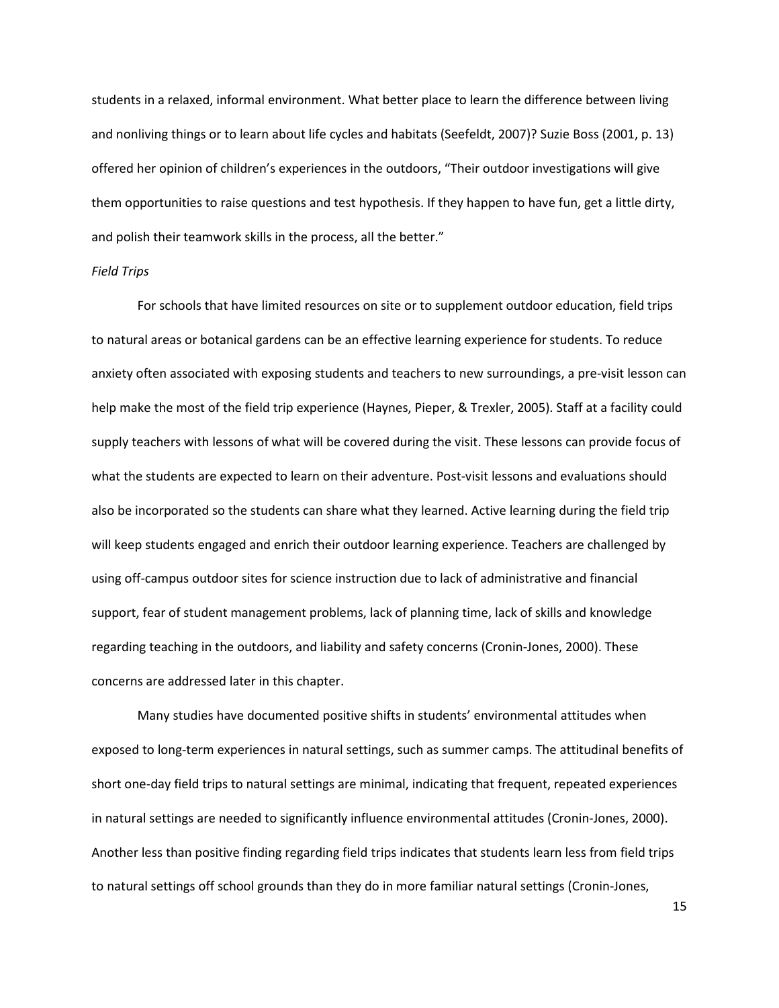students in a relaxed, informal environment. What better place to learn the difference between living and nonliving things or to learn about life cycles and habitats (Seefeldt, 2007)? Suzie Boss (2001, p. 13) offered her opinion of children's experiences in the outdoors, "Their outdoor investigations will give them opportunities to raise questions and test hypothesis. If they happen to have fun, get a little dirty, and polish their teamwork skills in the process, all the better."

#### Field Trips

For schools that have limited resources on site or to supplement outdoor education, field trips to natural areas or botanical gardens can be an effective learning experience for students. To reduce anxiety often associated with exposing students and teachers to new surroundings, a pre-visit lesson can help make the most of the field trip experience (Haynes, Pieper, & Trexler, 2005). Staff at a facility could supply teachers with lessons of what will be covered during the visit. These lessons can provide focus of what the students are expected to learn on their adventure. Post-visit lessons and evaluations should also be incorporated so the students can share what they learned. Active learning during the field trip will keep students engaged and enrich their outdoor learning experience. Teachers are challenged by using off-campus outdoor sites for science instruction due to lack of administrative and financial support, fear of student management problems, lack of planning time, lack of skills and knowledge regarding teaching in the outdoors, and liability and safety concerns (Cronin-Jones, 2000). These concerns are addressed later in this chapter.

Many studies have documented positive shifts in students' environmental attitudes when exposed to long-term experiences in natural settings, such as summer camps. The attitudinal benefits of short one-day field trips to natural settings are minimal, indicating that frequent, repeated experiences in natural settings are needed to significantly influence environmental attitudes (Cronin-Jones, 2000). Another less than positive finding regarding field trips indicates that students learn less from field trips to natural settings off school grounds than they do in more familiar natural settings (Cronin-Jones,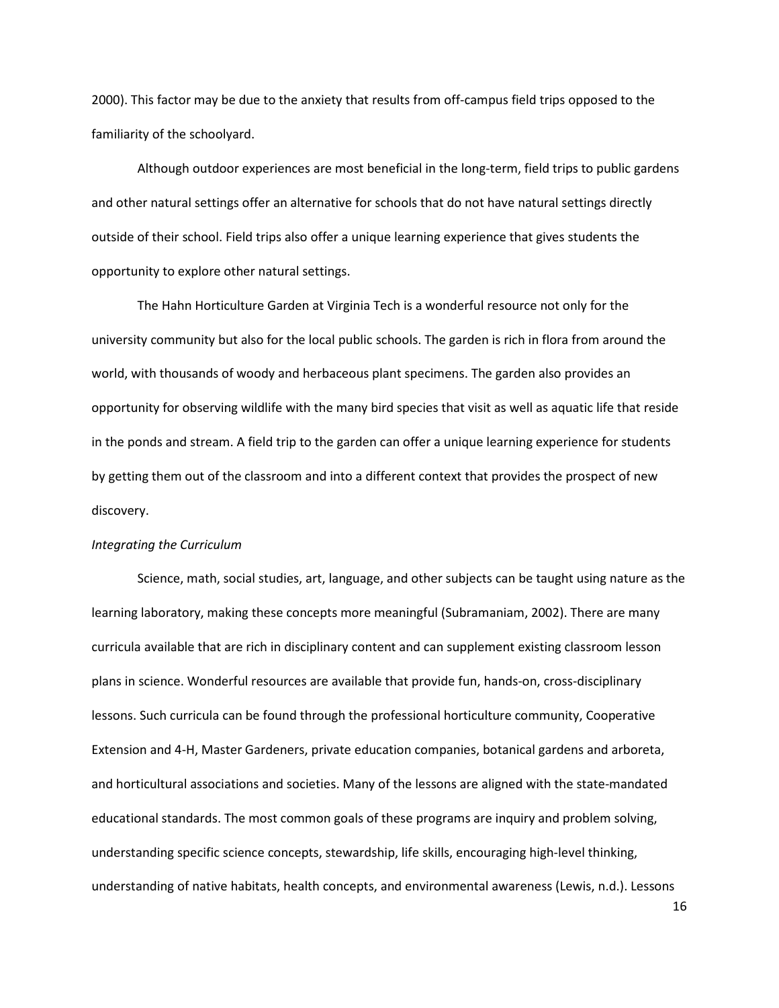2000). This factor may be due to the anxiety that results from off-campus field trips opposed to the familiarity of the schoolyard.

Although outdoor experiences are most beneficial in the long-term, field trips to public gardens and other natural settings offer an alternative for schools that do not have natural settings directly outside of their school. Field trips also offer a unique learning experience that gives students the opportunity to explore other natural settings.

The Hahn Horticulture Garden at Virginia Tech is a wonderful resource not only for the university community but also for the local public schools. The garden is rich in flora from around the world, with thousands of woody and herbaceous plant specimens. The garden also provides an opportunity for observing wildlife with the many bird species that visit as well as aquatic life that reside in the ponds and stream. A field trip to the garden can offer a unique learning experience for students by getting them out of the classroom and into a different context that provides the prospect of new discovery.

#### Integrating the Curriculum

Science, math, social studies, art, language, and other subjects can be taught using nature as the learning laboratory, making these concepts more meaningful (Subramaniam, 2002). There are many curricula available that are rich in disciplinary content and can supplement existing classroom lesson plans in science. Wonderful resources are available that provide fun, hands-on, cross-disciplinary lessons. Such curricula can be found through the professional horticulture community, Cooperative Extension and 4-H, Master Gardeners, private education companies, botanical gardens and arboreta, and horticultural associations and societies. Many of the lessons are aligned with the state-mandated educational standards. The most common goals of these programs are inquiry and problem solving, understanding specific science concepts, stewardship, life skills, encouraging high-level thinking, understanding of native habitats, health concepts, and environmental awareness (Lewis, n.d.). Lessons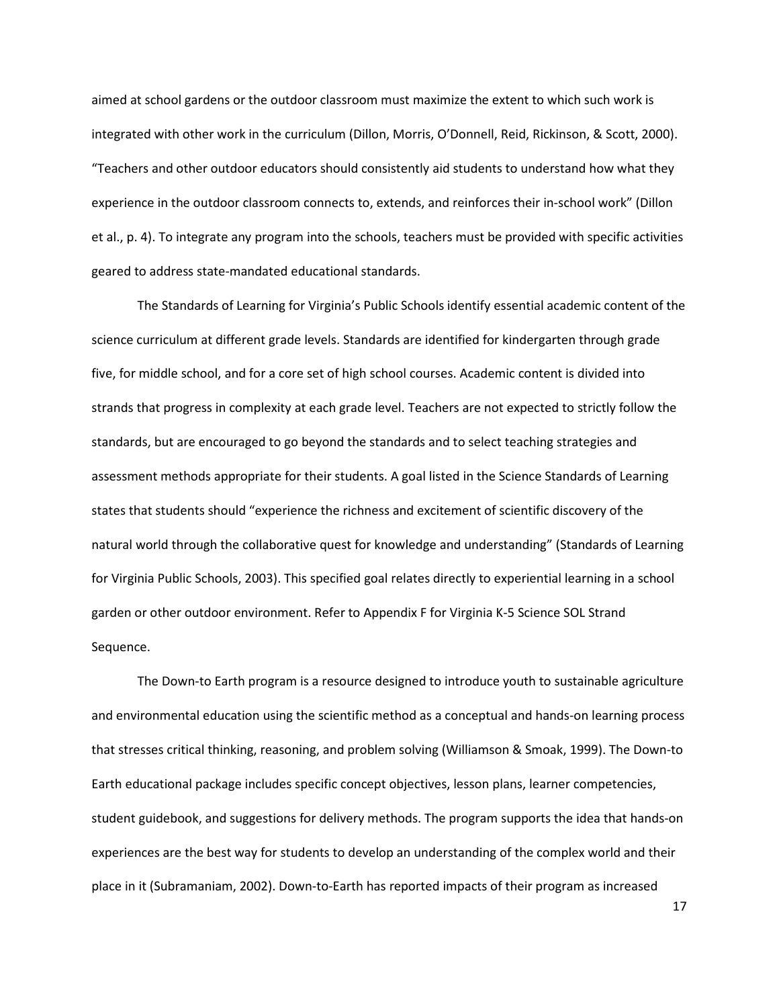aimed at school gardens or the outdoor classroom must maximize the extent to which such work is integrated with other work in the curriculum (Dillon, Morris, O'Donnell, Reid, Rickinson, & Scott, 2000). "Teachers and other outdoor educators should consistently aid students to understand how what they experience in the outdoor classroom connects to, extends, and reinforces their in-school work" (Dillon et al., p. 4). To integrate any program into the schools, teachers must be provided with specific activities geared to address state-mandated educational standards.

The Standards of Learning for Virginia's Public Schools identify essential academic content of the science curriculum at different grade levels. Standards are identified for kindergarten through grade five, for middle school, and for a core set of high school courses. Academic content is divided into strands that progress in complexity at each grade level. Teachers are not expected to strictly follow the standards, but are encouraged to go beyond the standards and to select teaching strategies and assessment methods appropriate for their students. A goal listed in the Science Standards of Learning states that students should "experience the richness and excitement of scientific discovery of the natural world through the collaborative quest for knowledge and understanding" (Standards of Learning for Virginia Public Schools, 2003). This specified goal relates directly to experiential learning in a school garden or other outdoor environment. Refer to Appendix F for Virginia K-5 Science SOL Strand Sequence.

 The Down-to Earth program is a resource designed to introduce youth to sustainable agriculture and environmental education using the scientific method as a conceptual and hands-on learning process that stresses critical thinking, reasoning, and problem solving (Williamson & Smoak, 1999). The Down-to Earth educational package includes specific concept objectives, lesson plans, learner competencies, student guidebook, and suggestions for delivery methods. The program supports the idea that hands-on experiences are the best way for students to develop an understanding of the complex world and their place in it (Subramaniam, 2002). Down-to-Earth has reported impacts of their program as increased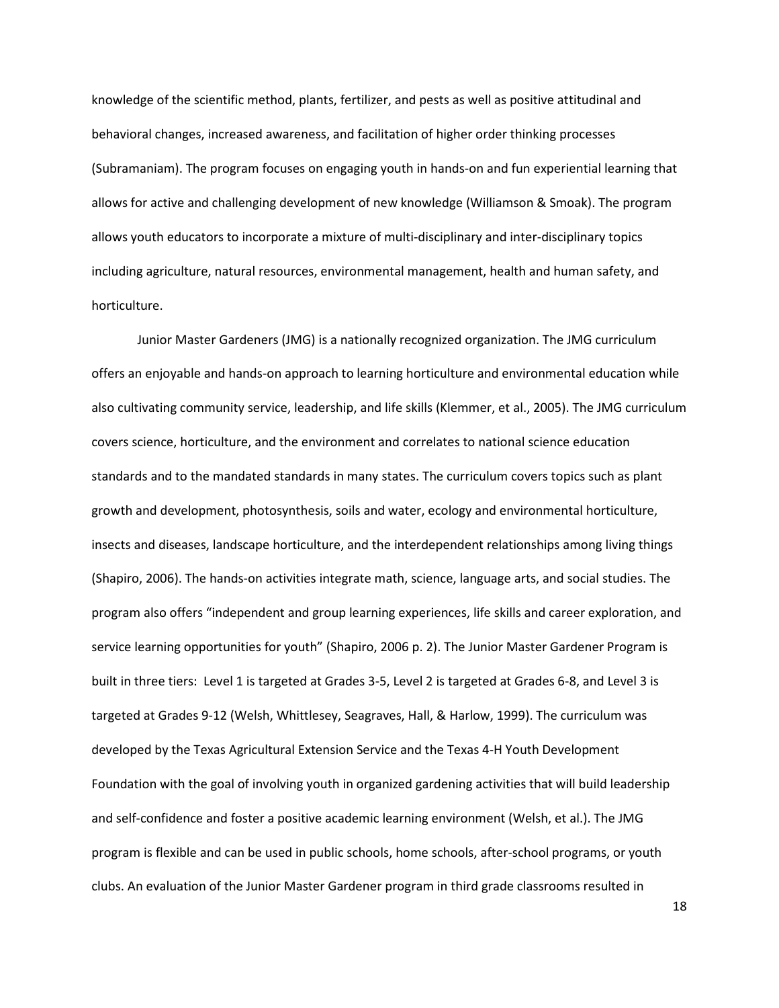knowledge of the scientific method, plants, fertilizer, and pests as well as positive attitudinal and behavioral changes, increased awareness, and facilitation of higher order thinking processes (Subramaniam). The program focuses on engaging youth in hands-on and fun experiential learning that allows for active and challenging development of new knowledge (Williamson & Smoak). The program allows youth educators to incorporate a mixture of multi-disciplinary and inter-disciplinary topics including agriculture, natural resources, environmental management, health and human safety, and horticulture.

Junior Master Gardeners (JMG) is a nationally recognized organization. The JMG curriculum offers an enjoyable and hands-on approach to learning horticulture and environmental education while also cultivating community service, leadership, and life skills (Klemmer, et al., 2005). The JMG curriculum covers science, horticulture, and the environment and correlates to national science education standards and to the mandated standards in many states. The curriculum covers topics such as plant growth and development, photosynthesis, soils and water, ecology and environmental horticulture, insects and diseases, landscape horticulture, and the interdependent relationships among living things (Shapiro, 2006). The hands-on activities integrate math, science, language arts, and social studies. The program also offers "independent and group learning experiences, life skills and career exploration, and service learning opportunities for youth" (Shapiro, 2006 p. 2). The Junior Master Gardener Program is built in three tiers: Level 1 is targeted at Grades 3-5, Level 2 is targeted at Grades 6-8, and Level 3 is targeted at Grades 9-12 (Welsh, Whittlesey, Seagraves, Hall, & Harlow, 1999). The curriculum was developed by the Texas Agricultural Extension Service and the Texas 4-H Youth Development Foundation with the goal of involving youth in organized gardening activities that will build leadership and self-confidence and foster a positive academic learning environment (Welsh, et al.). The JMG program is flexible and can be used in public schools, home schools, after-school programs, or youth clubs. An evaluation of the Junior Master Gardener program in third grade classrooms resulted in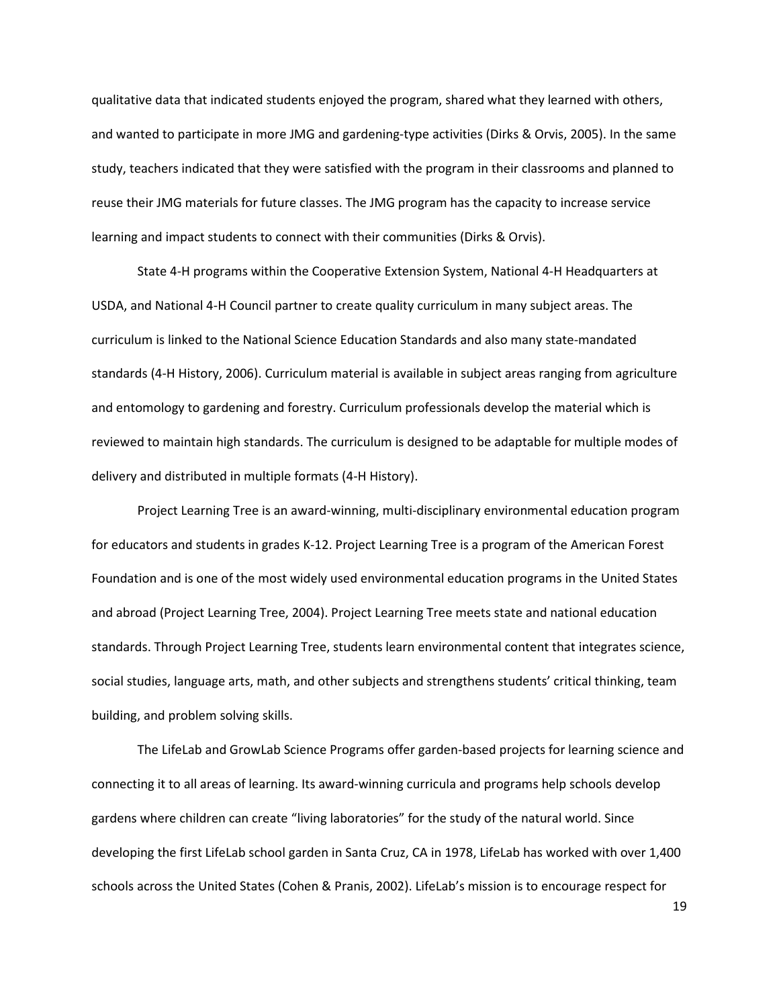qualitative data that indicated students enjoyed the program, shared what they learned with others, and wanted to participate in more JMG and gardening-type activities (Dirks & Orvis, 2005). In the same study, teachers indicated that they were satisfied with the program in their classrooms and planned to reuse their JMG materials for future classes. The JMG program has the capacity to increase service learning and impact students to connect with their communities (Dirks & Orvis).

State 4-H programs within the Cooperative Extension System, National 4-H Headquarters at USDA, and National 4-H Council partner to create quality curriculum in many subject areas. The curriculum is linked to the National Science Education Standards and also many state-mandated standards (4-H History, 2006). Curriculum material is available in subject areas ranging from agriculture and entomology to gardening and forestry. Curriculum professionals develop the material which is reviewed to maintain high standards. The curriculum is designed to be adaptable for multiple modes of delivery and distributed in multiple formats (4-H History).

Project Learning Tree is an award-winning, multi-disciplinary environmental education program for educators and students in grades K-12. Project Learning Tree is a program of the American Forest Foundation and is one of the most widely used environmental education programs in the United States and abroad (Project Learning Tree, 2004). Project Learning Tree meets state and national education standards. Through Project Learning Tree, students learn environmental content that integrates science, social studies, language arts, math, and other subjects and strengthens students' critical thinking, team building, and problem solving skills.

The LifeLab and GrowLab Science Programs offer garden-based projects for learning science and connecting it to all areas of learning. Its award-winning curricula and programs help schools develop gardens where children can create "living laboratories" for the study of the natural world. Since developing the first LifeLab school garden in Santa Cruz, CA in 1978, LifeLab has worked with over 1,400 schools across the United States (Cohen & Pranis, 2002). LifeLab's mission is to encourage respect for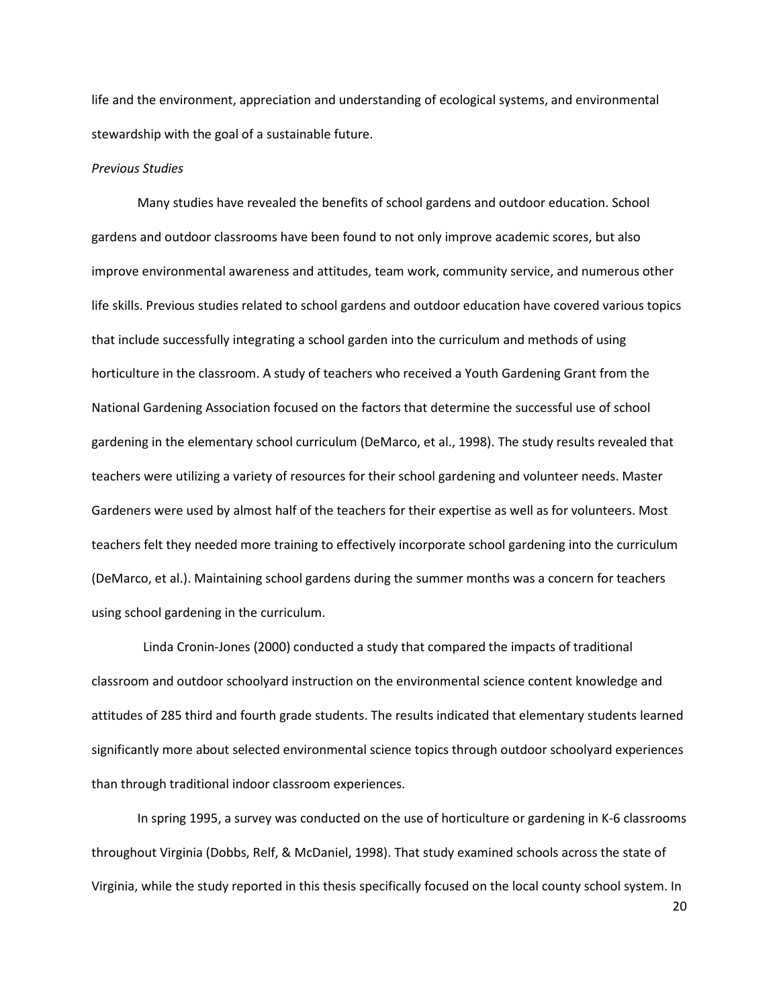life and the environment, appreciation and understanding of ecological systems, and environmental stewardship with the goal of a sustainable future.

#### Previous Studies

Many studies have revealed the benefits of school gardens and outdoor education. School gardens and outdoor classrooms have been found to not only improve academic scores, but also improve environmental awareness and attitudes, team work, community service, and numerous other life skills. Previous studies related to school gardens and outdoor education have covered various topics that include successfully integrating a school garden into the curriculum and methods of using horticulture in the classroom. A study of teachers who received a Youth Gardening Grant from the National Gardening Association focused on the factors that determine the successful use of school gardening in the elementary school curriculum (DeMarco, et al., 1998). The study results revealed that teachers were utilizing a variety of resources for their school gardening and volunteer needs. Master Gardeners were used by almost half of the teachers for their expertise as well as for volunteers. Most teachers felt they needed more training to effectively incorporate school gardening into the curriculum (DeMarco, et al.). Maintaining school gardens during the summer months was a concern for teachers using school gardening in the curriculum.

Linda Cronin-Jones (2000) conducted a study that compared the impacts of traditional classroom and outdoor schoolyard instruction on the environmental science content knowledge and attitudes of 285 third and fourth grade students. The results indicated that elementary students learned significantly more about selected environmental science topics through outdoor schoolyard experiences than through traditional indoor classroom experiences.

In spring 1995, a survey was conducted on the use of horticulture or gardening in K-6 classrooms throughout Virginia (Dobbs, Relf, & McDaniel, 1998). That study examined schools across the state of Virginia, while the study reported in this thesis specifically focused on the local county school system. In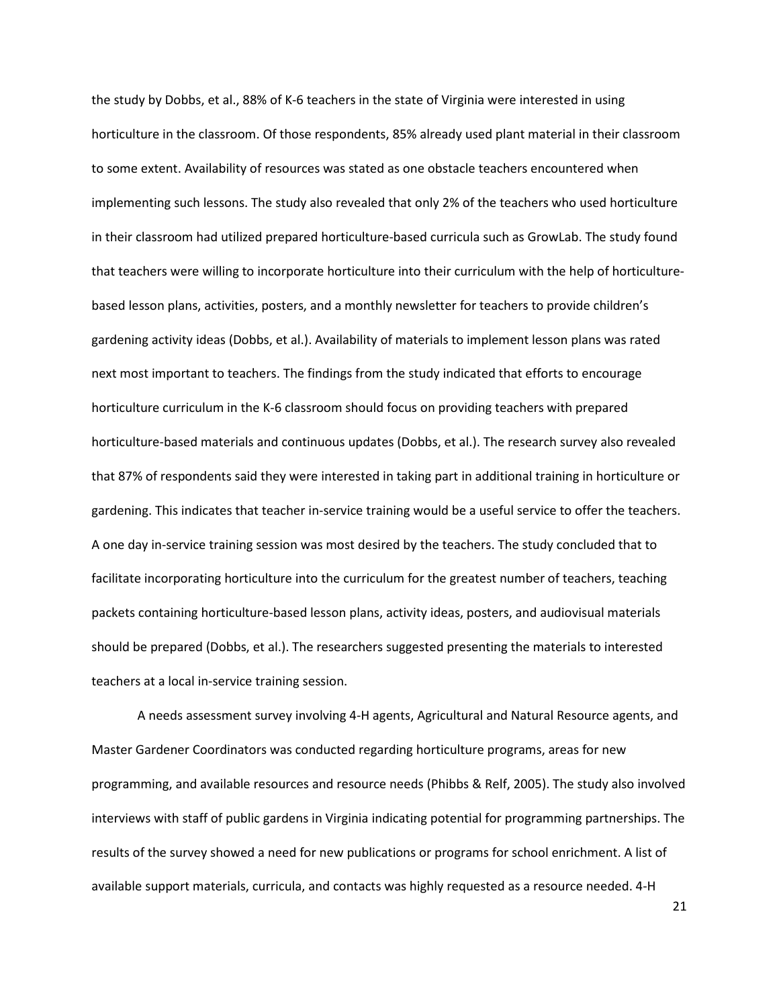the study by Dobbs, et al., 88% of K-6 teachers in the state of Virginia were interested in using horticulture in the classroom. Of those respondents, 85% already used plant material in their classroom to some extent. Availability of resources was stated as one obstacle teachers encountered when implementing such lessons. The study also revealed that only 2% of the teachers who used horticulture in their classroom had utilized prepared horticulture-based curricula such as GrowLab. The study found that teachers were willing to incorporate horticulture into their curriculum with the help of horticulturebased lesson plans, activities, posters, and a monthly newsletter for teachers to provide children's gardening activity ideas (Dobbs, et al.). Availability of materials to implement lesson plans was rated next most important to teachers. The findings from the study indicated that efforts to encourage horticulture curriculum in the K-6 classroom should focus on providing teachers with prepared horticulture-based materials and continuous updates (Dobbs, et al.). The research survey also revealed that 87% of respondents said they were interested in taking part in additional training in horticulture or gardening. This indicates that teacher in-service training would be a useful service to offer the teachers. A one day in-service training session was most desired by the teachers. The study concluded that to facilitate incorporating horticulture into the curriculum for the greatest number of teachers, teaching packets containing horticulture-based lesson plans, activity ideas, posters, and audiovisual materials should be prepared (Dobbs, et al.). The researchers suggested presenting the materials to interested teachers at a local in-service training session.

A needs assessment survey involving 4-H agents, Agricultural and Natural Resource agents, and Master Gardener Coordinators was conducted regarding horticulture programs, areas for new programming, and available resources and resource needs (Phibbs & Relf, 2005). The study also involved interviews with staff of public gardens in Virginia indicating potential for programming partnerships. The results of the survey showed a need for new publications or programs for school enrichment. A list of available support materials, curricula, and contacts was highly requested as a resource needed. 4-H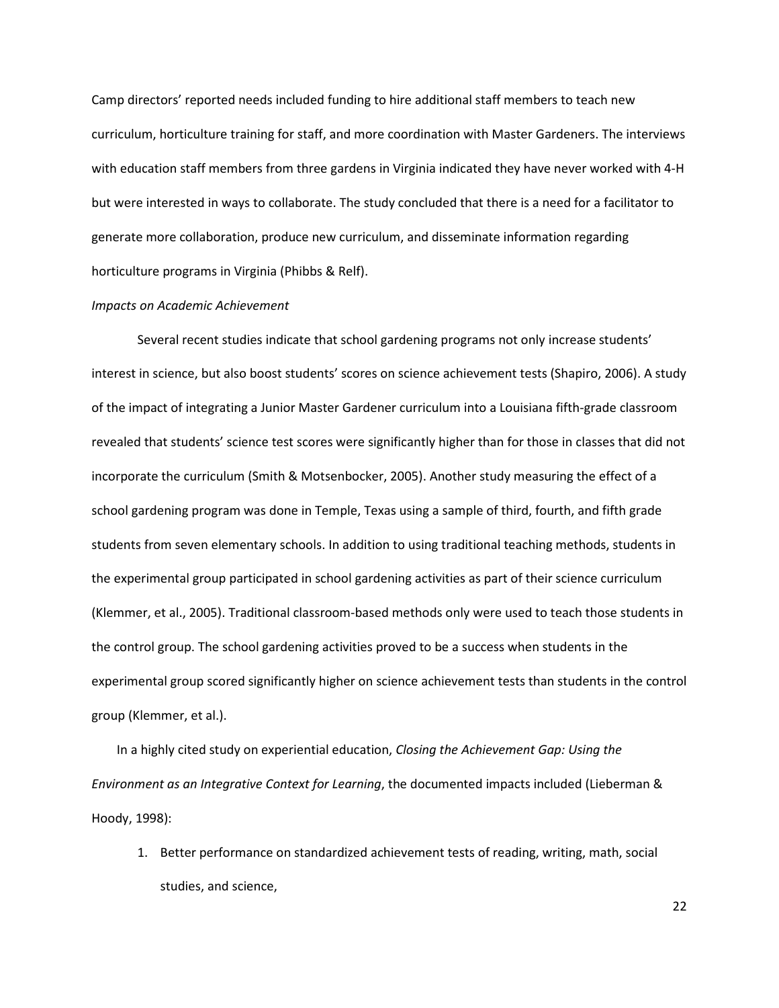Camp directors' reported needs included funding to hire additional staff members to teach new curriculum, horticulture training for staff, and more coordination with Master Gardeners. The interviews with education staff members from three gardens in Virginia indicated they have never worked with 4-H but were interested in ways to collaborate. The study concluded that there is a need for a facilitator to generate more collaboration, produce new curriculum, and disseminate information regarding horticulture programs in Virginia (Phibbs & Relf).

#### Impacts on Academic Achievement

Several recent studies indicate that school gardening programs not only increase students' interest in science, but also boost students' scores on science achievement tests (Shapiro, 2006). A study of the impact of integrating a Junior Master Gardener curriculum into a Louisiana fifth-grade classroom revealed that students' science test scores were significantly higher than for those in classes that did not incorporate the curriculum (Smith & Motsenbocker, 2005). Another study measuring the effect of a school gardening program was done in Temple, Texas using a sample of third, fourth, and fifth grade students from seven elementary schools. In addition to using traditional teaching methods, students in the experimental group participated in school gardening activities as part of their science curriculum (Klemmer, et al., 2005). Traditional classroom-based methods only were used to teach those students in the control group. The school gardening activities proved to be a success when students in the experimental group scored significantly higher on science achievement tests than students in the control group (Klemmer, et al.).

In a highly cited study on experiential education, Closing the Achievement Gap: Using the Environment as an Integrative Context for Learning, the documented impacts included (Lieberman & Hoody, 1998):

1. Better performance on standardized achievement tests of reading, writing, math, social studies, and science,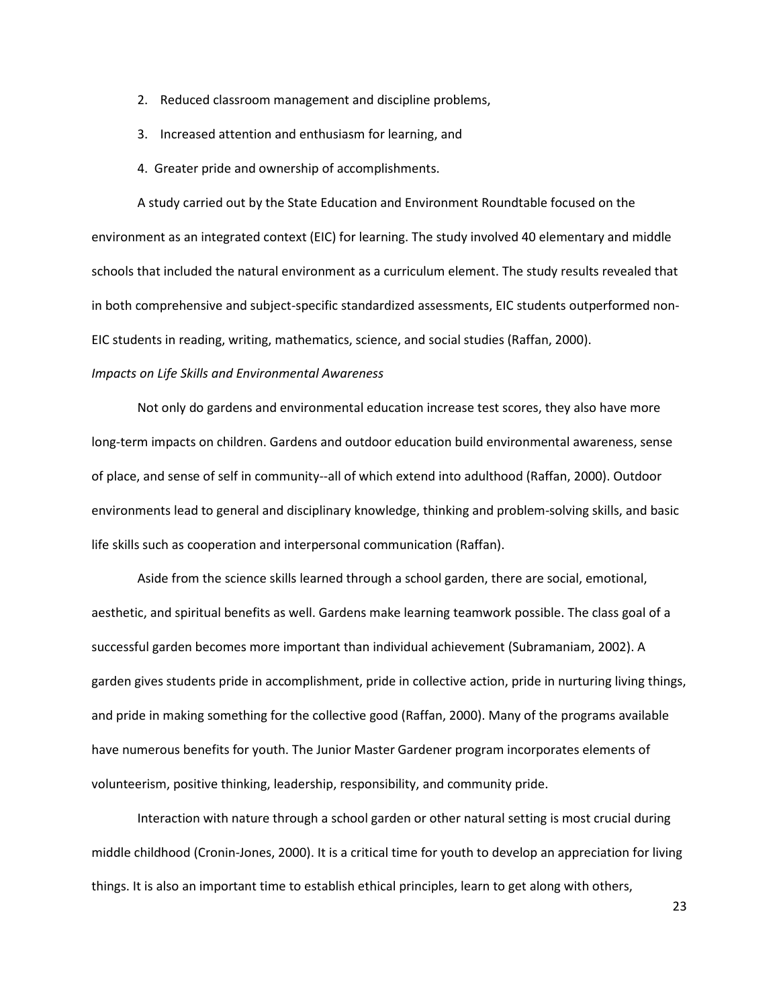- 2. Reduced classroom management and discipline problems,
- 3. Increased attention and enthusiasm for learning, and
- 4. Greater pride and ownership of accomplishments.

A study carried out by the State Education and Environment Roundtable focused on the environment as an integrated context (EIC) for learning. The study involved 40 elementary and middle schools that included the natural environment as a curriculum element. The study results revealed that in both comprehensive and subject-specific standardized assessments, EIC students outperformed non-EIC students in reading, writing, mathematics, science, and social studies (Raffan, 2000).

#### Impacts on Life Skills and Environmental Awareness

Not only do gardens and environmental education increase test scores, they also have more long-term impacts on children. Gardens and outdoor education build environmental awareness, sense of place, and sense of self in community--all of which extend into adulthood (Raffan, 2000). Outdoor environments lead to general and disciplinary knowledge, thinking and problem-solving skills, and basic life skills such as cooperation and interpersonal communication (Raffan).

Aside from the science skills learned through a school garden, there are social, emotional, aesthetic, and spiritual benefits as well. Gardens make learning teamwork possible. The class goal of a successful garden becomes more important than individual achievement (Subramaniam, 2002). A garden gives students pride in accomplishment, pride in collective action, pride in nurturing living things, and pride in making something for the collective good (Raffan, 2000). Many of the programs available have numerous benefits for youth. The Junior Master Gardener program incorporates elements of volunteerism, positive thinking, leadership, responsibility, and community pride.

Interaction with nature through a school garden or other natural setting is most crucial during middle childhood (Cronin-Jones, 2000). It is a critical time for youth to develop an appreciation for living things. It is also an important time to establish ethical principles, learn to get along with others,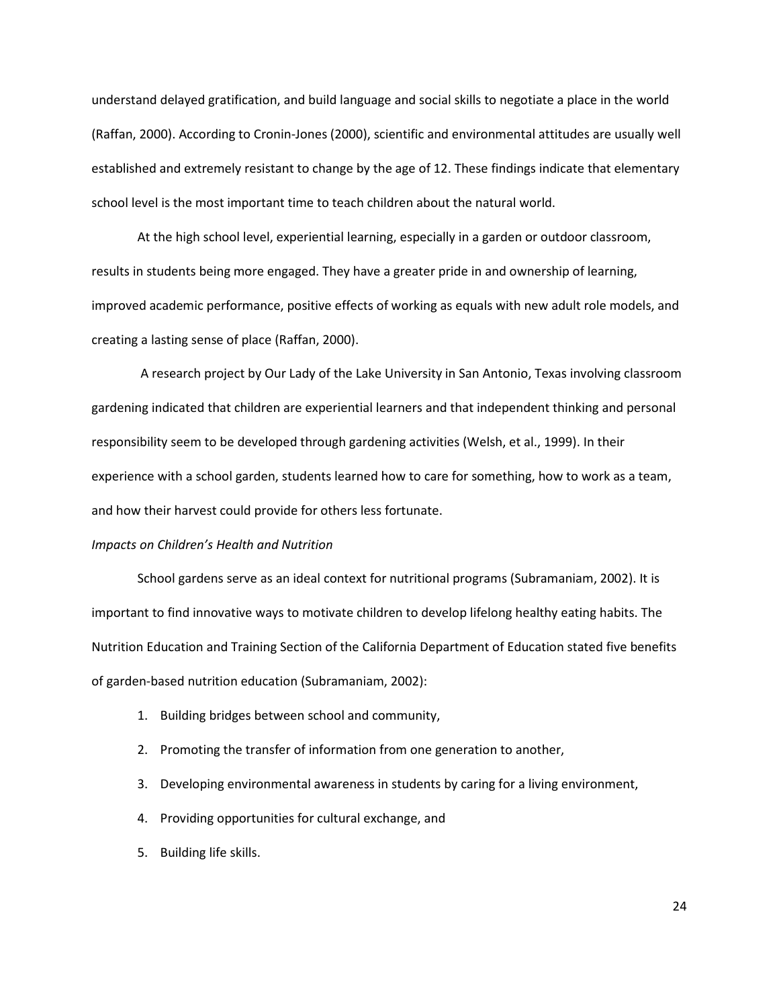understand delayed gratification, and build language and social skills to negotiate a place in the world (Raffan, 2000). According to Cronin-Jones (2000), scientific and environmental attitudes are usually well established and extremely resistant to change by the age of 12. These findings indicate that elementary school level is the most important time to teach children about the natural world.

At the high school level, experiential learning, especially in a garden or outdoor classroom, results in students being more engaged. They have a greater pride in and ownership of learning, improved academic performance, positive effects of working as equals with new adult role models, and creating a lasting sense of place (Raffan, 2000).

 A research project by Our Lady of the Lake University in San Antonio, Texas involving classroom gardening indicated that children are experiential learners and that independent thinking and personal responsibility seem to be developed through gardening activities (Welsh, et al., 1999). In their experience with a school garden, students learned how to care for something, how to work as a team, and how their harvest could provide for others less fortunate.

#### Impacts on Children's Health and Nutrition

School gardens serve as an ideal context for nutritional programs (Subramaniam, 2002). It is important to find innovative ways to motivate children to develop lifelong healthy eating habits. The Nutrition Education and Training Section of the California Department of Education stated five benefits of garden-based nutrition education (Subramaniam, 2002):

- 1. Building bridges between school and community,
- 2. Promoting the transfer of information from one generation to another,
- 3. Developing environmental awareness in students by caring for a living environment,
- 4. Providing opportunities for cultural exchange, and
- 5. Building life skills.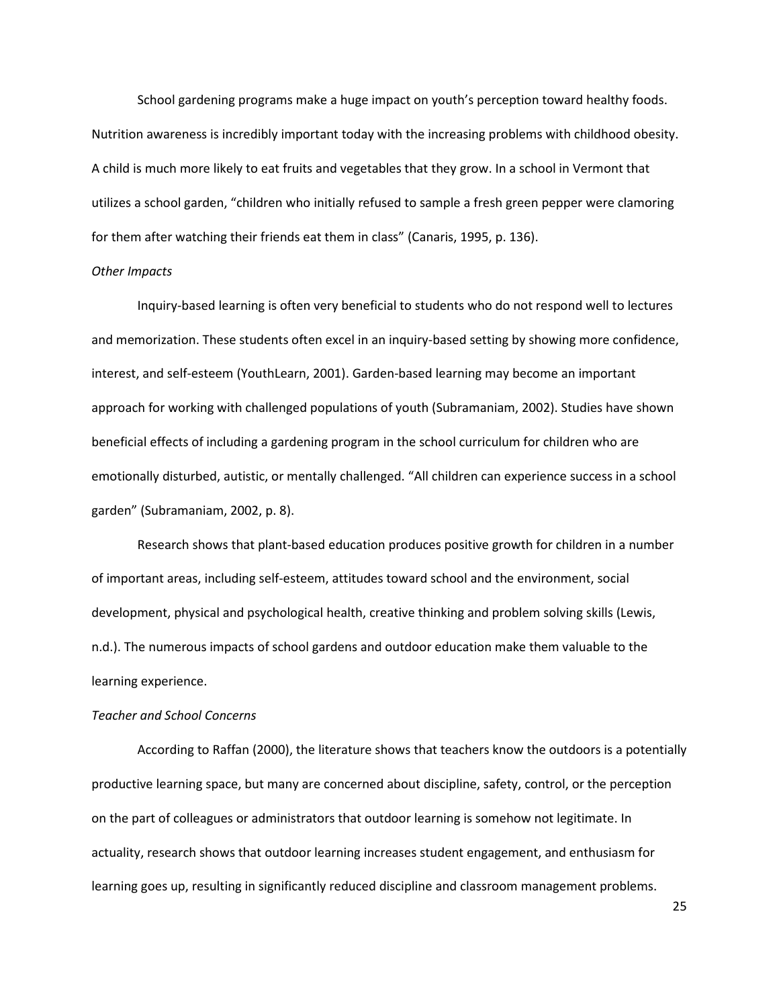School gardening programs make a huge impact on youth's perception toward healthy foods. Nutrition awareness is incredibly important today with the increasing problems with childhood obesity. A child is much more likely to eat fruits and vegetables that they grow. In a school in Vermont that utilizes a school garden, "children who initially refused to sample a fresh green pepper were clamoring for them after watching their friends eat them in class" (Canaris, 1995, p. 136).

#### Other Impacts

Inquiry-based learning is often very beneficial to students who do not respond well to lectures and memorization. These students often excel in an inquiry-based setting by showing more confidence, interest, and self-esteem (YouthLearn, 2001). Garden-based learning may become an important approach for working with challenged populations of youth (Subramaniam, 2002). Studies have shown beneficial effects of including a gardening program in the school curriculum for children who are emotionally disturbed, autistic, or mentally challenged. "All children can experience success in a school garden" (Subramaniam, 2002, p. 8).

Research shows that plant-based education produces positive growth for children in a number of important areas, including self-esteem, attitudes toward school and the environment, social development, physical and psychological health, creative thinking and problem solving skills (Lewis, n.d.). The numerous impacts of school gardens and outdoor education make them valuable to the learning experience.

#### Teacher and School Concerns

According to Raffan (2000), the literature shows that teachers know the outdoors is a potentially productive learning space, but many are concerned about discipline, safety, control, or the perception on the part of colleagues or administrators that outdoor learning is somehow not legitimate. In actuality, research shows that outdoor learning increases student engagement, and enthusiasm for learning goes up, resulting in significantly reduced discipline and classroom management problems.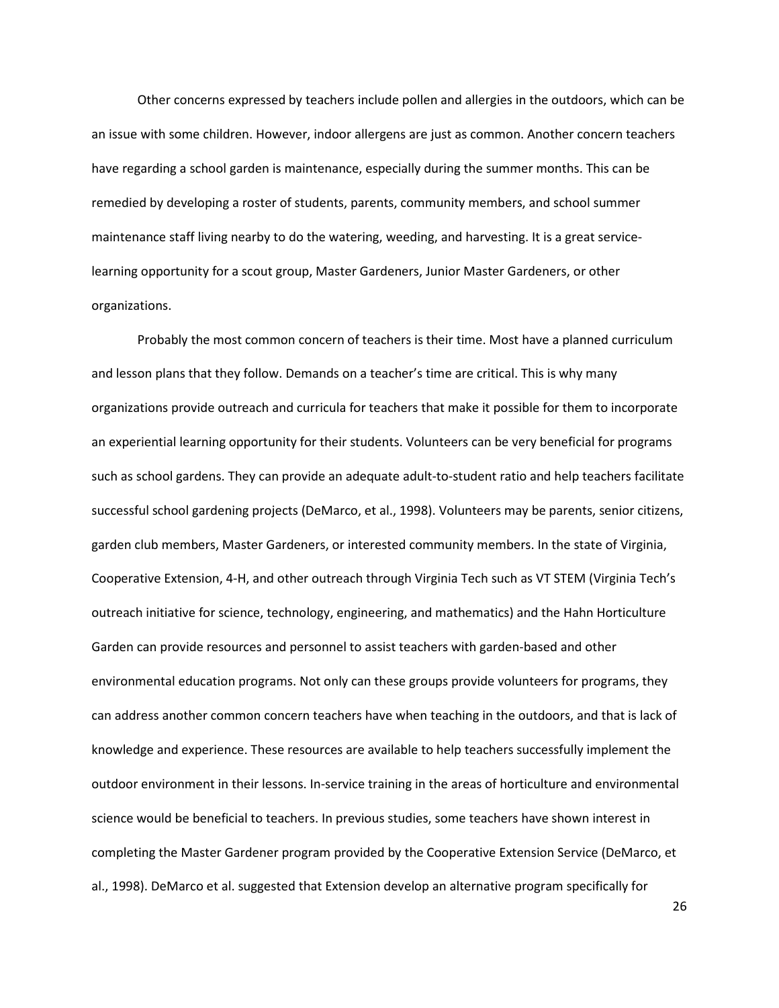Other concerns expressed by teachers include pollen and allergies in the outdoors, which can be an issue with some children. However, indoor allergens are just as common. Another concern teachers have regarding a school garden is maintenance, especially during the summer months. This can be remedied by developing a roster of students, parents, community members, and school summer maintenance staff living nearby to do the watering, weeding, and harvesting. It is a great servicelearning opportunity for a scout group, Master Gardeners, Junior Master Gardeners, or other organizations.

Probably the most common concern of teachers is their time. Most have a planned curriculum and lesson plans that they follow. Demands on a teacher's time are critical. This is why many organizations provide outreach and curricula for teachers that make it possible for them to incorporate an experiential learning opportunity for their students. Volunteers can be very beneficial for programs such as school gardens. They can provide an adequate adult-to-student ratio and help teachers facilitate successful school gardening projects (DeMarco, et al., 1998). Volunteers may be parents, senior citizens, garden club members, Master Gardeners, or interested community members. In the state of Virginia, Cooperative Extension, 4-H, and other outreach through Virginia Tech such as VT STEM (Virginia Tech's outreach initiative for science, technology, engineering, and mathematics) and the Hahn Horticulture Garden can provide resources and personnel to assist teachers with garden-based and other environmental education programs. Not only can these groups provide volunteers for programs, they can address another common concern teachers have when teaching in the outdoors, and that is lack of knowledge and experience. These resources are available to help teachers successfully implement the outdoor environment in their lessons. In-service training in the areas of horticulture and environmental science would be beneficial to teachers. In previous studies, some teachers have shown interest in completing the Master Gardener program provided by the Cooperative Extension Service (DeMarco, et al., 1998). DeMarco et al. suggested that Extension develop an alternative program specifically for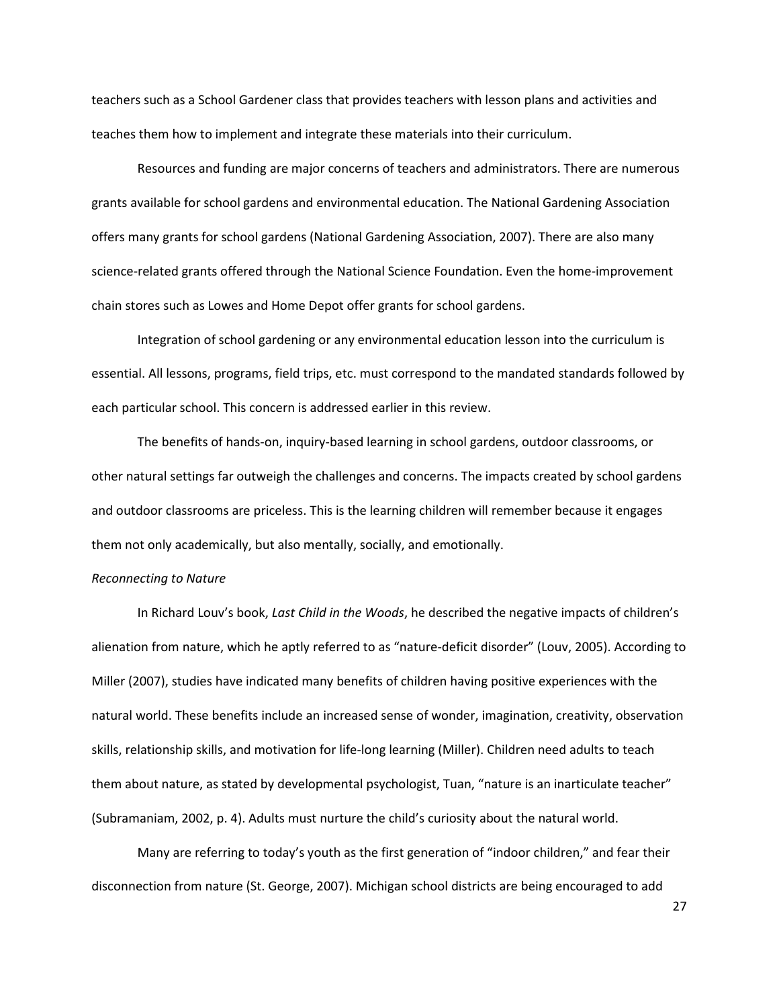teachers such as a School Gardener class that provides teachers with lesson plans and activities and teaches them how to implement and integrate these materials into their curriculum.

Resources and funding are major concerns of teachers and administrators. There are numerous grants available for school gardens and environmental education. The National Gardening Association offers many grants for school gardens (National Gardening Association, 2007). There are also many science-related grants offered through the National Science Foundation. Even the home-improvement chain stores such as Lowes and Home Depot offer grants for school gardens.

Integration of school gardening or any environmental education lesson into the curriculum is essential. All lessons, programs, field trips, etc. must correspond to the mandated standards followed by each particular school. This concern is addressed earlier in this review.

The benefits of hands-on, inquiry-based learning in school gardens, outdoor classrooms, or other natural settings far outweigh the challenges and concerns. The impacts created by school gardens and outdoor classrooms are priceless. This is the learning children will remember because it engages them not only academically, but also mentally, socially, and emotionally.

#### Reconnecting to Nature

In Richard Louv's book, Last Child in the Woods, he described the negative impacts of children's alienation from nature, which he aptly referred to as "nature-deficit disorder" (Louv, 2005). According to Miller (2007), studies have indicated many benefits of children having positive experiences with the natural world. These benefits include an increased sense of wonder, imagination, creativity, observation skills, relationship skills, and motivation for life-long learning (Miller). Children need adults to teach them about nature, as stated by developmental psychologist, Tuan, "nature is an inarticulate teacher" (Subramaniam, 2002, p. 4). Adults must nurture the child's curiosity about the natural world.

Many are referring to today's youth as the first generation of "indoor children," and fear their disconnection from nature (St. George, 2007). Michigan school districts are being encouraged to add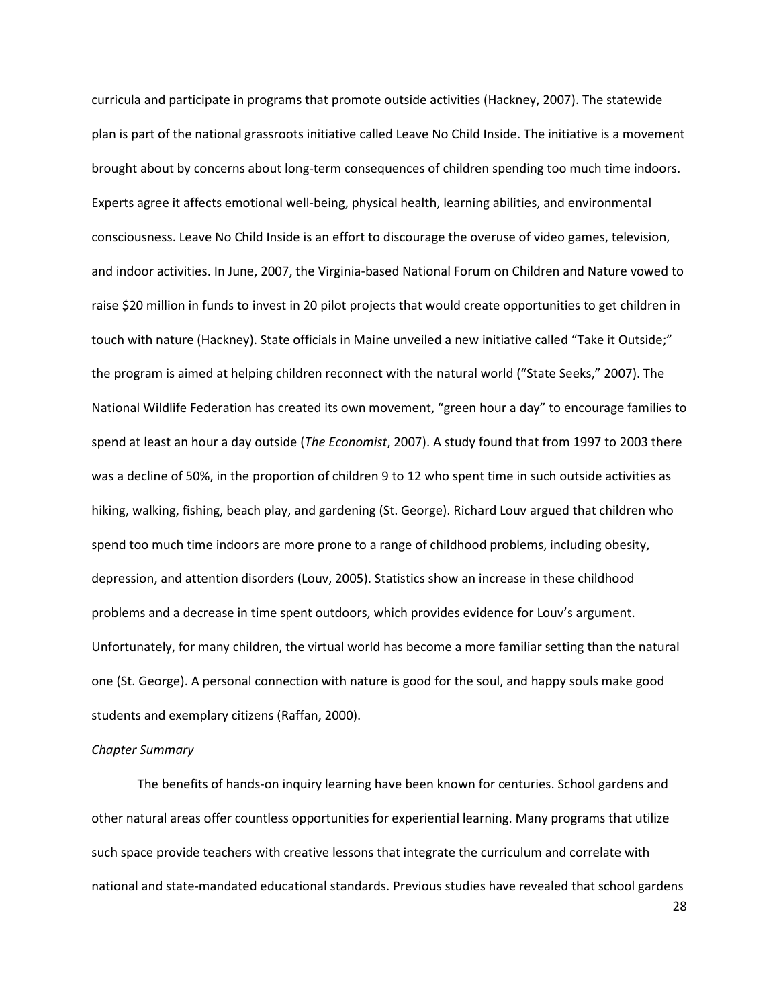curricula and participate in programs that promote outside activities (Hackney, 2007). The statewide plan is part of the national grassroots initiative called Leave No Child Inside. The initiative is a movement brought about by concerns about long-term consequences of children spending too much time indoors. Experts agree it affects emotional well-being, physical health, learning abilities, and environmental consciousness. Leave No Child Inside is an effort to discourage the overuse of video games, television, and indoor activities. In June, 2007, the Virginia-based National Forum on Children and Nature vowed to raise \$20 million in funds to invest in 20 pilot projects that would create opportunities to get children in touch with nature (Hackney). State officials in Maine unveiled a new initiative called "Take it Outside;" the program is aimed at helping children reconnect with the natural world ("State Seeks," 2007). The National Wildlife Federation has created its own movement, "green hour a day" to encourage families to spend at least an hour a day outside (The Economist, 2007). A study found that from 1997 to 2003 there was a decline of 50%, in the proportion of children 9 to 12 who spent time in such outside activities as hiking, walking, fishing, beach play, and gardening (St. George). Richard Louv argued that children who spend too much time indoors are more prone to a range of childhood problems, including obesity, depression, and attention disorders (Louv, 2005). Statistics show an increase in these childhood problems and a decrease in time spent outdoors, which provides evidence for Louv's argument. Unfortunately, for many children, the virtual world has become a more familiar setting than the natural one (St. George). A personal connection with nature is good for the soul, and happy souls make good students and exemplary citizens (Raffan, 2000).

#### Chapter Summary

The benefits of hands-on inquiry learning have been known for centuries. School gardens and other natural areas offer countless opportunities for experiential learning. Many programs that utilize such space provide teachers with creative lessons that integrate the curriculum and correlate with national and state-mandated educational standards. Previous studies have revealed that school gardens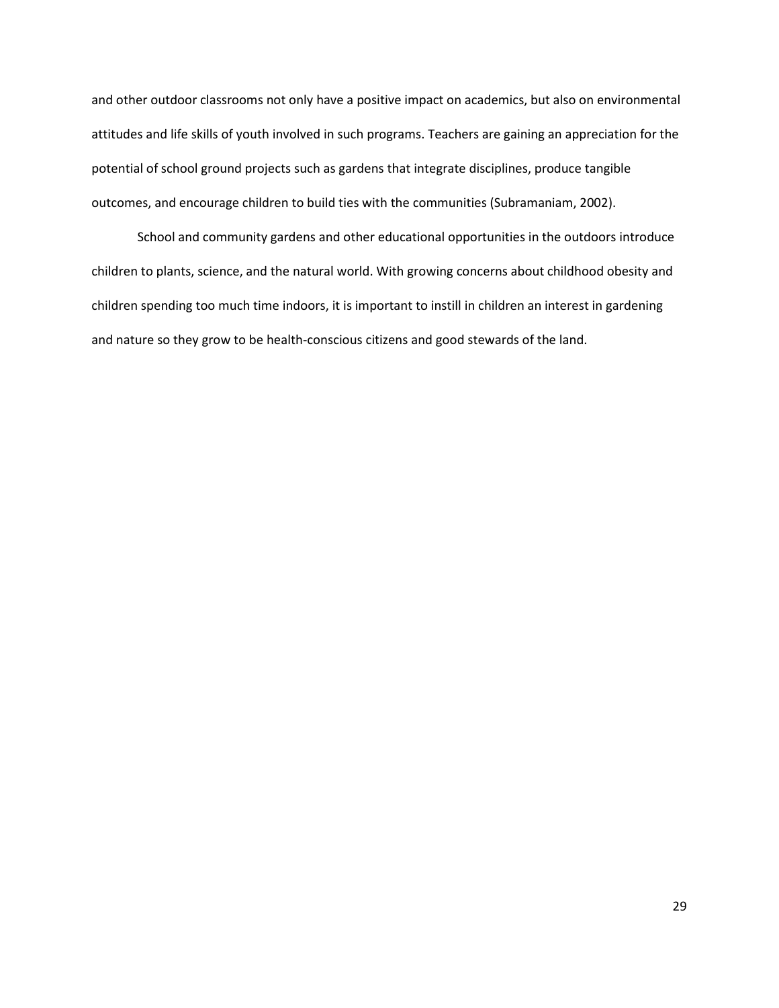and other outdoor classrooms not only have a positive impact on academics, but also on environmental attitudes and life skills of youth involved in such programs. Teachers are gaining an appreciation for the potential of school ground projects such as gardens that integrate disciplines, produce tangible outcomes, and encourage children to build ties with the communities (Subramaniam, 2002).

School and community gardens and other educational opportunities in the outdoors introduce children to plants, science, and the natural world. With growing concerns about childhood obesity and children spending too much time indoors, it is important to instill in children an interest in gardening and nature so they grow to be health-conscious citizens and good stewards of the land.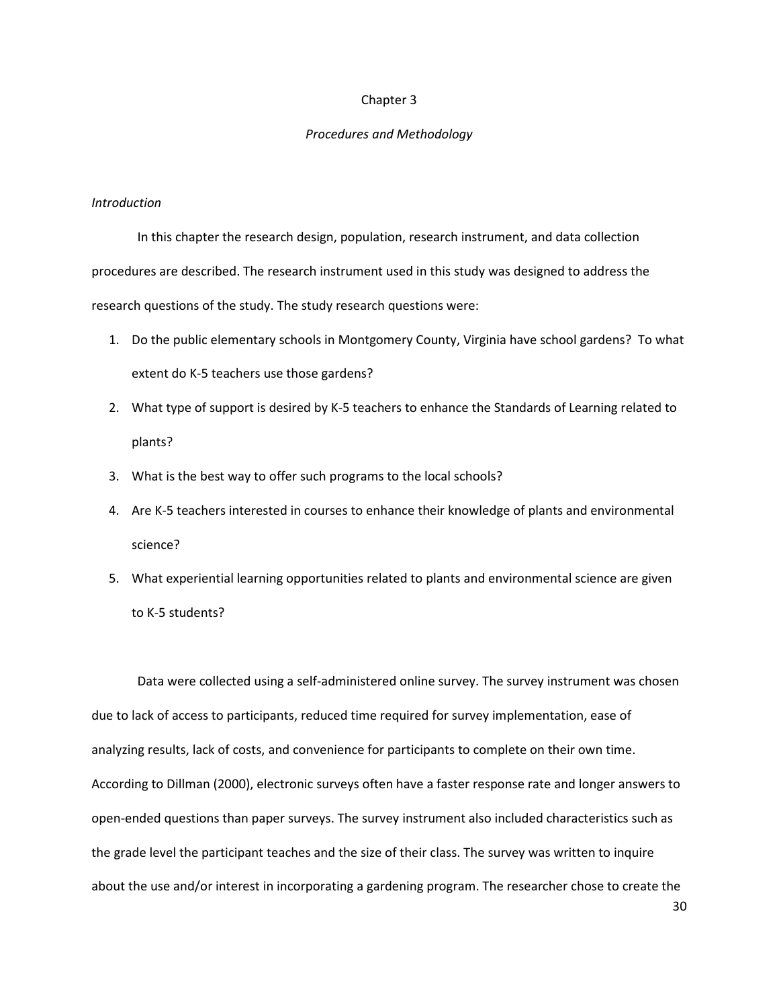### Chapter 3

### Procedures and Methodology

### Introduction

In this chapter the research design, population, research instrument, and data collection procedures are described. The research instrument used in this study was designed to address the research questions of the study. The study research questions were:

- 1. Do the public elementary schools in Montgomery County, Virginia have school gardens? To what extent do K-5 teachers use those gardens?
- 2. What type of support is desired by K-5 teachers to enhance the Standards of Learning related to plants?
- 3. What is the best way to offer such programs to the local schools?
- 4. Are K-5 teachers interested in courses to enhance their knowledge of plants and environmental science?
- 5. What experiential learning opportunities related to plants and environmental science are given to K-5 students?

Data were collected using a self-administered online survey. The survey instrument was chosen due to lack of access to participants, reduced time required for survey implementation, ease of analyzing results, lack of costs, and convenience for participants to complete on their own time. According to Dillman (2000), electronic surveys often have a faster response rate and longer answers to open-ended questions than paper surveys. The survey instrument also included characteristics such as the grade level the participant teaches and the size of their class. The survey was written to inquire about the use and/or interest in incorporating a gardening program. The researcher chose to create the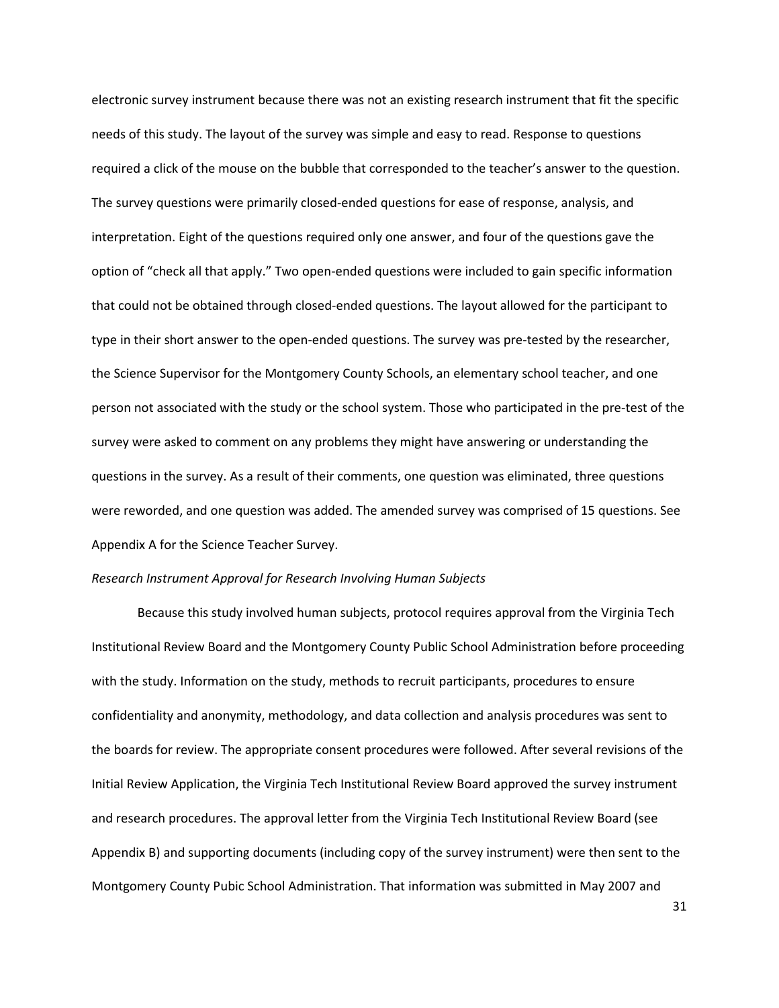electronic survey instrument because there was not an existing research instrument that fit the specific needs of this study. The layout of the survey was simple and easy to read. Response to questions required a click of the mouse on the bubble that corresponded to the teacher's answer to the question. The survey questions were primarily closed-ended questions for ease of response, analysis, and interpretation. Eight of the questions required only one answer, and four of the questions gave the option of "check all that apply." Two open-ended questions were included to gain specific information that could not be obtained through closed-ended questions. The layout allowed for the participant to type in their short answer to the open-ended questions. The survey was pre-tested by the researcher, the Science Supervisor for the Montgomery County Schools, an elementary school teacher, and one person not associated with the study or the school system. Those who participated in the pre-test of the survey were asked to comment on any problems they might have answering or understanding the questions in the survey. As a result of their comments, one question was eliminated, three questions were reworded, and one question was added. The amended survey was comprised of 15 questions. See Appendix A for the Science Teacher Survey.

#### Research Instrument Approval for Research Involving Human Subjects

Because this study involved human subjects, protocol requires approval from the Virginia Tech Institutional Review Board and the Montgomery County Public School Administration before proceeding with the study. Information on the study, methods to recruit participants, procedures to ensure confidentiality and anonymity, methodology, and data collection and analysis procedures was sent to the boards for review. The appropriate consent procedures were followed. After several revisions of the Initial Review Application, the Virginia Tech Institutional Review Board approved the survey instrument and research procedures. The approval letter from the Virginia Tech Institutional Review Board (see Appendix B) and supporting documents (including copy of the survey instrument) were then sent to the Montgomery County Pubic School Administration. That information was submitted in May 2007 and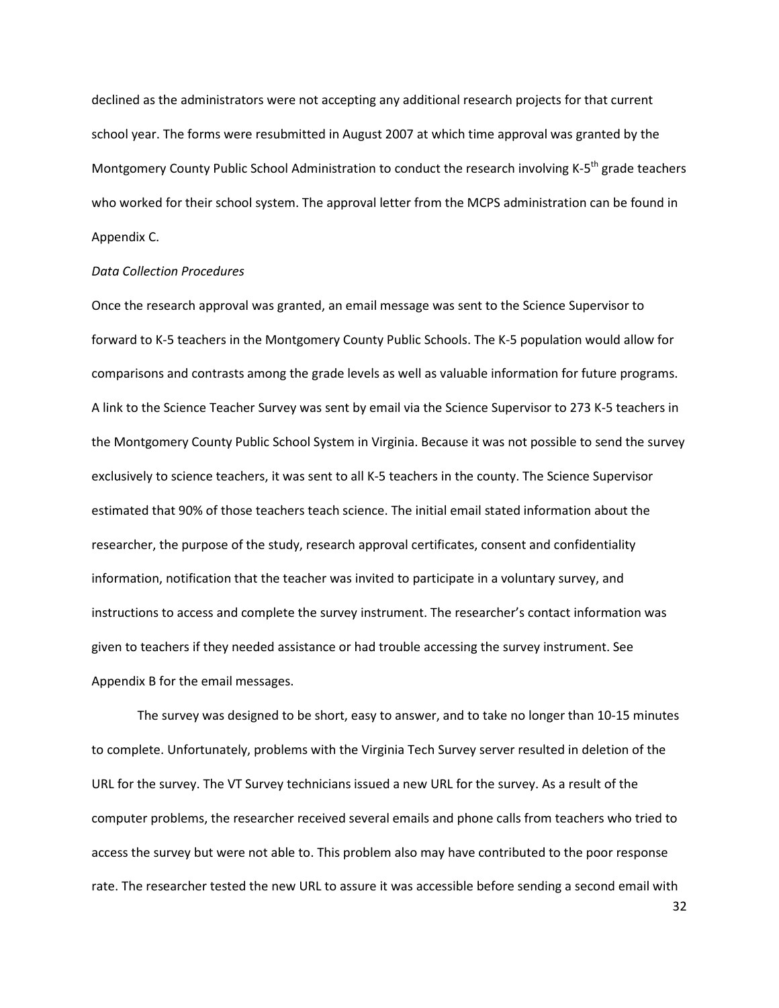declined as the administrators were not accepting any additional research projects for that current school year. The forms were resubmitted in August 2007 at which time approval was granted by the Montgomery County Public School Administration to conduct the research involving K-5<sup>th</sup> grade teachers who worked for their school system. The approval letter from the MCPS administration can be found in Appendix C.

### Data Collection Procedures

Once the research approval was granted, an email message was sent to the Science Supervisor to forward to K-5 teachers in the Montgomery County Public Schools. The K-5 population would allow for comparisons and contrasts among the grade levels as well as valuable information for future programs. A link to the Science Teacher Survey was sent by email via the Science Supervisor to 273 K-5 teachers in the Montgomery County Public School System in Virginia. Because it was not possible to send the survey exclusively to science teachers, it was sent to all K-5 teachers in the county. The Science Supervisor estimated that 90% of those teachers teach science. The initial email stated information about the researcher, the purpose of the study, research approval certificates, consent and confidentiality information, notification that the teacher was invited to participate in a voluntary survey, and instructions to access and complete the survey instrument. The researcher's contact information was given to teachers if they needed assistance or had trouble accessing the survey instrument. See Appendix B for the email messages.

The survey was designed to be short, easy to answer, and to take no longer than 10-15 minutes to complete. Unfortunately, problems with the Virginia Tech Survey server resulted in deletion of the URL for the survey. The VT Survey technicians issued a new URL for the survey. As a result of the computer problems, the researcher received several emails and phone calls from teachers who tried to access the survey but were not able to. This problem also may have contributed to the poor response rate. The researcher tested the new URL to assure it was accessible before sending a second email with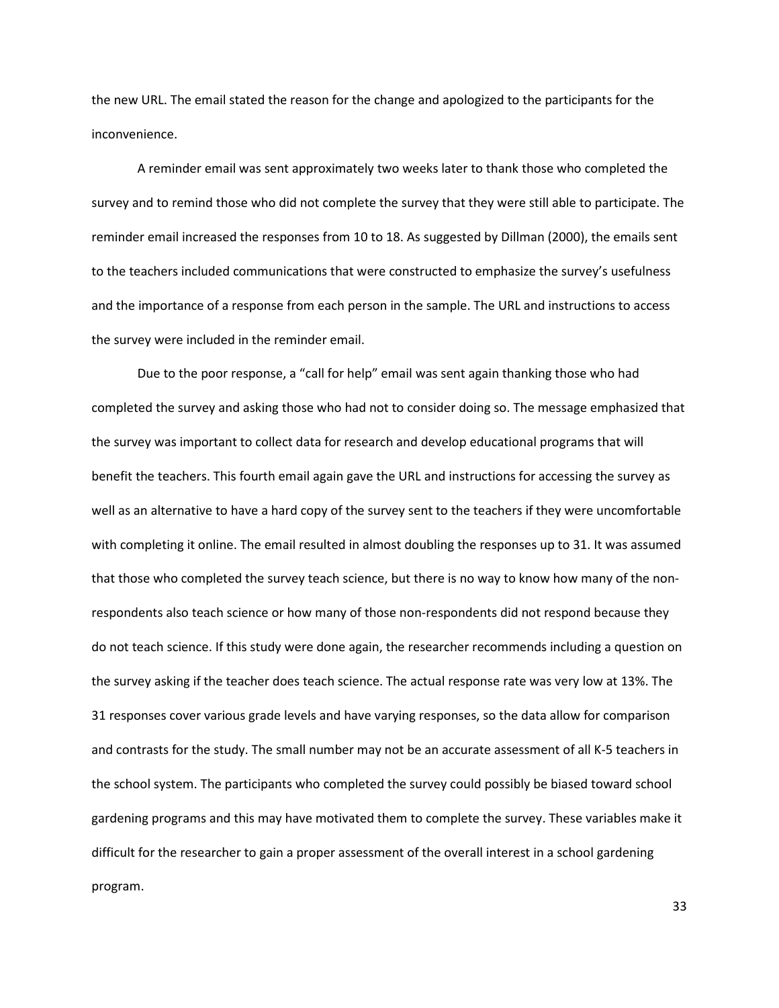the new URL. The email stated the reason for the change and apologized to the participants for the inconvenience.

 A reminder email was sent approximately two weeks later to thank those who completed the survey and to remind those who did not complete the survey that they were still able to participate. The reminder email increased the responses from 10 to 18. As suggested by Dillman (2000), the emails sent to the teachers included communications that were constructed to emphasize the survey's usefulness and the importance of a response from each person in the sample. The URL and instructions to access the survey were included in the reminder email.

Due to the poor response, a "call for help" email was sent again thanking those who had completed the survey and asking those who had not to consider doing so. The message emphasized that the survey was important to collect data for research and develop educational programs that will benefit the teachers. This fourth email again gave the URL and instructions for accessing the survey as well as an alternative to have a hard copy of the survey sent to the teachers if they were uncomfortable with completing it online. The email resulted in almost doubling the responses up to 31. It was assumed that those who completed the survey teach science, but there is no way to know how many of the nonrespondents also teach science or how many of those non-respondents did not respond because they do not teach science. If this study were done again, the researcher recommends including a question on the survey asking if the teacher does teach science. The actual response rate was very low at 13%. The 31 responses cover various grade levels and have varying responses, so the data allow for comparison and contrasts for the study. The small number may not be an accurate assessment of all K-5 teachers in the school system. The participants who completed the survey could possibly be biased toward school gardening programs and this may have motivated them to complete the survey. These variables make it difficult for the researcher to gain a proper assessment of the overall interest in a school gardening program.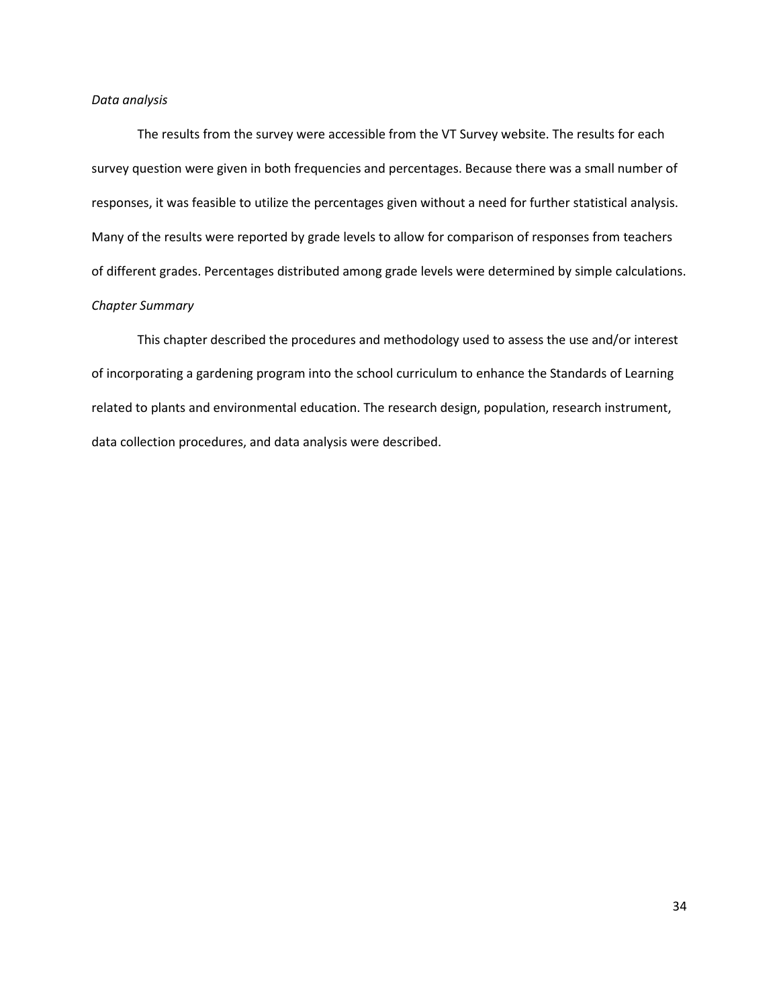### Data analysis

 The results from the survey were accessible from the VT Survey website. The results for each survey question were given in both frequencies and percentages. Because there was a small number of responses, it was feasible to utilize the percentages given without a need for further statistical analysis. Many of the results were reported by grade levels to allow for comparison of responses from teachers of different grades. Percentages distributed among grade levels were determined by simple calculations. Chapter Summary

 This chapter described the procedures and methodology used to assess the use and/or interest of incorporating a gardening program into the school curriculum to enhance the Standards of Learning related to plants and environmental education. The research design, population, research instrument, data collection procedures, and data analysis were described.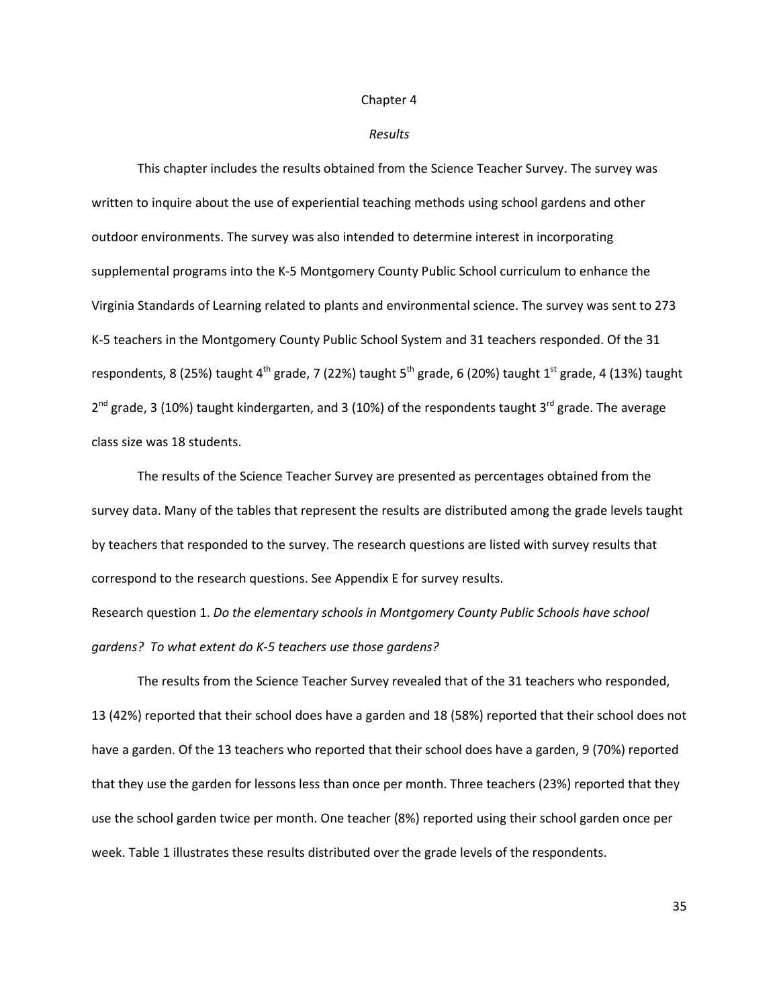#### Chapter 4

#### Results

This chapter includes the results obtained from the Science Teacher Survey. The survey was written to inquire about the use of experiential teaching methods using school gardens and other outdoor environments. The survey was also intended to determine interest in incorporating supplemental programs into the K-5 Montgomery County Public School curriculum to enhance the Virginia Standards of Learning related to plants and environmental science. The survey was sent to 273 K-5 teachers in the Montgomery County Public School System and 31 teachers responded. Of the 31 respondents, 8 (25%) taught 4<sup>th</sup> grade, 7 (22%) taught 5<sup>th</sup> grade, 6 (20%) taught 1<sup>st</sup> grade, 4 (13%) taught  $2^{nd}$  grade, 3 (10%) taught kindergarten, and 3 (10%) of the respondents taught 3<sup>rd</sup> grade. The average class size was 18 students.

The results of the Science Teacher Survey are presented as percentages obtained from the survey data. Many of the tables that represent the results are distributed among the grade levels taught by teachers that responded to the survey. The research questions are listed with survey results that correspond to the research questions. See Appendix E for survey results.

Research question 1. Do the elementary schools in Montgomery County Public Schools have school gardens? To what extent do K-5 teachers use those gardens?

 The results from the Science Teacher Survey revealed that of the 31 teachers who responded, 13 (42%) reported that their school does have a garden and 18 (58%) reported that their school does not have a garden. Of the 13 teachers who reported that their school does have a garden, 9 (70%) reported that they use the garden for lessons less than once per month. Three teachers (23%) reported that they use the school garden twice per month. One teacher (8%) reported using their school garden once per week. Table 1 illustrates these results distributed over the grade levels of the respondents.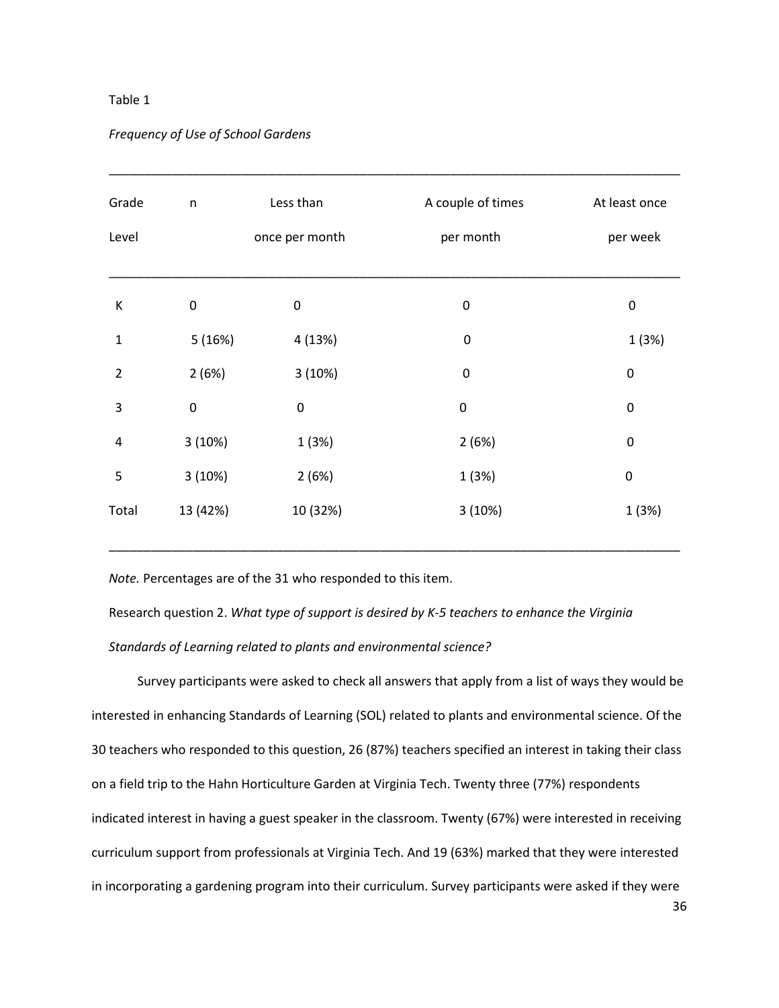### Table 1

| Grade          | n                | Less than      | A couple of times | At least once    |
|----------------|------------------|----------------|-------------------|------------------|
| Level          |                  | once per month | per month         | per week         |
| К              | $\boldsymbol{0}$ | $\pmb{0}$      | $\boldsymbol{0}$  | $\pmb{0}$        |
| 1              | 5(16%)           | 4 (13%)        | $\boldsymbol{0}$  | 1(3%)            |
| $\overline{2}$ | 2(6%)            | 3(10%)         | $\mathbf 0$       | $\pmb{0}$        |
| 3              | $\pmb{0}$        | $\pmb{0}$      | $\pmb{0}$         | $\pmb{0}$        |
| 4              | 3(10%)           | 1(3%)          | 2(6%)             | $\pmb{0}$        |
| 5              | 3(10%)           | 2(6%)          | 1(3%)             | $\boldsymbol{0}$ |
| Total          | 13 (42%)         | 10 (32%)       | 3(10%)            | 1(3%)            |

\_\_\_\_\_\_\_\_\_\_\_\_\_\_\_\_\_\_\_\_\_\_\_\_\_\_\_\_\_\_\_\_\_\_\_\_\_\_\_\_\_\_\_\_\_\_\_\_\_\_\_\_\_\_\_\_\_\_\_\_\_\_\_\_\_\_\_\_\_\_\_\_\_\_\_\_\_\_\_\_\_\_

### Frequency of Use of School Gardens

Note. Percentages are of the 31 who responded to this item.

Research question 2. What type of support is desired by K-5 teachers to enhance the Virginia Standards of Learning related to plants and environmental science?

 Survey participants were asked to check all answers that apply from a list of ways they would be interested in enhancing Standards of Learning (SOL) related to plants and environmental science. Of the 30 teachers who responded to this question, 26 (87%) teachers specified an interest in taking their class on a field trip to the Hahn Horticulture Garden at Virginia Tech. Twenty three (77%) respondents indicated interest in having a guest speaker in the classroom. Twenty (67%) were interested in receiving curriculum support from professionals at Virginia Tech. And 19 (63%) marked that they were interested in incorporating a gardening program into their curriculum. Survey participants were asked if they were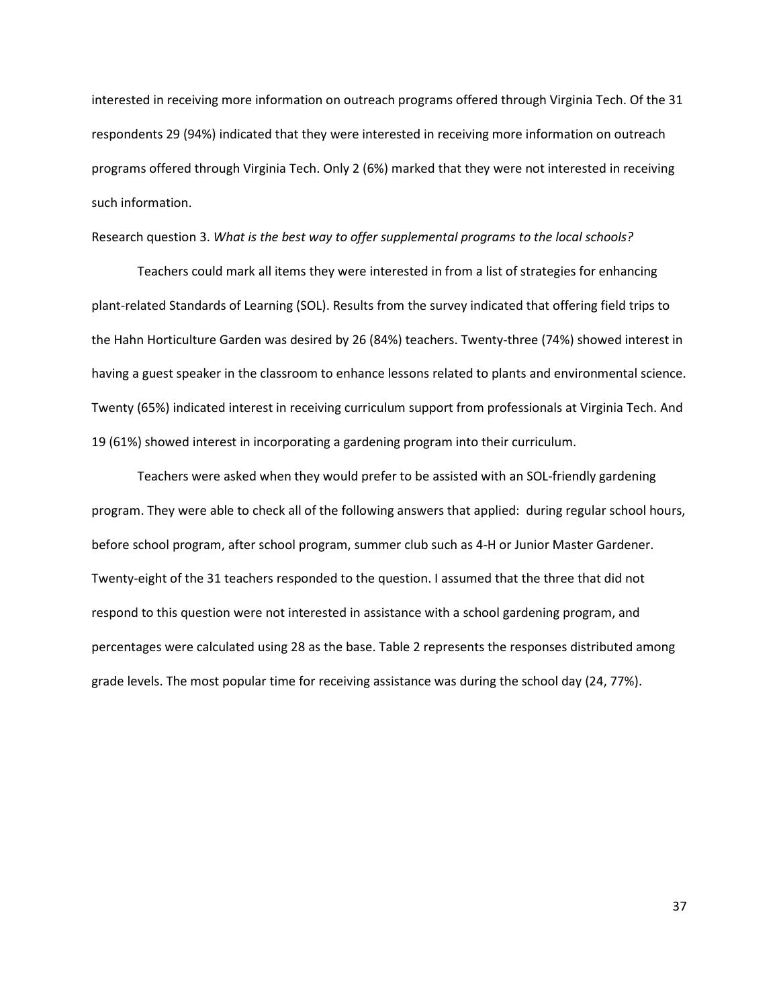interested in receiving more information on outreach programs offered through Virginia Tech. Of the 31 respondents 29 (94%) indicated that they were interested in receiving more information on outreach programs offered through Virginia Tech. Only 2 (6%) marked that they were not interested in receiving such information.

Research question 3. What is the best way to offer supplemental programs to the local schools?

 Teachers could mark all items they were interested in from a list of strategies for enhancing plant-related Standards of Learning (SOL). Results from the survey indicated that offering field trips to the Hahn Horticulture Garden was desired by 26 (84%) teachers. Twenty-three (74%) showed interest in having a guest speaker in the classroom to enhance lessons related to plants and environmental science. Twenty (65%) indicated interest in receiving curriculum support from professionals at Virginia Tech. And 19 (61%) showed interest in incorporating a gardening program into their curriculum.

 Teachers were asked when they would prefer to be assisted with an SOL-friendly gardening program. They were able to check all of the following answers that applied: during regular school hours, before school program, after school program, summer club such as 4-H or Junior Master Gardener. Twenty-eight of the 31 teachers responded to the question. I assumed that the three that did not respond to this question were not interested in assistance with a school gardening program, and percentages were calculated using 28 as the base. Table 2 represents the responses distributed among grade levels. The most popular time for receiving assistance was during the school day (24, 77%).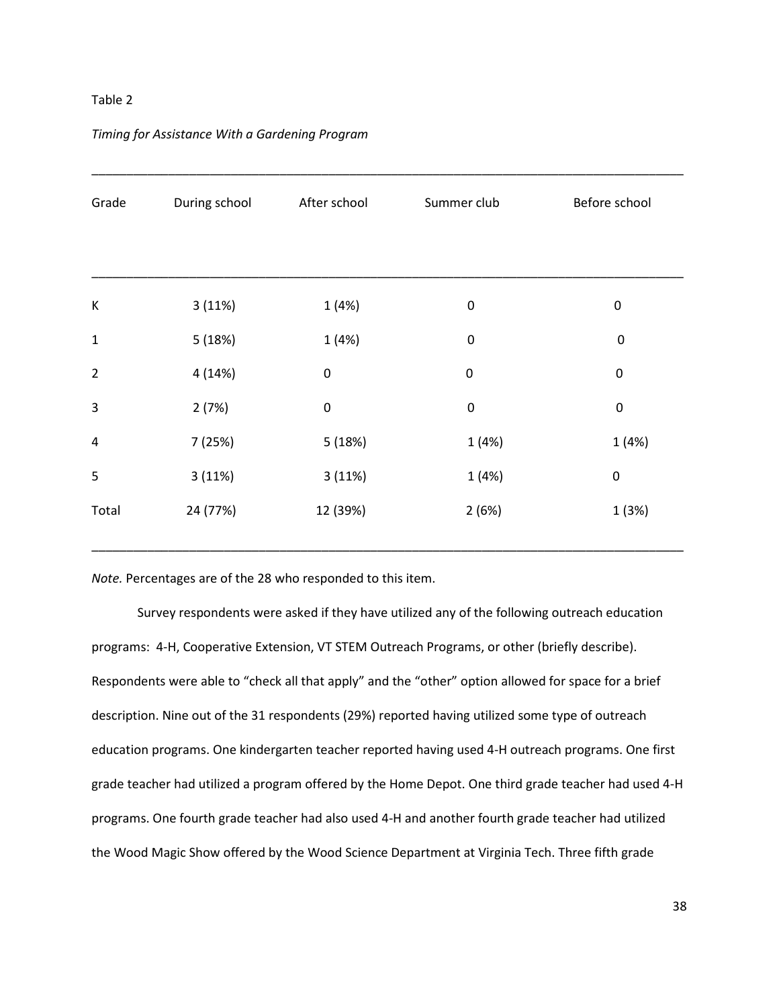### Table 2

| Grade       | During school | After school | Summer club | Before school    |
|-------------|---------------|--------------|-------------|------------------|
|             |               |              |             |                  |
|             |               |              |             |                  |
| К           | 3(11%)        | 1 (4%)       | $\pmb{0}$   | 0                |
| $\mathbf 1$ | 5(18%)        | 1(4%)        | $\pmb{0}$   | $\pmb{0}$        |
| $\mathbf 2$ | 4 (14%)       | $\pmb{0}$    | $\pmb{0}$   | $\boldsymbol{0}$ |
| 3           | 2(7%)         | $\pmb{0}$    | $\pmb{0}$   | $\pmb{0}$        |
| 4           | 7 (25%)       | 5(18%)       | 1(4%)       | 1(4%)            |
| 5           | 3(11%)        | 3(11%)       | 1 (4%)      | $\pmb{0}$        |
| Total       | 24 (77%)      | 12 (39%)     | 2(6%)       | 1 (3%)           |
|             |               |              |             |                  |

### Timing for Assistance With a Gardening Program

Note. Percentages are of the 28 who responded to this item.

Survey respondents were asked if they have utilized any of the following outreach education programs: 4-H, Cooperative Extension, VT STEM Outreach Programs, or other (briefly describe). Respondents were able to "check all that apply" and the "other" option allowed for space for a brief description. Nine out of the 31 respondents (29%) reported having utilized some type of outreach education programs. One kindergarten teacher reported having used 4-H outreach programs. One first grade teacher had utilized a program offered by the Home Depot. One third grade teacher had used 4-H programs. One fourth grade teacher had also used 4-H and another fourth grade teacher had utilized the Wood Magic Show offered by the Wood Science Department at Virginia Tech. Three fifth grade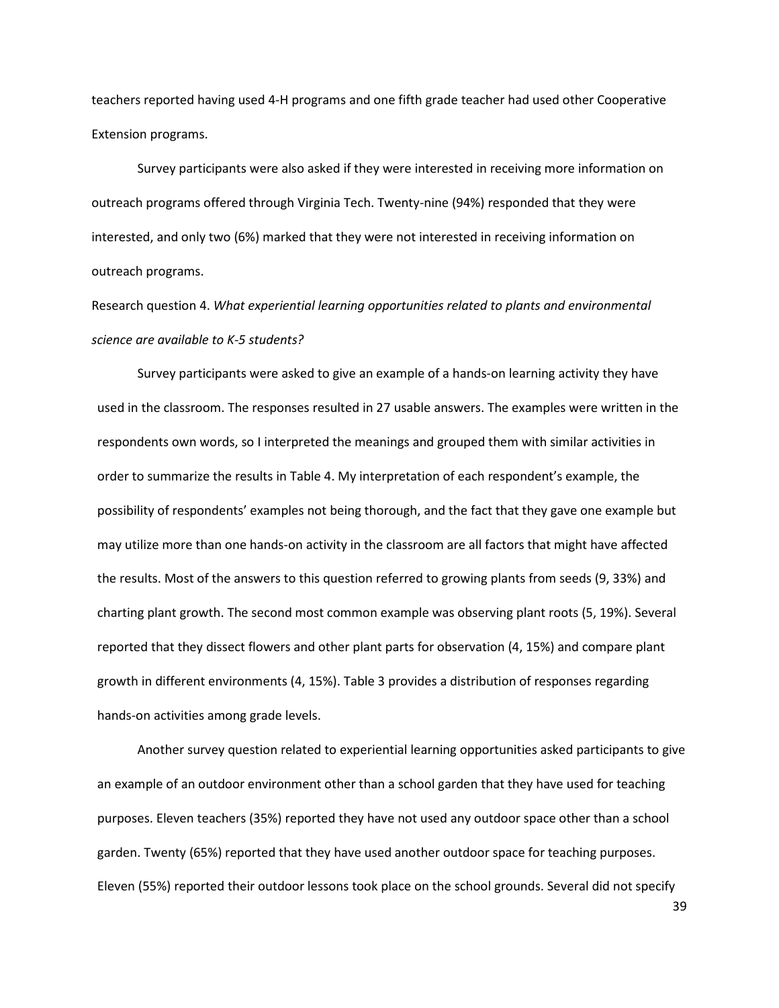teachers reported having used 4-H programs and one fifth grade teacher had used other Cooperative Extension programs.

Survey participants were also asked if they were interested in receiving more information on outreach programs offered through Virginia Tech. Twenty-nine (94%) responded that they were interested, and only two (6%) marked that they were not interested in receiving information on outreach programs.

Research question 4. What experiential learning opportunities related to plants and environmental science are available to K-5 students?

 Survey participants were asked to give an example of a hands-on learning activity they have used in the classroom. The responses resulted in 27 usable answers. The examples were written in the respondents own words, so I interpreted the meanings and grouped them with similar activities in order to summarize the results in Table 4. My interpretation of each respondent's example, the possibility of respondents' examples not being thorough, and the fact that they gave one example but may utilize more than one hands-on activity in the classroom are all factors that might have affected the results. Most of the answers to this question referred to growing plants from seeds (9, 33%) and charting plant growth. The second most common example was observing plant roots (5, 19%). Several reported that they dissect flowers and other plant parts for observation (4, 15%) and compare plant growth in different environments (4, 15%). Table 3 provides a distribution of responses regarding hands-on activities among grade levels.

 Another survey question related to experiential learning opportunities asked participants to give an example of an outdoor environment other than a school garden that they have used for teaching purposes. Eleven teachers (35%) reported they have not used any outdoor space other than a school garden. Twenty (65%) reported that they have used another outdoor space for teaching purposes. Eleven (55%) reported their outdoor lessons took place on the school grounds. Several did not specify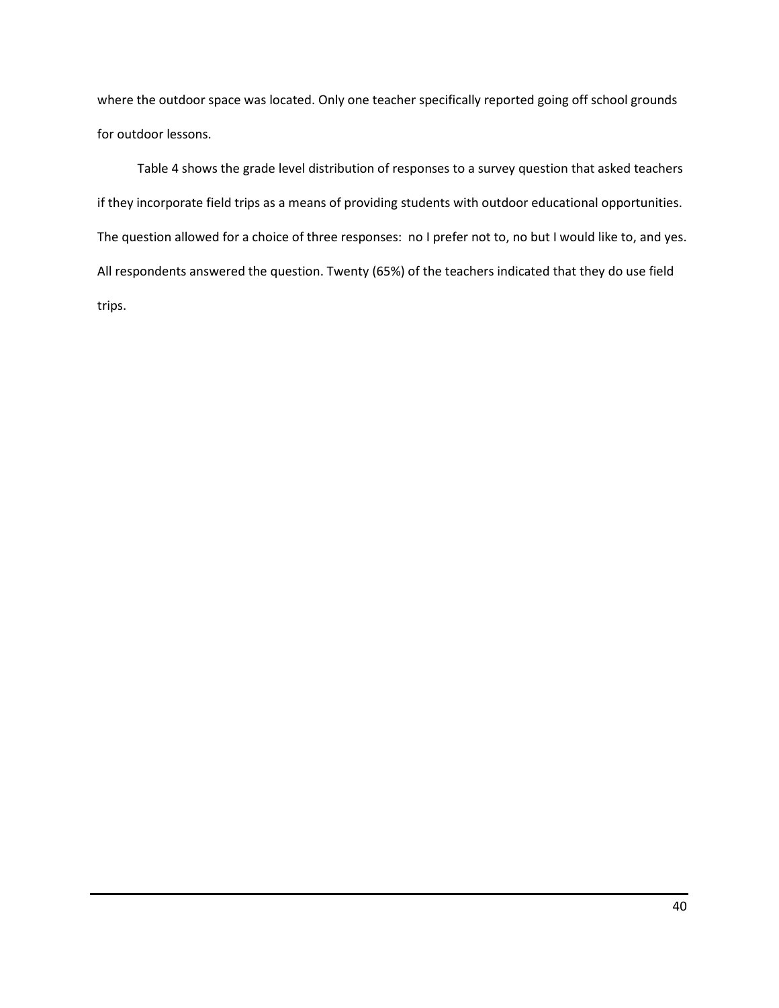where the outdoor space was located. Only one teacher specifically reported going off school grounds for outdoor lessons.

 Table 4 shows the grade level distribution of responses to a survey question that asked teachers if they incorporate field trips as a means of providing students with outdoor educational opportunities. The question allowed for a choice of three responses: no I prefer not to, no but I would like to, and yes. All respondents answered the question. Twenty (65%) of the teachers indicated that they do use field trips.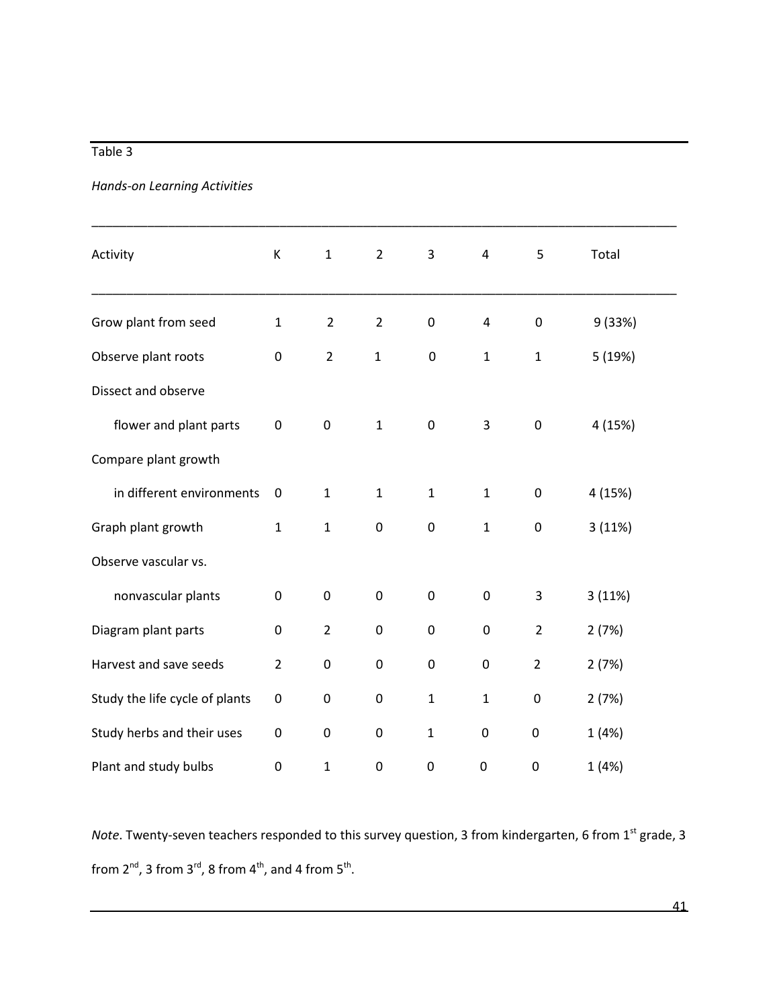# Table 3

# Hands-on Learning Activities

| Activity                       | К                | $\mathbf 1$    | $\overline{2}$   | 3                | $\pmb{4}$        | 5                | Total   |  |
|--------------------------------|------------------|----------------|------------------|------------------|------------------|------------------|---------|--|
| Grow plant from seed           |                  | $\overline{2}$ | $\overline{2}$   | 0                | 4                | $\pmb{0}$        | 9 (33%) |  |
| Observe plant roots            |                  | $\overline{2}$ | $\mathbf{1}$     | $\boldsymbol{0}$ | $\mathbf{1}$     | $\mathbf{1}$     | 5 (19%) |  |
| Dissect and observe            |                  |                |                  |                  |                  |                  |         |  |
| flower and plant parts         | $\boldsymbol{0}$ | $\pmb{0}$      | $\mathbf{1}$     | $\pmb{0}$        | $\overline{3}$   | $\pmb{0}$        | 4 (15%) |  |
| Compare plant growth           |                  |                |                  |                  |                  |                  |         |  |
| in different environments      | 0                | $\mathbf{1}$   | $\mathbf{1}$     | $\mathbf{1}$     | $\mathbf{1}$     | $\pmb{0}$        | 4 (15%) |  |
| Graph plant growth             | $\mathbf{1}$     | $\mathbf 1$    | $\boldsymbol{0}$ | $\pmb{0}$        | $\mathbf{1}$     | $\pmb{0}$        | 3(11%)  |  |
| Observe vascular vs.           |                  |                |                  |                  |                  |                  |         |  |
| nonvascular plants             | $\boldsymbol{0}$ | $\pmb{0}$      | $\boldsymbol{0}$ | $\boldsymbol{0}$ | $\boldsymbol{0}$ | 3                | 3(11%)  |  |
| Diagram plant parts            |                  | $\overline{2}$ | $\boldsymbol{0}$ | $\pmb{0}$        | $\pmb{0}$        | $\overline{2}$   | 2(7%)   |  |
| Harvest and save seeds         | $\overline{2}$   | $\pmb{0}$      | $\boldsymbol{0}$ | $\pmb{0}$        | $\boldsymbol{0}$ | $\overline{2}$   | 2(7%)   |  |
| Study the life cycle of plants |                  | 0              | 0                | $\mathbf{1}$     | $\mathbf{1}$     | 0                | 2(7%)   |  |
| Study herbs and their uses     |                  | $\pmb{0}$      | $\boldsymbol{0}$ | $\mathbf{1}$     | $\pmb{0}$        | $\mathbf 0$      | 1(4%)   |  |
| Plant and study bulbs          |                  | $\mathbf{1}$   | 0                | $\mathbf 0$      | 0                | $\boldsymbol{0}$ | 1(4%)   |  |

Note. Twenty-seven teachers responded to this survey question, 3 from kindergarten, 6 from  $1<sup>st</sup>$  grade, 3 from 2<sup>nd</sup>, 3 from 3<sup>rd</sup>, 8 from 4<sup>th</sup>, and 4 from 5<sup>th</sup>.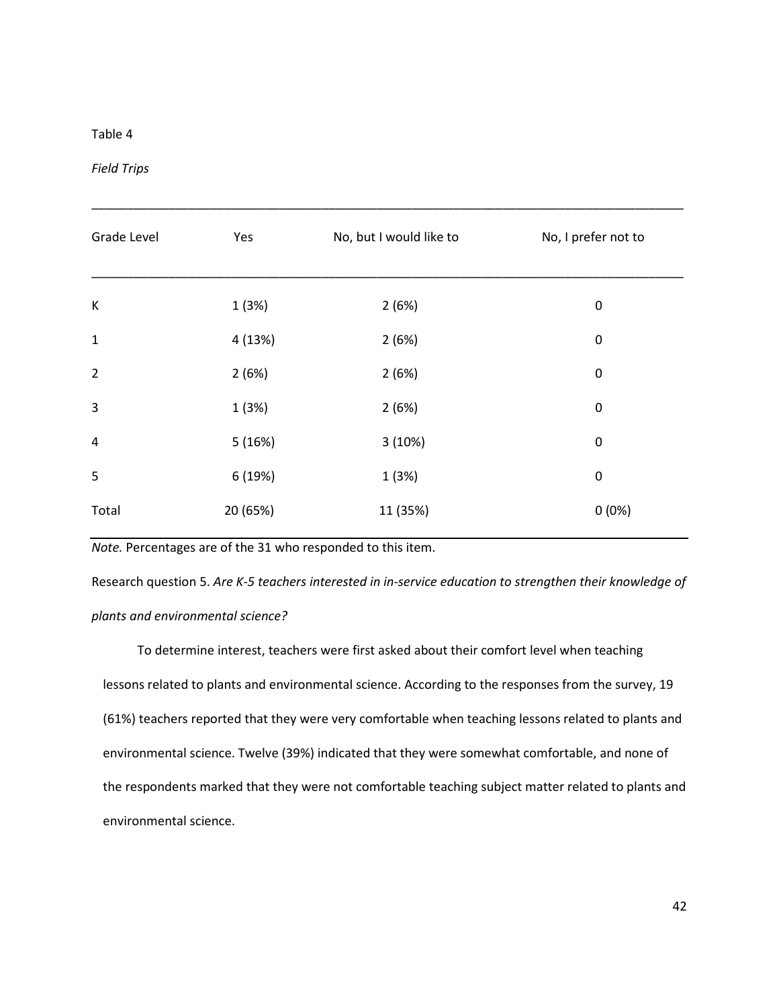### Table 4

Field Trips

| Grade Level    | Yes      | No, but I would like to | No, I prefer not to |
|----------------|----------|-------------------------|---------------------|
| К              | 1(3%)    | 2(6%)                   | 0                   |
| $\mathbf 1$    | 4 (13%)  | 2(6%)                   | $\pmb{0}$           |
| $\overline{2}$ | 2(6%)    | 2(6%)                   | $\pmb{0}$           |
| $\mathbf{3}$   | 1(3%)    | 2(6%)                   | $\pmb{0}$           |
| $\sqrt{4}$     | 5(16%)   | 3(10%)                  | $\pmb{0}$           |
| 5              | 6 (19%)  | 1(3%)                   | $\boldsymbol{0}$    |
| Total          | 20 (65%) | 11 (35%)                | 0(0%)               |

\_\_\_\_\_\_\_\_\_\_\_\_\_\_\_\_\_\_\_\_\_\_\_\_\_\_\_\_\_\_\_\_\_\_\_\_\_\_\_\_\_\_\_\_\_\_\_\_\_\_\_\_\_\_\_\_\_\_\_\_\_\_\_\_\_\_\_\_\_\_\_\_\_\_\_\_\_\_\_\_\_\_\_\_\_

Note. Percentages are of the 31 who responded to this item.

Research question 5. Are K-5 teachers interested in in-service education to strengthen their knowledge of plants and environmental science?

 To determine interest, teachers were first asked about their comfort level when teaching lessons related to plants and environmental science. According to the responses from the survey, 19 (61%) teachers reported that they were very comfortable when teaching lessons related to plants and environmental science. Twelve (39%) indicated that they were somewhat comfortable, and none of the respondents marked that they were not comfortable teaching subject matter related to plants and environmental science.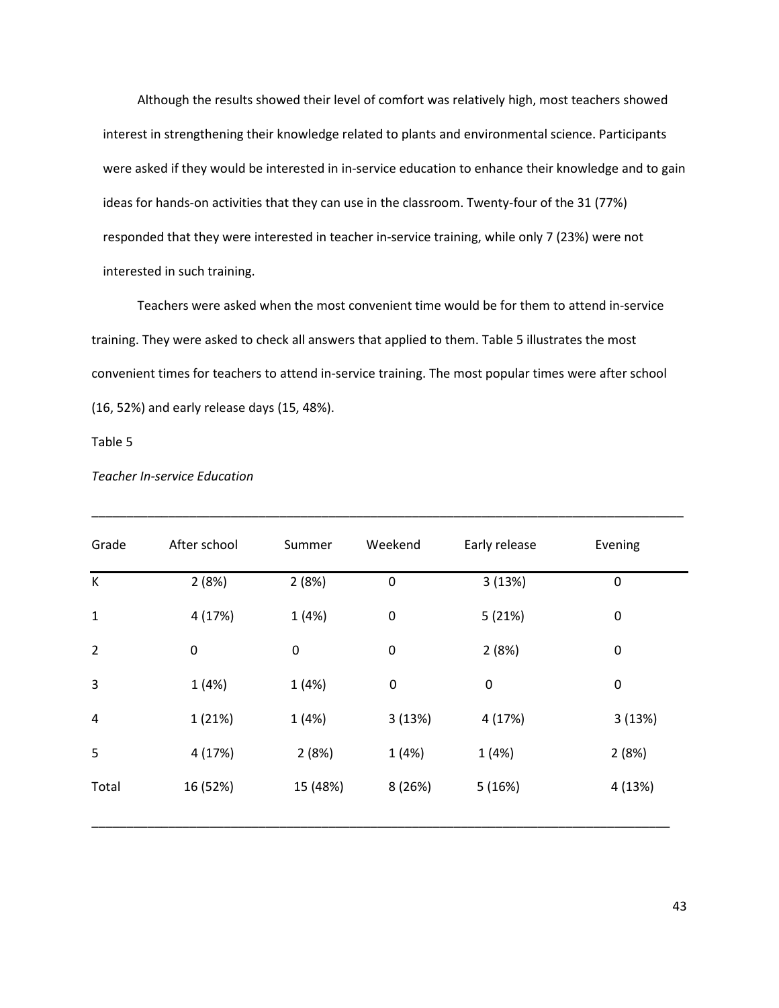Although the results showed their level of comfort was relatively high, most teachers showed interest in strengthening their knowledge related to plants and environmental science. Participants were asked if they would be interested in in-service education to enhance their knowledge and to gain ideas for hands-on activities that they can use in the classroom. Twenty-four of the 31 (77%) responded that they were interested in teacher in-service training, while only 7 (23%) were not interested in such training.

 Teachers were asked when the most convenient time would be for them to attend in-service training. They were asked to check all answers that applied to them. Table 5 illustrates the most convenient times for teachers to attend in-service training. The most popular times were after school (16, 52%) and early release days (15, 48%).

Table 5

| Grade          | After school | Summer           | Weekend          | Early release | Evening          |
|----------------|--------------|------------------|------------------|---------------|------------------|
| К              | 2(8%)        | 2(8%)            | $\boldsymbol{0}$ | 3(13%)        | $\mathbf 0$      |
| $\mathbf{1}$   | 4 (17%)      | 1(4%)            | $\pmb{0}$        | 5(21%)        | $\boldsymbol{0}$ |
| $\overline{2}$ | 0            | $\boldsymbol{0}$ | $\boldsymbol{0}$ | 2(8%)         | $\mathbf 0$      |
| 3              | 1(4%)        | 1(4%)            | $\pmb{0}$        | $\pmb{0}$     | $\mathbf 0$      |
| 4              | 1 (21%)      | 1(4%)            | 3(13%)           | 4 (17%)       | 3(13%)           |
| 5              | 4 (17%)      | 2(8%)            | 1(4%)            | 1(4%)         | 2(8%)            |
| Total          | 16 (52%)     | 15 (48%)         | 8(26%)           | 5(16%)        | 4 (13%)          |

Teacher In-service Education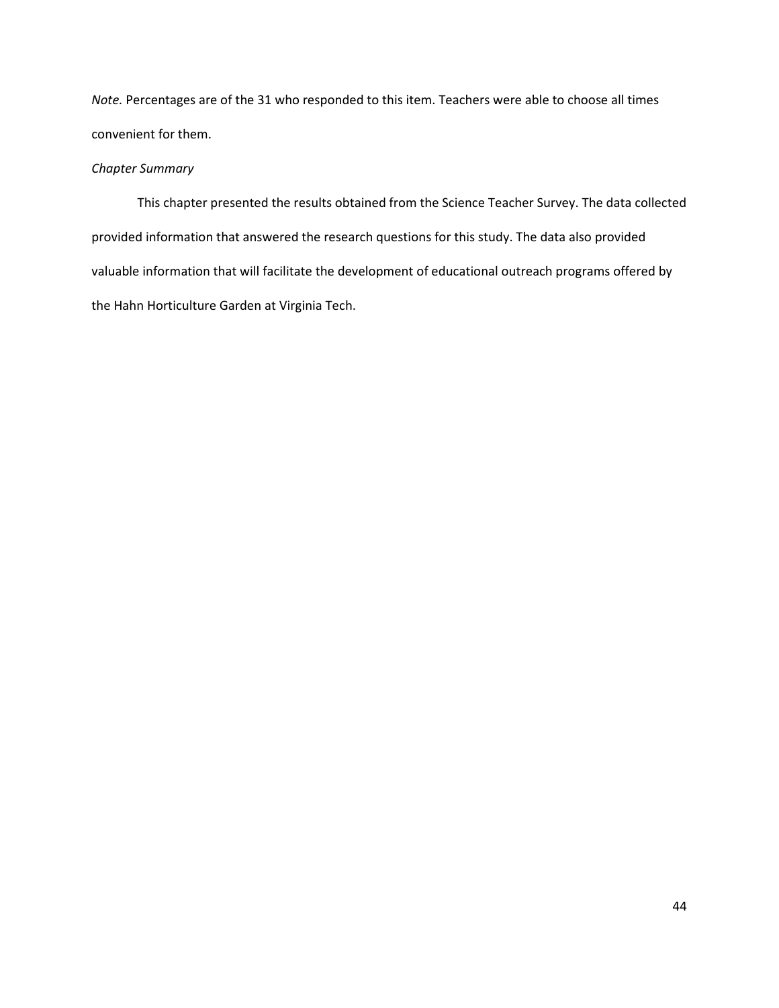Note. Percentages are of the 31 who responded to this item. Teachers were able to choose all times convenient for them.

### Chapter Summary

This chapter presented the results obtained from the Science Teacher Survey. The data collected provided information that answered the research questions for this study. The data also provided valuable information that will facilitate the development of educational outreach programs offered by the Hahn Horticulture Garden at Virginia Tech.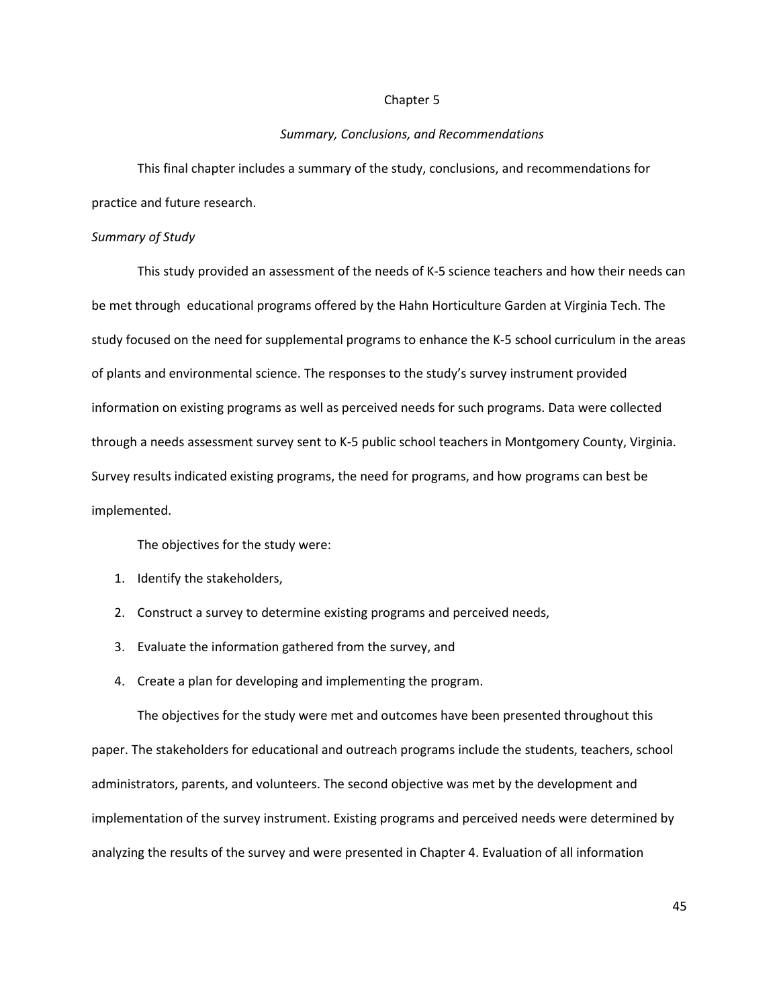#### Chapter 5

### Summary, Conclusions, and Recommendations

This final chapter includes a summary of the study, conclusions, and recommendations for practice and future research.

### Summary of Study

 This study provided an assessment of the needs of K-5 science teachers and how their needs can be met through educational programs offered by the Hahn Horticulture Garden at Virginia Tech. The study focused on the need for supplemental programs to enhance the K-5 school curriculum in the areas of plants and environmental science. The responses to the study's survey instrument provided information on existing programs as well as perceived needs for such programs. Data were collected through a needs assessment survey sent to K-5 public school teachers in Montgomery County, Virginia. Survey results indicated existing programs, the need for programs, and how programs can best be implemented.

The objectives for the study were:

- 1. Identify the stakeholders,
- 2. Construct a survey to determine existing programs and perceived needs,
- 3. Evaluate the information gathered from the survey, and
- 4. Create a plan for developing and implementing the program.

 The objectives for the study were met and outcomes have been presented throughout this paper. The stakeholders for educational and outreach programs include the students, teachers, school administrators, parents, and volunteers. The second objective was met by the development and implementation of the survey instrument. Existing programs and perceived needs were determined by analyzing the results of the survey and were presented in Chapter 4. Evaluation of all information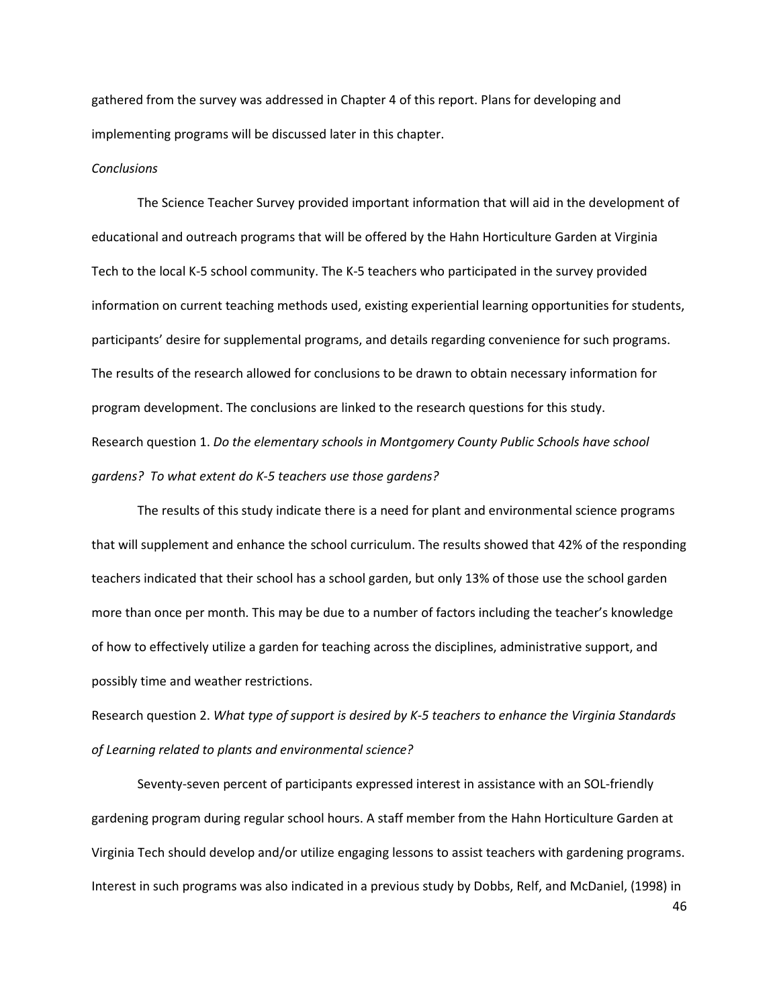gathered from the survey was addressed in Chapter 4 of this report. Plans for developing and implementing programs will be discussed later in this chapter.

### **Conclusions**

The Science Teacher Survey provided important information that will aid in the development of educational and outreach programs that will be offered by the Hahn Horticulture Garden at Virginia Tech to the local K-5 school community. The K-5 teachers who participated in the survey provided information on current teaching methods used, existing experiential learning opportunities for students, participants' desire for supplemental programs, and details regarding convenience for such programs. The results of the research allowed for conclusions to be drawn to obtain necessary information for program development. The conclusions are linked to the research questions for this study. Research question 1. Do the elementary schools in Montgomery County Public Schools have school gardens? To what extent do K-5 teachers use those gardens?

The results of this study indicate there is a need for plant and environmental science programs that will supplement and enhance the school curriculum. The results showed that 42% of the responding teachers indicated that their school has a school garden, but only 13% of those use the school garden more than once per month. This may be due to a number of factors including the teacher's knowledge of how to effectively utilize a garden for teaching across the disciplines, administrative support, and possibly time and weather restrictions.

Research question 2. What type of support is desired by K-5 teachers to enhance the Virginia Standards of Learning related to plants and environmental science?

 Seventy-seven percent of participants expressed interest in assistance with an SOL-friendly gardening program during regular school hours. A staff member from the Hahn Horticulture Garden at Virginia Tech should develop and/or utilize engaging lessons to assist teachers with gardening programs. Interest in such programs was also indicated in a previous study by Dobbs, Relf, and McDaniel, (1998) in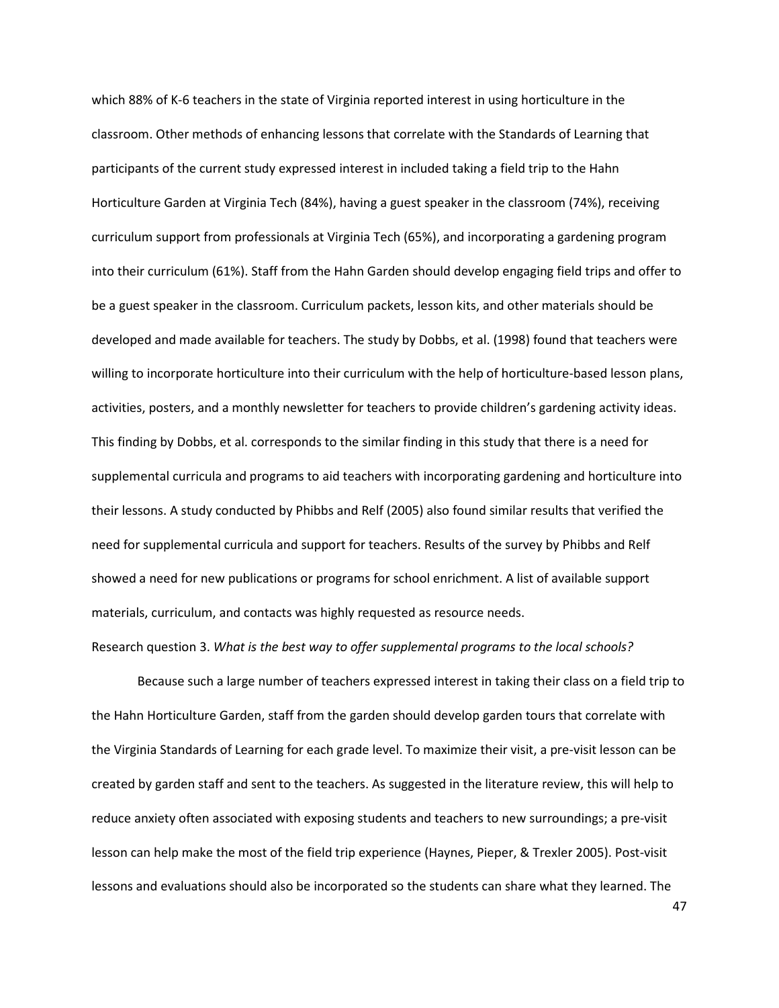which 88% of K-6 teachers in the state of Virginia reported interest in using horticulture in the classroom. Other methods of enhancing lessons that correlate with the Standards of Learning that participants of the current study expressed interest in included taking a field trip to the Hahn Horticulture Garden at Virginia Tech (84%), having a guest speaker in the classroom (74%), receiving curriculum support from professionals at Virginia Tech (65%), and incorporating a gardening program into their curriculum (61%). Staff from the Hahn Garden should develop engaging field trips and offer to be a guest speaker in the classroom. Curriculum packets, lesson kits, and other materials should be developed and made available for teachers. The study by Dobbs, et al. (1998) found that teachers were willing to incorporate horticulture into their curriculum with the help of horticulture-based lesson plans, activities, posters, and a monthly newsletter for teachers to provide children's gardening activity ideas. This finding by Dobbs, et al. corresponds to the similar finding in this study that there is a need for supplemental curricula and programs to aid teachers with incorporating gardening and horticulture into their lessons. A study conducted by Phibbs and Relf (2005) also found similar results that verified the need for supplemental curricula and support for teachers. Results of the survey by Phibbs and Relf showed a need for new publications or programs for school enrichment. A list of available support materials, curriculum, and contacts was highly requested as resource needs.

### Research question 3. What is the best way to offer supplemental programs to the local schools?

 Because such a large number of teachers expressed interest in taking their class on a field trip to the Hahn Horticulture Garden, staff from the garden should develop garden tours that correlate with the Virginia Standards of Learning for each grade level. To maximize their visit, a pre-visit lesson can be created by garden staff and sent to the teachers. As suggested in the literature review, this will help to reduce anxiety often associated with exposing students and teachers to new surroundings; a pre-visit lesson can help make the most of the field trip experience (Haynes, Pieper, & Trexler 2005). Post-visit lessons and evaluations should also be incorporated so the students can share what they learned. The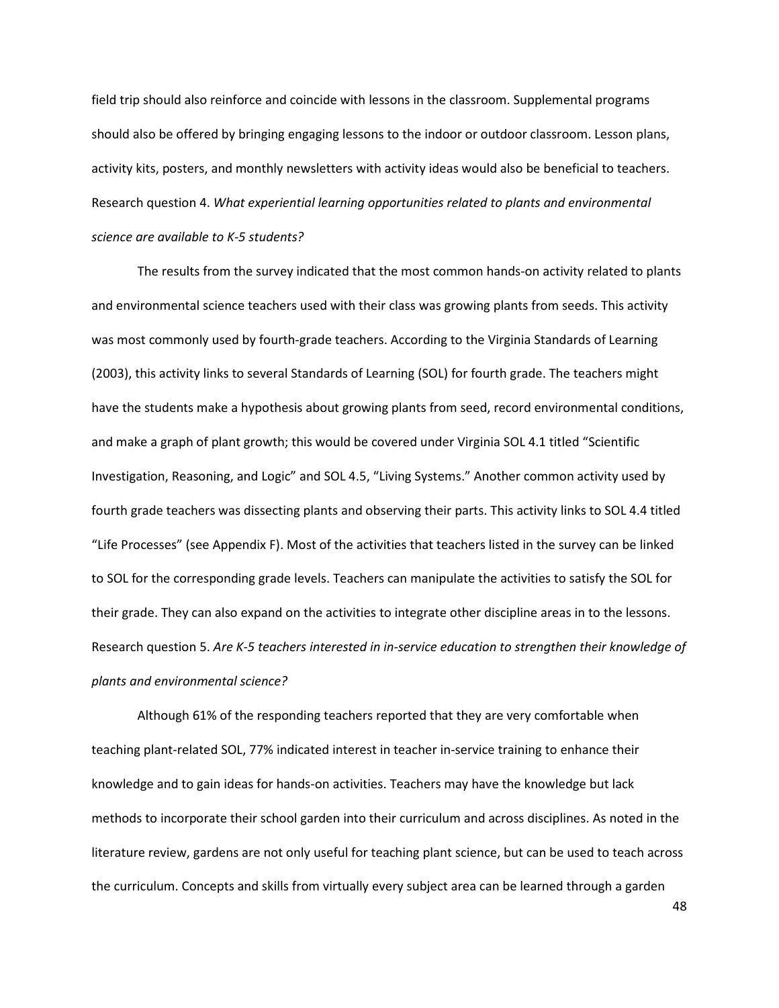field trip should also reinforce and coincide with lessons in the classroom. Supplemental programs should also be offered by bringing engaging lessons to the indoor or outdoor classroom. Lesson plans, activity kits, posters, and monthly newsletters with activity ideas would also be beneficial to teachers. Research question 4. What experiential learning opportunities related to plants and environmental science are available to K-5 students?

The results from the survey indicated that the most common hands-on activity related to plants and environmental science teachers used with their class was growing plants from seeds. This activity was most commonly used by fourth-grade teachers. According to the Virginia Standards of Learning (2003), this activity links to several Standards of Learning (SOL) for fourth grade. The teachers might have the students make a hypothesis about growing plants from seed, record environmental conditions, and make a graph of plant growth; this would be covered under Virginia SOL 4.1 titled "Scientific Investigation, Reasoning, and Logic" and SOL 4.5, "Living Systems." Another common activity used by fourth grade teachers was dissecting plants and observing their parts. This activity links to SOL 4.4 titled "Life Processes" (see Appendix F). Most of the activities that teachers listed in the survey can be linked to SOL for the corresponding grade levels. Teachers can manipulate the activities to satisfy the SOL for their grade. They can also expand on the activities to integrate other discipline areas in to the lessons. Research question 5. Are K-5 teachers interested in in-service education to strengthen their knowledge of plants and environmental science?

Although 61% of the responding teachers reported that they are very comfortable when teaching plant-related SOL, 77% indicated interest in teacher in-service training to enhance their knowledge and to gain ideas for hands-on activities. Teachers may have the knowledge but lack methods to incorporate their school garden into their curriculum and across disciplines. As noted in the literature review, gardens are not only useful for teaching plant science, but can be used to teach across the curriculum. Concepts and skills from virtually every subject area can be learned through a garden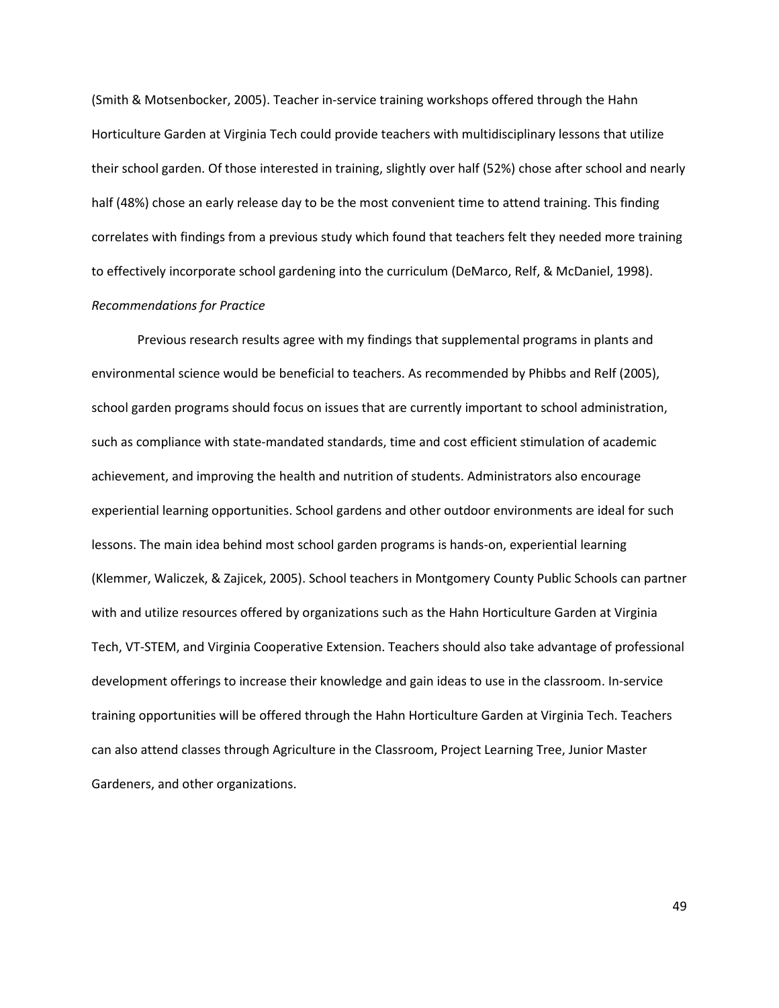(Smith & Motsenbocker, 2005). Teacher in-service training workshops offered through the Hahn Horticulture Garden at Virginia Tech could provide teachers with multidisciplinary lessons that utilize their school garden. Of those interested in training, slightly over half (52%) chose after school and nearly half (48%) chose an early release day to be the most convenient time to attend training. This finding correlates with findings from a previous study which found that teachers felt they needed more training to effectively incorporate school gardening into the curriculum (DeMarco, Relf, & McDaniel, 1998). Recommendations for Practice

Previous research results agree with my findings that supplemental programs in plants and environmental science would be beneficial to teachers. As recommended by Phibbs and Relf (2005), school garden programs should focus on issues that are currently important to school administration, such as compliance with state-mandated standards, time and cost efficient stimulation of academic achievement, and improving the health and nutrition of students. Administrators also encourage experiential learning opportunities. School gardens and other outdoor environments are ideal for such lessons. The main idea behind most school garden programs is hands-on, experiential learning (Klemmer, Waliczek, & Zajicek, 2005). School teachers in Montgomery County Public Schools can partner with and utilize resources offered by organizations such as the Hahn Horticulture Garden at Virginia Tech, VT-STEM, and Virginia Cooperative Extension. Teachers should also take advantage of professional development offerings to increase their knowledge and gain ideas to use in the classroom. In-service training opportunities will be offered through the Hahn Horticulture Garden at Virginia Tech. Teachers can also attend classes through Agriculture in the Classroom, Project Learning Tree, Junior Master Gardeners, and other organizations.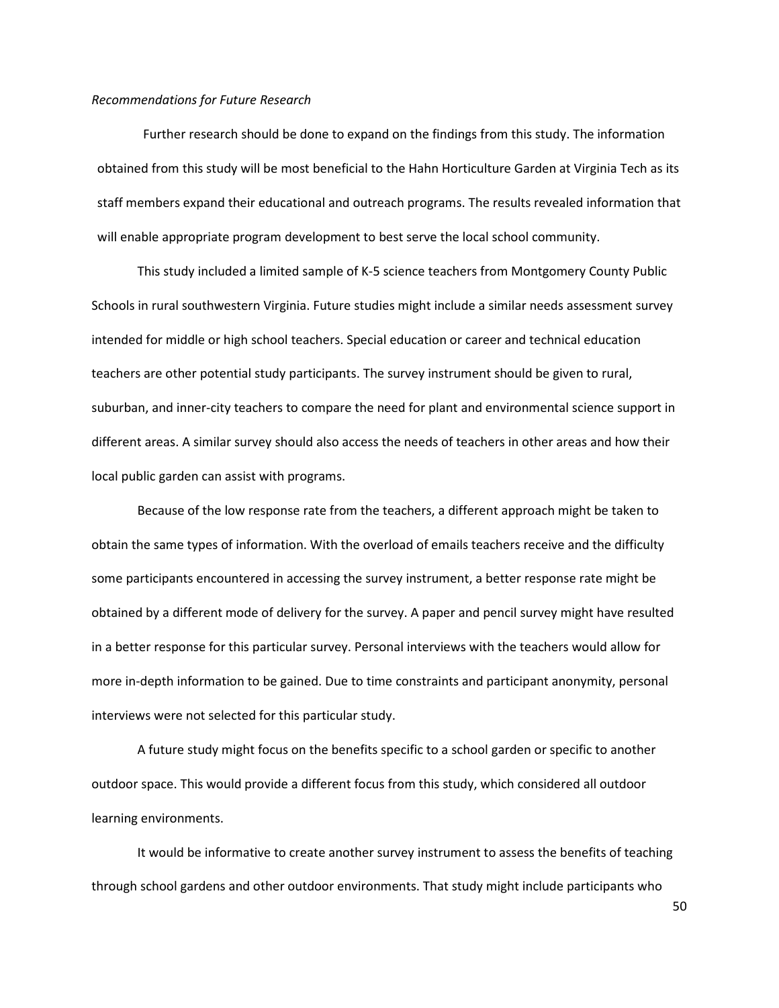### Recommendations for Future Research

Further research should be done to expand on the findings from this study. The information obtained from this study will be most beneficial to the Hahn Horticulture Garden at Virginia Tech as its staff members expand their educational and outreach programs. The results revealed information that will enable appropriate program development to best serve the local school community.

This study included a limited sample of K-5 science teachers from Montgomery County Public Schools in rural southwestern Virginia. Future studies might include a similar needs assessment survey intended for middle or high school teachers. Special education or career and technical education teachers are other potential study participants. The survey instrument should be given to rural, suburban, and inner-city teachers to compare the need for plant and environmental science support in different areas. A similar survey should also access the needs of teachers in other areas and how their local public garden can assist with programs.

Because of the low response rate from the teachers, a different approach might be taken to obtain the same types of information. With the overload of emails teachers receive and the difficulty some participants encountered in accessing the survey instrument, a better response rate might be obtained by a different mode of delivery for the survey. A paper and pencil survey might have resulted in a better response for this particular survey. Personal interviews with the teachers would allow for more in-depth information to be gained. Due to time constraints and participant anonymity, personal interviews were not selected for this particular study.

A future study might focus on the benefits specific to a school garden or specific to another outdoor space. This would provide a different focus from this study, which considered all outdoor learning environments.

It would be informative to create another survey instrument to assess the benefits of teaching through school gardens and other outdoor environments. That study might include participants who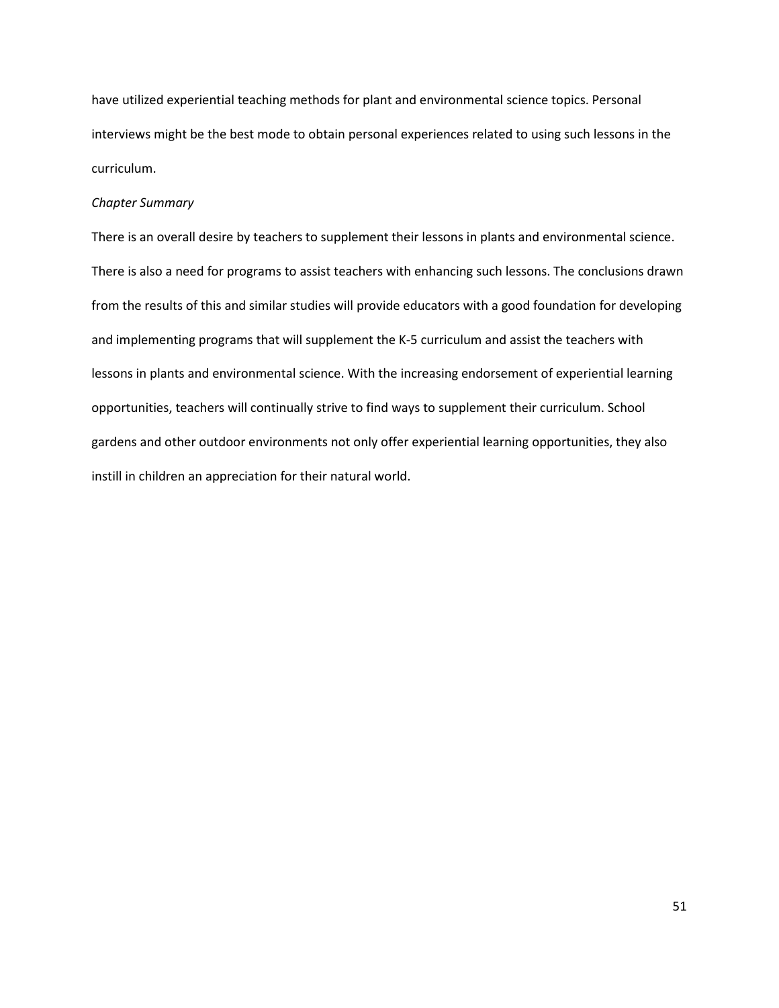have utilized experiential teaching methods for plant and environmental science topics. Personal interviews might be the best mode to obtain personal experiences related to using such lessons in the curriculum.

### Chapter Summary

There is an overall desire by teachers to supplement their lessons in plants and environmental science. There is also a need for programs to assist teachers with enhancing such lessons. The conclusions drawn from the results of this and similar studies will provide educators with a good foundation for developing and implementing programs that will supplement the K-5 curriculum and assist the teachers with lessons in plants and environmental science. With the increasing endorsement of experiential learning opportunities, teachers will continually strive to find ways to supplement their curriculum. School gardens and other outdoor environments not only offer experiential learning opportunities, they also instill in children an appreciation for their natural world.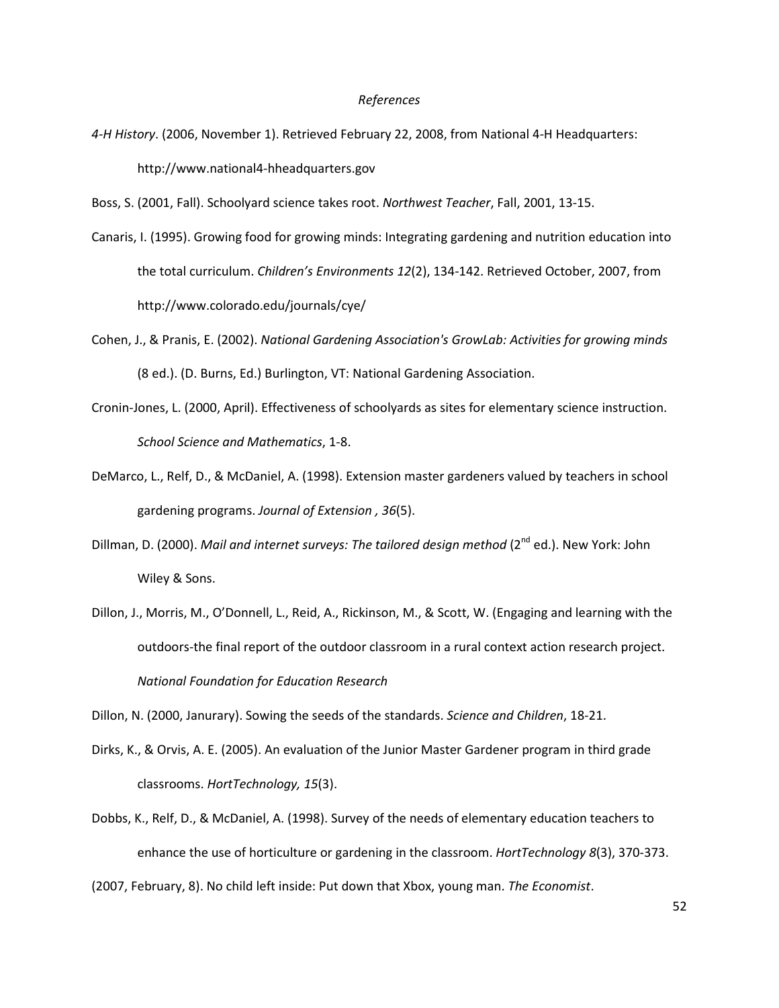#### References

- 4-H History. (2006, November 1). Retrieved February 22, 2008, from National 4-H Headquarters: http://www.national4-hheadquarters.gov
- Boss, S. (2001, Fall). Schoolyard science takes root. Northwest Teacher, Fall, 2001, 13-15.
- Canaris, I. (1995). Growing food for growing minds: Integrating gardening and nutrition education into the total curriculum. Children's Environments 12(2), 134-142. Retrieved October, 2007, from http://www.colorado.edu/journals/cye/
- Cohen, J., & Pranis, E. (2002). National Gardening Association's GrowLab: Activities for growing minds (8 ed.). (D. Burns, Ed.) Burlington, VT: National Gardening Association.
- Cronin-Jones, L. (2000, April). Effectiveness of schoolyards as sites for elementary science instruction. School Science and Mathematics, 1-8.
- DeMarco, L., Relf, D., & McDaniel, A. (1998). Extension master gardeners valued by teachers in school gardening programs. Journal of Extension , 36(5).
- Dillman, D. (2000). Mail and internet surveys: The tailored design method (2<sup>nd</sup> ed.). New York: John Wiley & Sons.
- Dillon, J., Morris, M., O'Donnell, L., Reid, A., Rickinson, M., & Scott, W. (Engaging and learning with the outdoors-the final report of the outdoor classroom in a rural context action research project. National Foundation for Education Research

Dillon, N. (2000, Janurary). Sowing the seeds of the standards. Science and Children, 18-21.

- Dirks, K., & Orvis, A. E. (2005). An evaluation of the Junior Master Gardener program in third grade classrooms. HortTechnology, 15(3).
- Dobbs, K., Relf, D., & McDaniel, A. (1998). Survey of the needs of elementary education teachers to enhance the use of horticulture or gardening in the classroom. HortTechnology 8(3), 370-373.

(2007, February, 8). No child left inside: Put down that Xbox, young man. The Economist.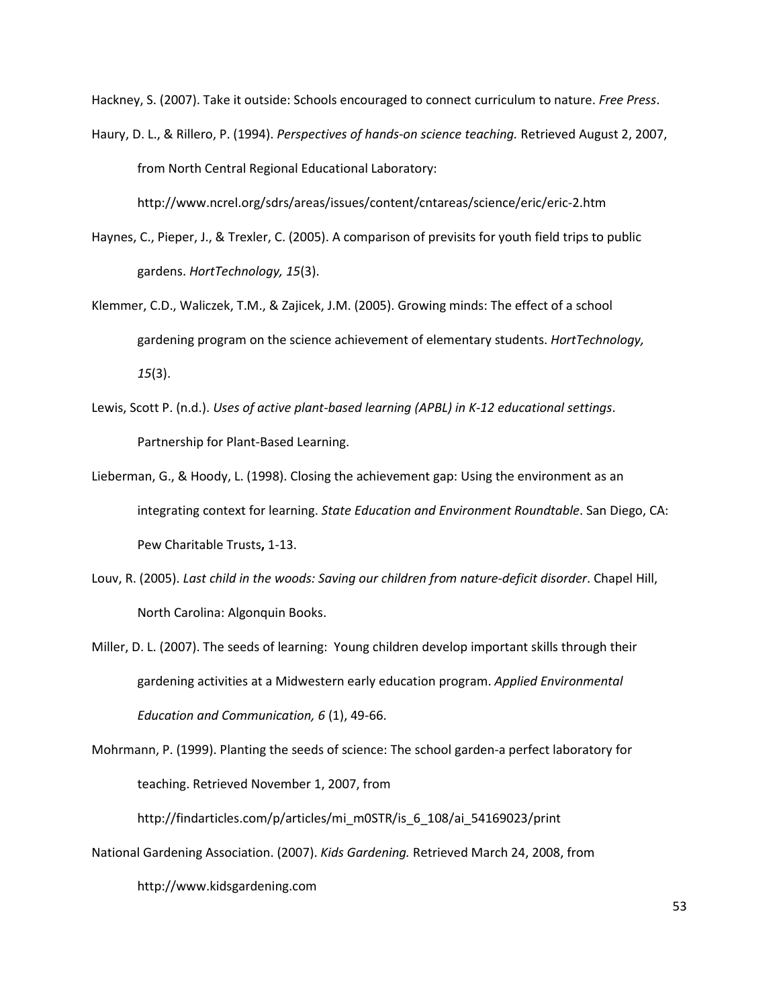Hackney, S. (2007). Take it outside: Schools encouraged to connect curriculum to nature. Free Press.

Haury, D. L., & Rillero, P. (1994). Perspectives of hands-on science teaching. Retrieved August 2, 2007, from North Central Regional Educational Laboratory:

http://www.ncrel.org/sdrs/areas/issues/content/cntareas/science/eric/eric-2.htm

- Haynes, C., Pieper, J., & Trexler, C. (2005). A comparison of previsits for youth field trips to public gardens. HortTechnology, 15(3).
- Klemmer, C.D., Waliczek, T.M., & Zajicek, J.M. (2005). Growing minds: The effect of a school gardening program on the science achievement of elementary students. HortTechnology, 15(3).
- Lewis, Scott P. (n.d.). Uses of active plant-based learning (APBL) in K-12 educational settings. Partnership for Plant-Based Learning.
- Lieberman, G., & Hoody, L. (1998). Closing the achievement gap: Using the environment as an integrating context for learning. State Education and Environment Roundtable. San Diego, CA: Pew Charitable Trusts, 1-13.
- Louv, R. (2005). Last child in the woods: Saving our children from nature-deficit disorder. Chapel Hill, North Carolina: Algonquin Books.
- Miller, D. L. (2007). The seeds of learning: Young children develop important skills through their gardening activities at a Midwestern early education program. Applied Environmental Education and Communication, 6 (1), 49-66.
- Mohrmann, P. (1999). Planting the seeds of science: The school garden-a perfect laboratory for teaching. Retrieved November 1, 2007, from http://findarticles.com/p/articles/mi\_m0STR/is\_6\_108/ai\_54169023/print
- National Gardening Association. (2007). Kids Gardening. Retrieved March 24, 2008, from http://www.kidsgardening.com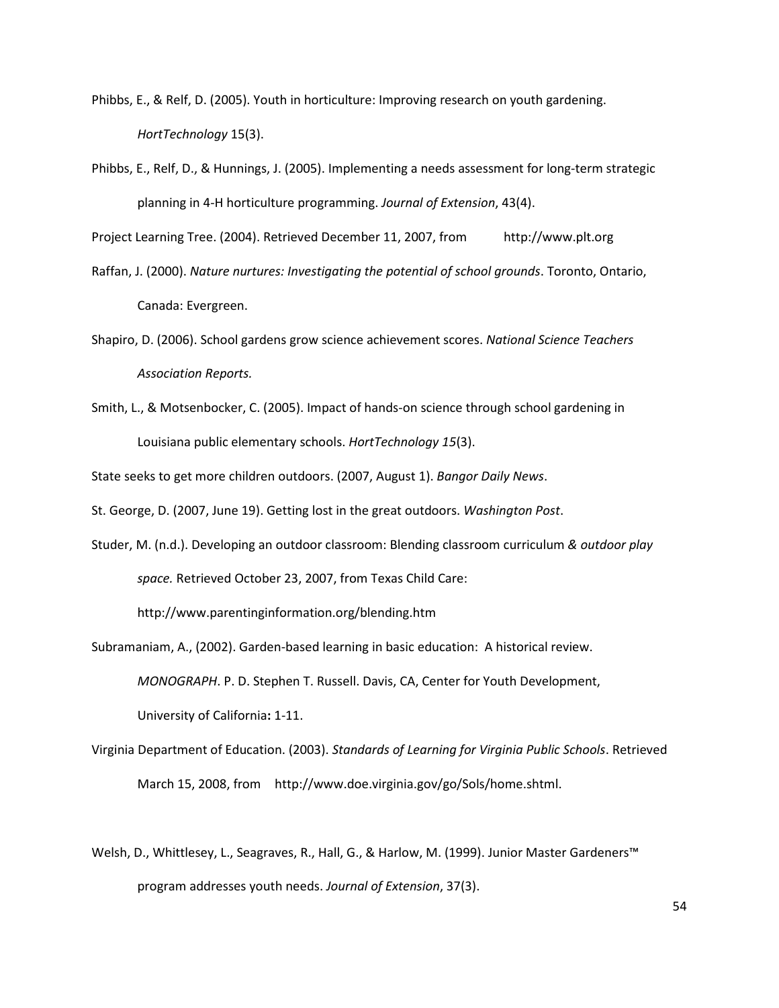- Phibbs, E., & Relf, D. (2005). Youth in horticulture: Improving research on youth gardening. HortTechnology 15(3).
- Phibbs, E., Relf, D., & Hunnings, J. (2005). Implementing a needs assessment for long-term strategic planning in 4-H horticulture programming. Journal of Extension, 43(4).

Project Learning Tree. (2004). Retrieved December 11, 2007, from http://www.plt.org

- Raffan, J. (2000). Nature nurtures: Investigating the potential of school grounds. Toronto, Ontario, Canada: Evergreen.
- Shapiro, D. (2006). School gardens grow science achievement scores. National Science Teachers Association Reports.
- Smith, L., & Motsenbocker, C. (2005). Impact of hands-on science through school gardening in Louisiana public elementary schools. HortTechnology 15(3).

State seeks to get more children outdoors. (2007, August 1). Bangor Daily News.

St. George, D. (2007, June 19). Getting lost in the great outdoors. Washington Post.

Studer, M. (n.d.). Developing an outdoor classroom: Blending classroom curriculum & outdoor play space. Retrieved October 23, 2007, from Texas Child Care:

http://www.parentinginformation.org/blending.htm

- Subramaniam, A., (2002). Garden-based learning in basic education: A historical review. MONOGRAPH. P. D. Stephen T. Russell. Davis, CA, Center for Youth Development, University of California: 1-11.
- Virginia Department of Education. (2003). Standards of Learning for Virginia Public Schools. Retrieved March 15, 2008, from http://www.doe.virginia.gov/go/Sols/home.shtml.
- Welsh, D., Whittlesey, L., Seagraves, R., Hall, G., & Harlow, M. (1999). Junior Master Gardeners™ program addresses youth needs. Journal of Extension, 37(3).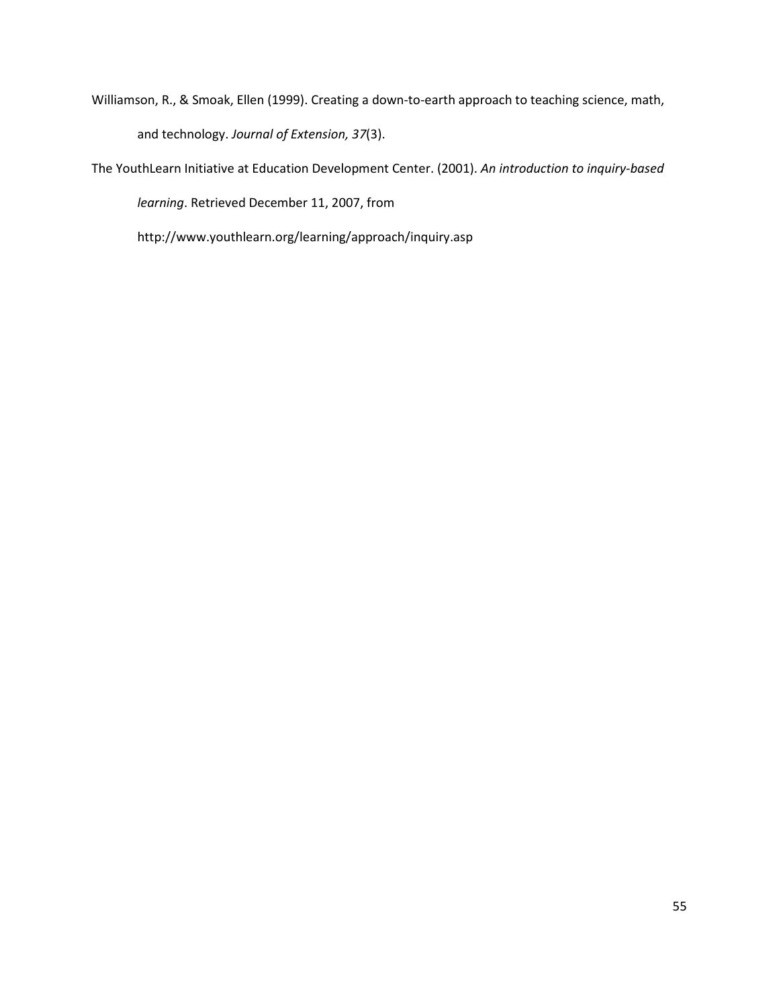- Williamson, R., & Smoak, Ellen (1999). Creating a down-to-earth approach to teaching science, math, and technology. Journal of Extension, 37(3).
- The YouthLearn Initiative at Education Development Center. (2001). An introduction to inquiry-based learning. Retrieved December 11, 2007, from

http://www.youthlearn.org/learning/approach/inquiry.asp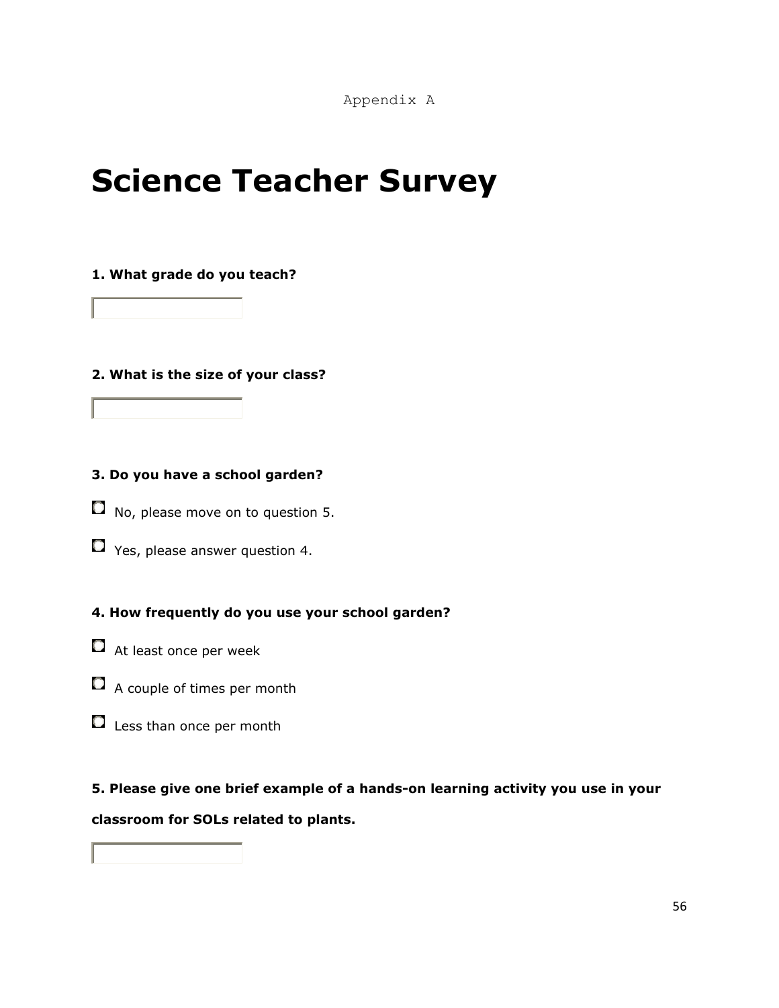# Science Teacher Survey

### 1. What grade do you teach?

2. What is the size of your class?

# 3. Do you have a school garden?

- $\Box$  No, please move on to question 5.
- $\Box$  Yes, please answer question 4.

# 4. How frequently do you use your school garden?

- $\Box$  At least once per week
- A couple of times per month
- Less than once per month

# 5. Please give one brief example of a hands-on learning activity you use in your classroom for SOLs related to plants.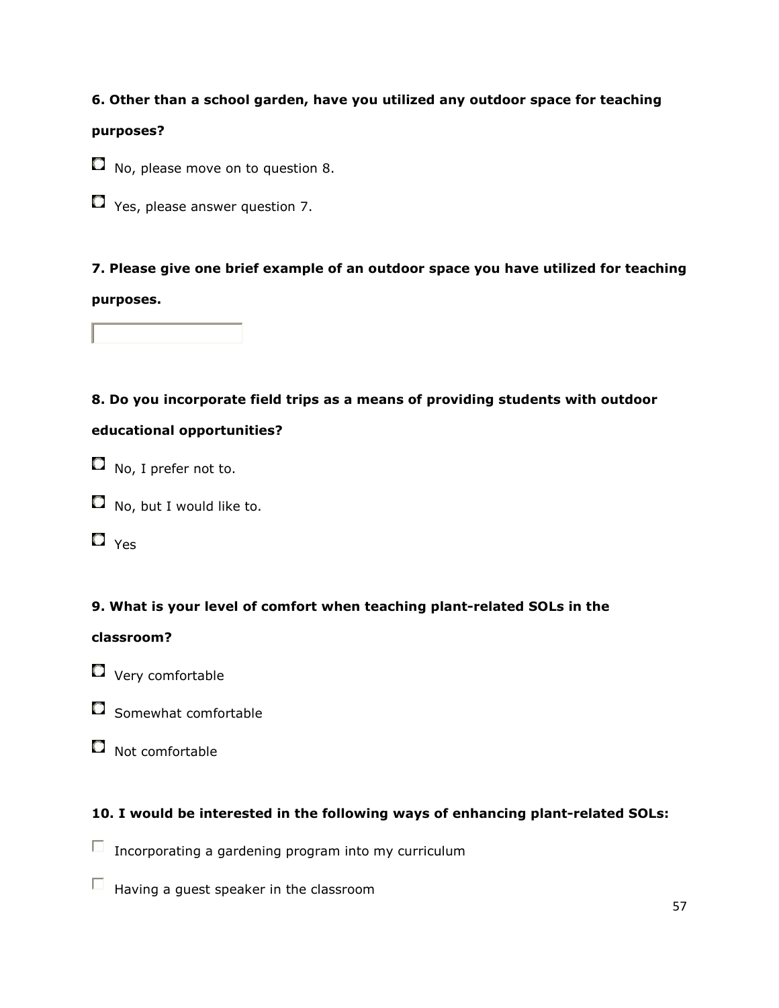# 6. Other than a school garden, have you utilized any outdoor space for teaching

### purposes?

- $\Box$  No, please move on to question 8.
- $\Box$  Yes, please answer question 7.

7. Please give one brief example of an outdoor space you have utilized for teaching purposes.

8. Do you incorporate field trips as a means of providing students with outdoor

# educational opportunities?

- $\Box$  No, I prefer not to.
- $\Box$  No, but I would like to.
- $\Box$  Yes

# 9. What is your level of comfort when teaching plant-related SOLs in the

# classroom?

- $\Box$  Very comfortable
- $\Box$  Somewhat comfortable
- $\Box$  Not comfortable

# 10. I would be interested in the following ways of enhancing plant-related SOLs:

- $\Box$  Incorporating a gardening program into my curriculum
- $\Box$  Having a guest speaker in the classroom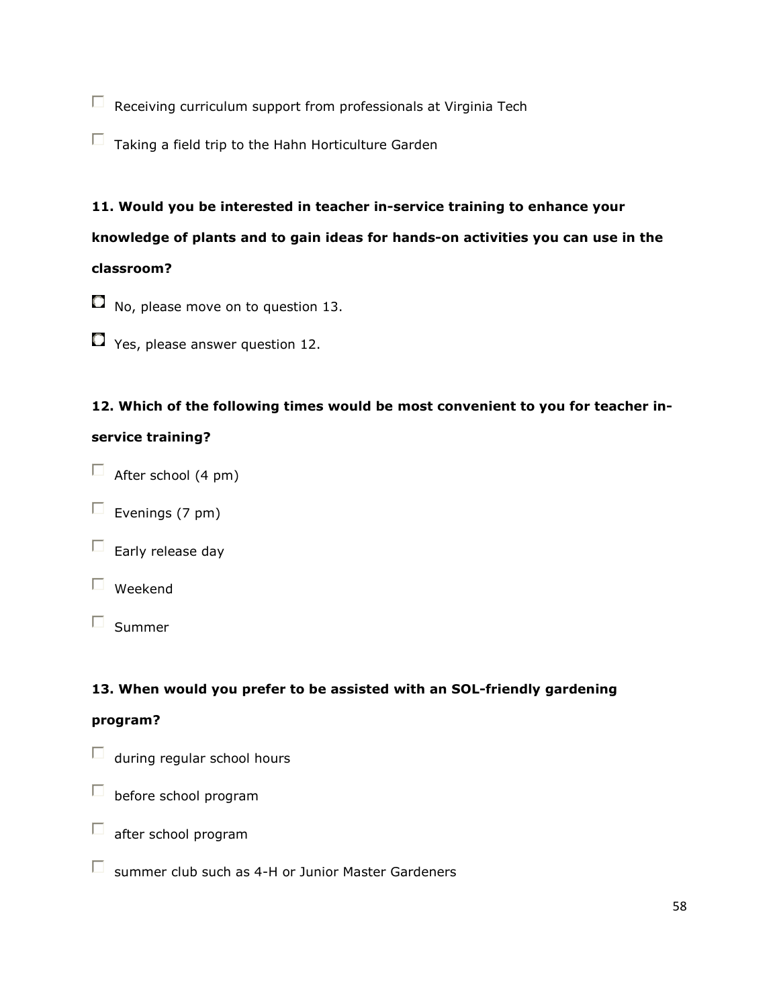$\Box$  Receiving curriculum support from professionals at Virginia Tech

 $\Box$  Taking a field trip to the Hahn Horticulture Garden

# 11. Would you be interested in teacher in-service training to enhance your

# knowledge of plants and to gain ideas for hands-on activities you can use in the classroom?

- $\Box$  No, please move on to question 13.
- Yes, please answer question 12.

# 12. Which of the following times would be most convenient to you for teacher in-

# service training?

- $\Box$  After school (4 pm)
- $\Box$  Evenings (7 pm)



- $\Box$  Weekend
- $\square$  Summer

# 13. When would you prefer to be assisted with an SOL-friendly gardening

### program?

- $\Box$  during regular school hours
- $\Box$  before school program
- $\square$  after school program
- $\Box$  summer club such as 4-H or Junior Master Gardeners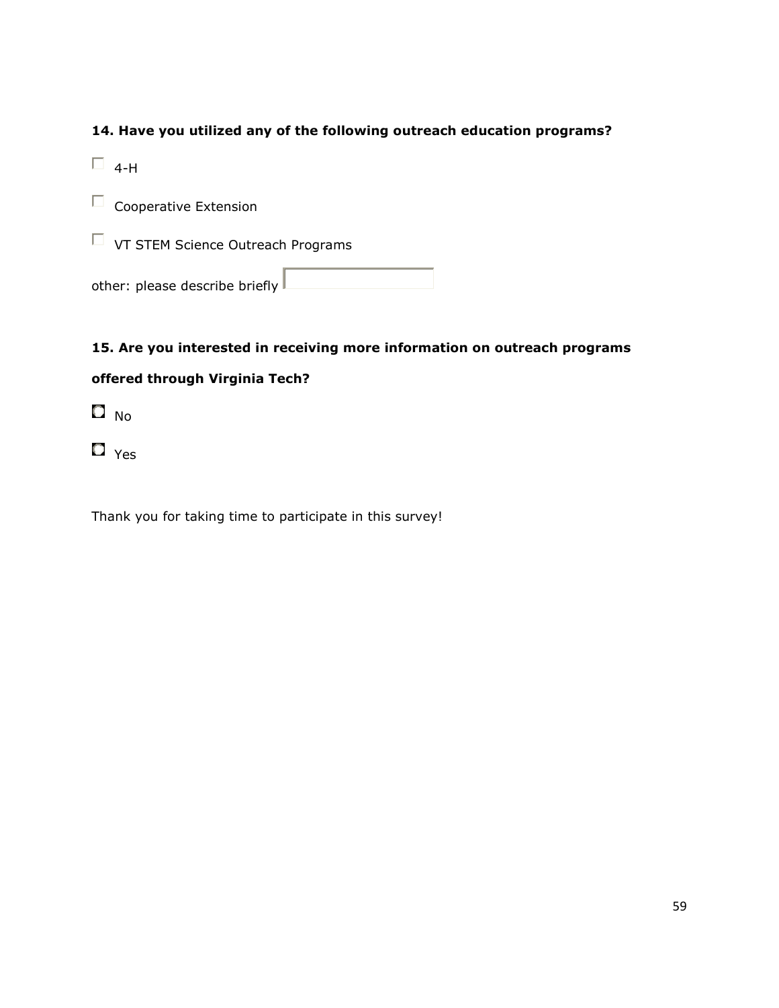# 14. Have you utilized any of the following outreach education programs?

 $\Box$  4-H

 $\square$  Cooperative Extension

 $\Box$  VT STEM Science Outreach Programs

other: please describe briefly

# 15. Are you interested in receiving more information on outreach programs

# offered through Virginia Tech?

 $\Box$  No

 $\Box$  Yes

Thank you for taking time to participate in this survey!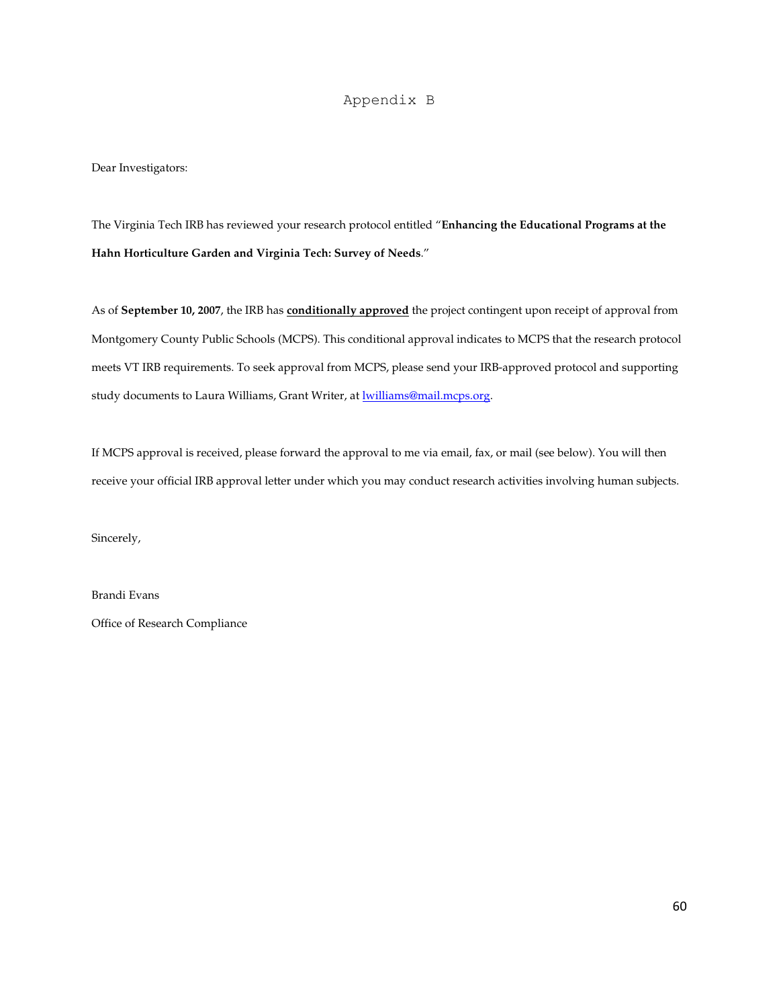### Appendix B

Dear Investigators:

The Virginia Tech IRB has reviewed your research protocol entitled "**Enhancing the Educational Programs at the Hahn Horticulture Garden and Virginia Tech: Survey of Needs**."

As of **September 10, 2007**, the IRB has **conditionally approved** the project contingent upon receipt of approval from Montgomery County Public Schools (MCPS). This conditional approval indicates to MCPS that the research protocol meets VT IRB requirements. To seek approval from MCPS, please send your IRB-approved protocol and supporting study documents to Laura Williams, Grant Writer, at **lwilliams@mail.mcps.org**.

If MCPS approval is received, please forward the approval to me via email, fax, or mail (see below). You will then receive your official IRB approval letter under which you may conduct research activities involving human subjects.

Sincerely,

Brandi Evans

Office of Research Compliance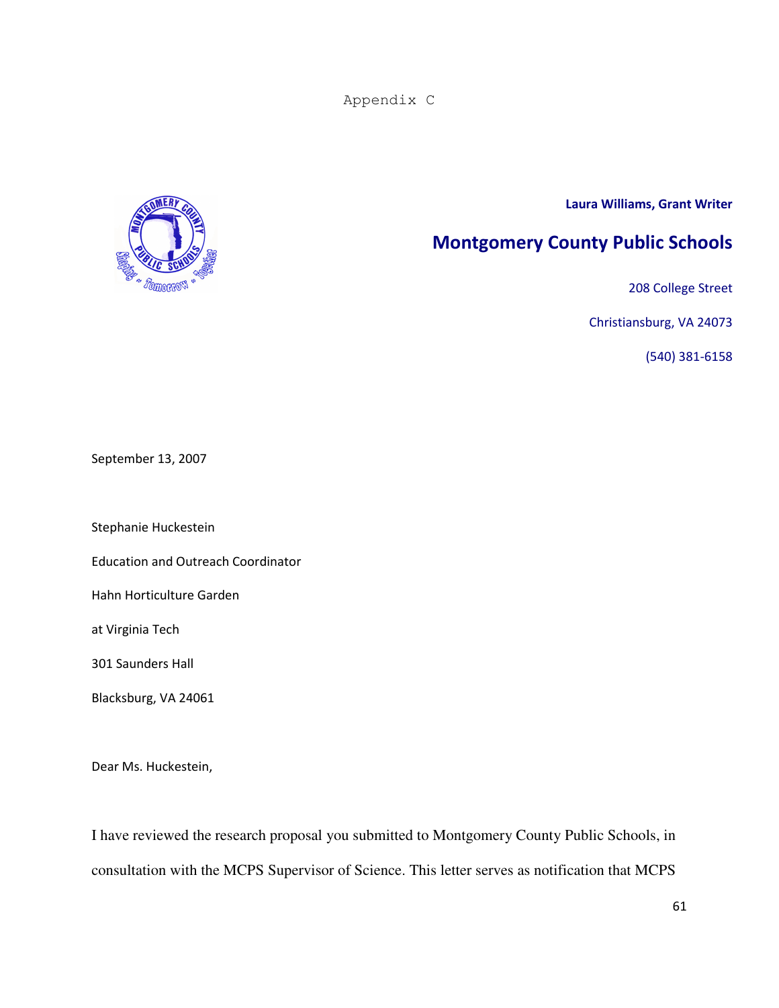Appendix C



### Laura Williams, Grant Writer

# Montgomery County Public Schools

208 College Street

Christiansburg, VA 24073

(540) 381-6158

September 13, 2007

Stephanie Huckestein

Education and Outreach Coordinator

Hahn Horticulture Garden

at Virginia Tech

301 Saunders Hall

Blacksburg, VA 24061

Dear Ms. Huckestein,

I have reviewed the research proposal you submitted to Montgomery County Public Schools, in consultation with the MCPS Supervisor of Science. This letter serves as notification that MCPS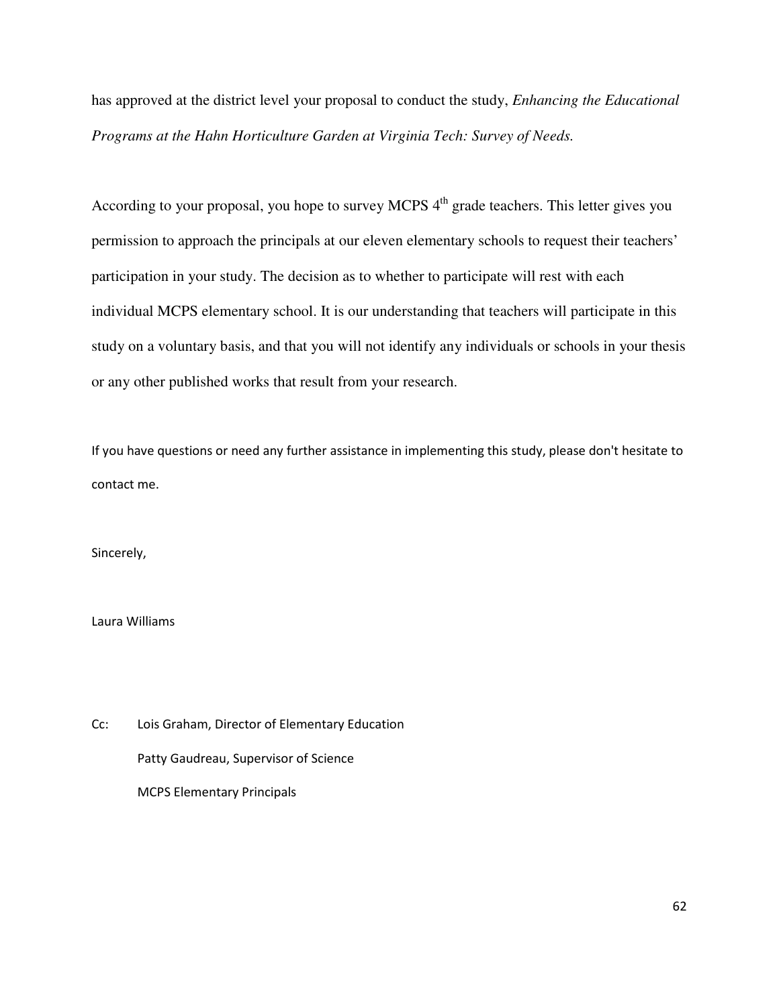has approved at the district level your proposal to conduct the study, *Enhancing the Educational Programs at the Hahn Horticulture Garden at Virginia Tech: Survey of Needs.* 

According to your proposal, you hope to survey MCPS  $4<sup>th</sup>$  grade teachers. This letter gives you permission to approach the principals at our eleven elementary schools to request their teachers' participation in your study. The decision as to whether to participate will rest with each individual MCPS elementary school. It is our understanding that teachers will participate in this study on a voluntary basis, and that you will not identify any individuals or schools in your thesis or any other published works that result from your research.

If you have questions or need any further assistance in implementing this study, please don't hesitate to contact me.

Sincerely,

Laura Williams

Cc: Lois Graham, Director of Elementary Education Patty Gaudreau, Supervisor of Science MCPS Elementary Principals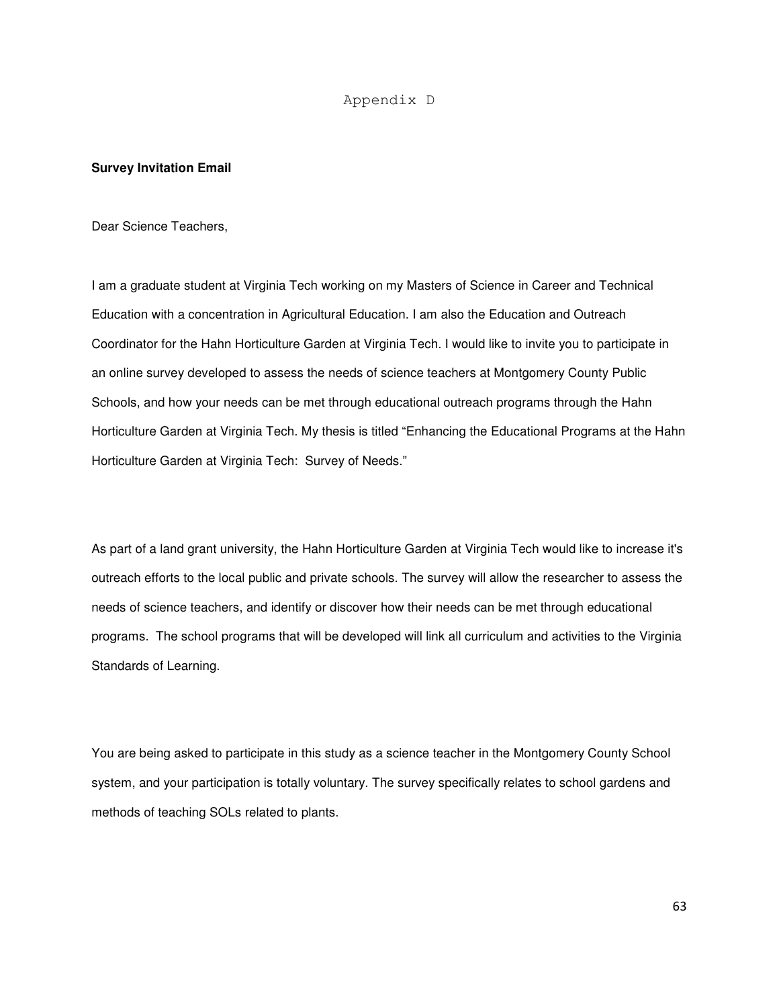### Appendix D

### **Survey Invitation Email**

Dear Science Teachers,

I am a graduate student at Virginia Tech working on my Masters of Science in Career and Technical Education with a concentration in Agricultural Education. I am also the Education and Outreach Coordinator for the Hahn Horticulture Garden at Virginia Tech. I would like to invite you to participate in an online survey developed to assess the needs of science teachers at Montgomery County Public Schools, and how your needs can be met through educational outreach programs through the Hahn Horticulture Garden at Virginia Tech. My thesis is titled "Enhancing the Educational Programs at the Hahn Horticulture Garden at Virginia Tech: Survey of Needs."

As part of a land grant university, the Hahn Horticulture Garden at Virginia Tech would like to increase it's outreach efforts to the local public and private schools. The survey will allow the researcher to assess the needs of science teachers, and identify or discover how their needs can be met through educational programs. The school programs that will be developed will link all curriculum and activities to the Virginia Standards of Learning.

You are being asked to participate in this study as a science teacher in the Montgomery County School system, and your participation is totally voluntary. The survey specifically relates to school gardens and methods of teaching SOLs related to plants.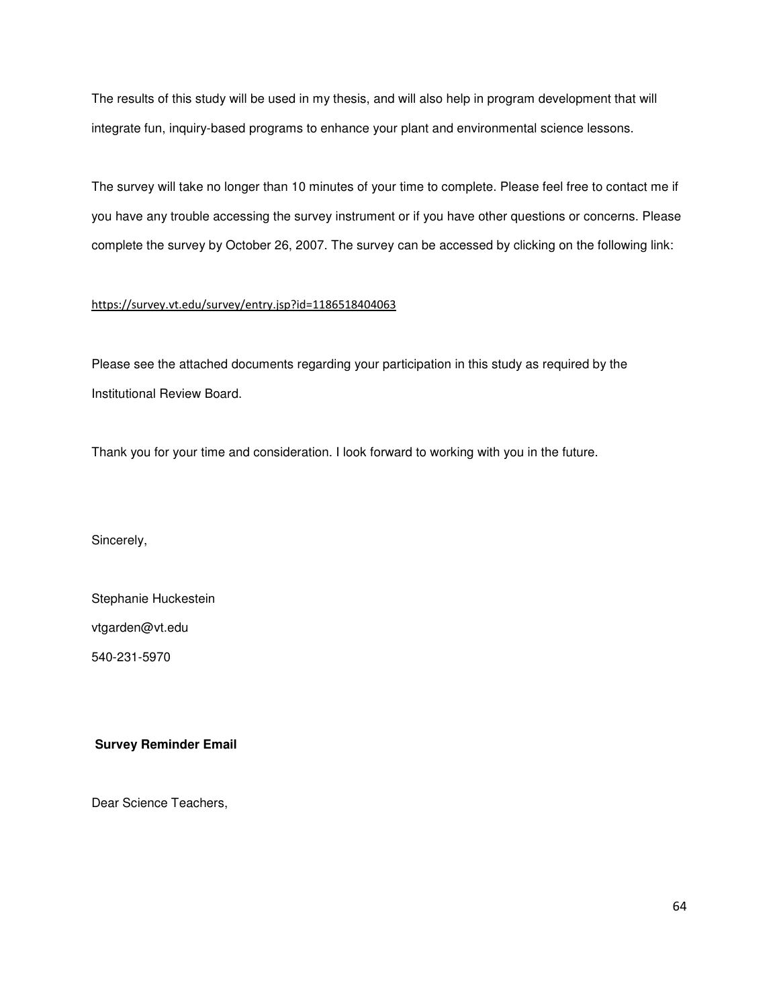The results of this study will be used in my thesis, and will also help in program development that will integrate fun, inquiry-based programs to enhance your plant and environmental science lessons.

The survey will take no longer than 10 minutes of your time to complete. Please feel free to contact me if you have any trouble accessing the survey instrument or if you have other questions or concerns. Please complete the survey by October 26, 2007. The survey can be accessed by clicking on the following link:

### https://survey.vt.edu/survey/entry.jsp?id=1186518404063

Please see the attached documents regarding your participation in this study as required by the Institutional Review Board.

Thank you for your time and consideration. I look forward to working with you in the future.

Sincerely,

Stephanie Huckestein

vtgarden@vt.edu

540-231-5970

### **Survey Reminder Email**

Dear Science Teachers,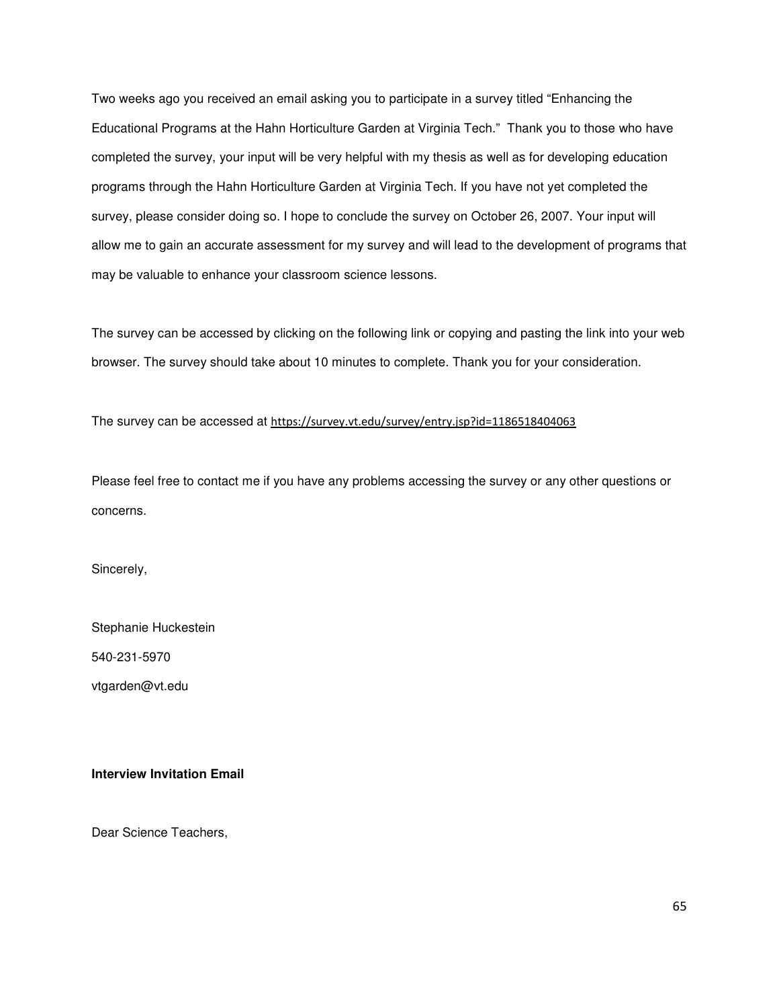Two weeks ago you received an email asking you to participate in a survey titled "Enhancing the Educational Programs at the Hahn Horticulture Garden at Virginia Tech." Thank you to those who have completed the survey, your input will be very helpful with my thesis as well as for developing education programs through the Hahn Horticulture Garden at Virginia Tech. If you have not yet completed the survey, please consider doing so. I hope to conclude the survey on October 26, 2007. Your input will allow me to gain an accurate assessment for my survey and will lead to the development of programs that may be valuable to enhance your classroom science lessons.

The survey can be accessed by clicking on the following link or copying and pasting the link into your web browser. The survey should take about 10 minutes to complete. Thank you for your consideration.

The survey can be accessed at https://survey.vt.edu/survey/entry.jsp?id=1186518404063

Please feel free to contact me if you have any problems accessing the survey or any other questions or concerns.

Sincerely,

Stephanie Huckestein

540-231-5970

vtgarden@vt.edu

#### **Interview Invitation Email**

Dear Science Teachers,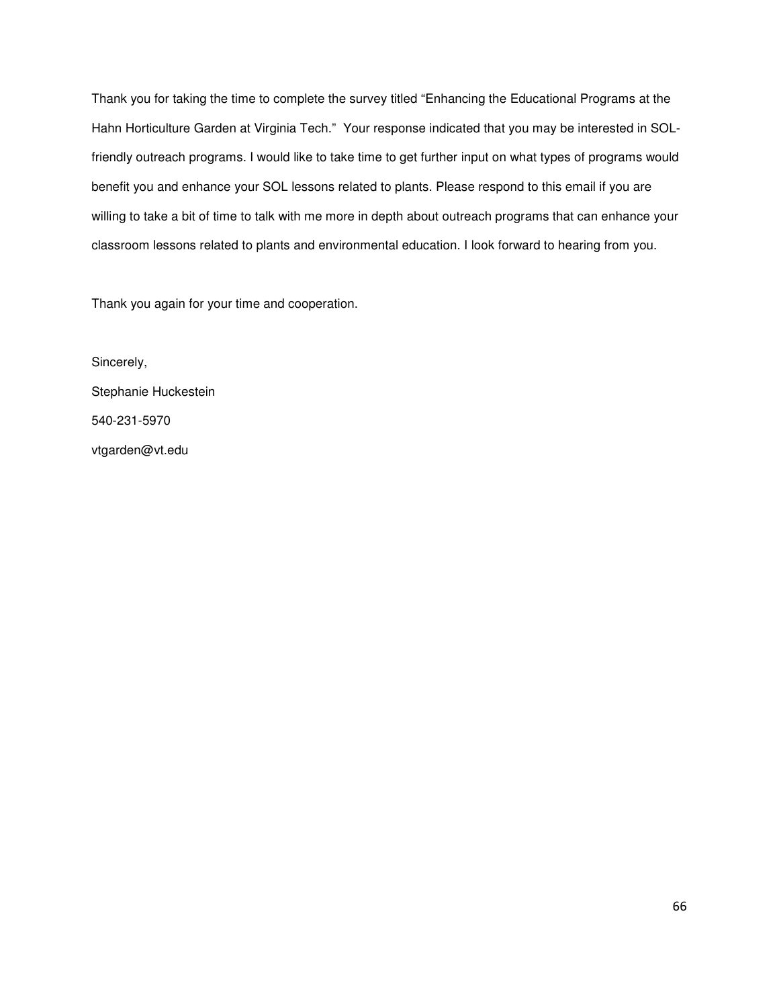Thank you for taking the time to complete the survey titled "Enhancing the Educational Programs at the Hahn Horticulture Garden at Virginia Tech." Your response indicated that you may be interested in SOLfriendly outreach programs. I would like to take time to get further input on what types of programs would benefit you and enhance your SOL lessons related to plants. Please respond to this email if you are willing to take a bit of time to talk with me more in depth about outreach programs that can enhance your classroom lessons related to plants and environmental education. I look forward to hearing from you.

Thank you again for your time and cooperation.

Sincerely, Stephanie Huckestein 540-231-5970 vtgarden@vt.edu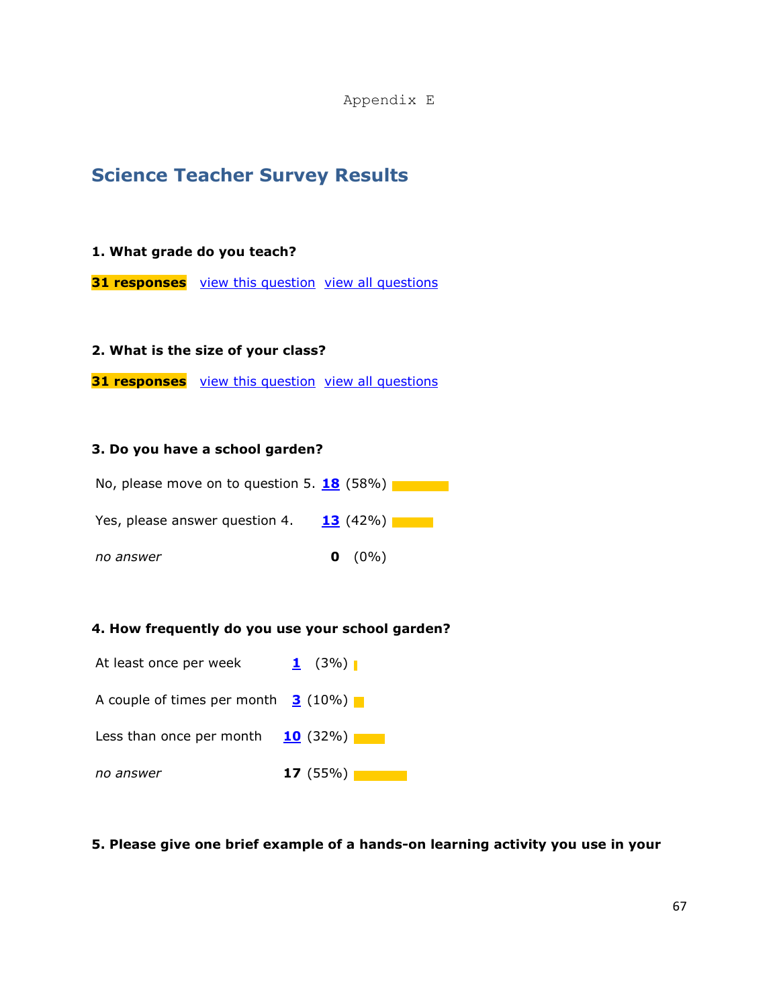Appendix E

# Science Teacher Survey Results

## 1. What grade do you teach?

31 responses view this question view all questions

### 2. What is the size of your class?

**31 responses** view this question view all questions

### 3. Do you have a school garden?



## 4. How frequently do you use your school garden?



### 5. Please give one brief example of a hands-on learning activity you use in your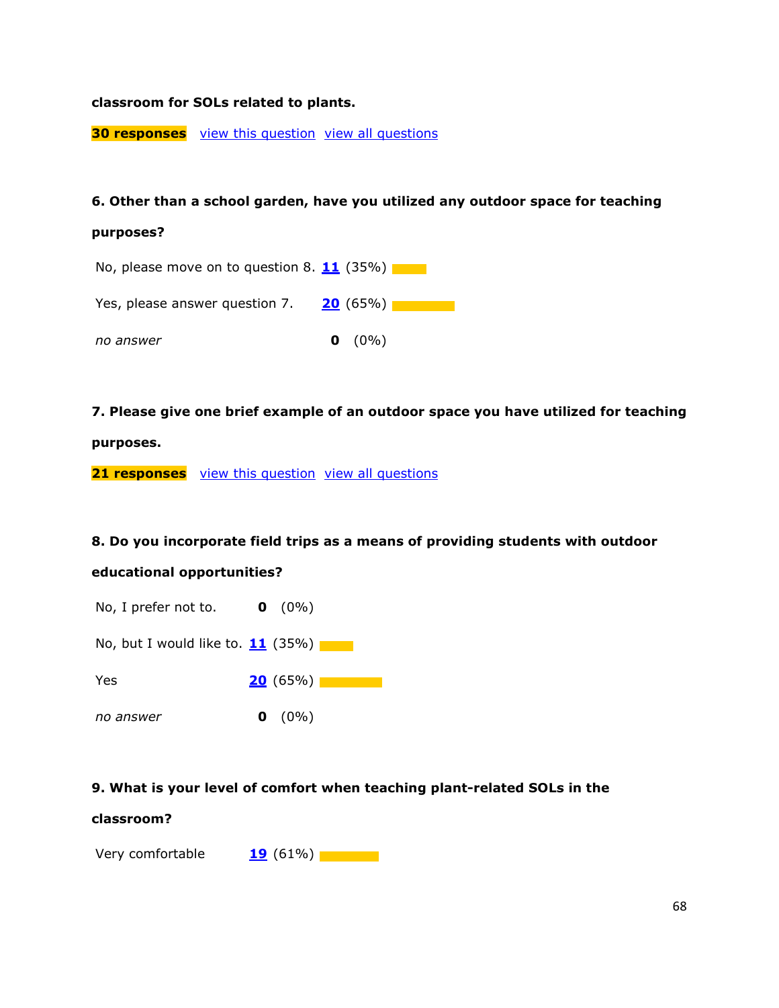## classroom for SOLs related to plants.

**30 responses** view this question view all questions

#### 6. Other than a school garden, have you utilized any outdoor space for teaching

#### purposes?



7. Please give one brief example of an outdoor space you have utilized for teaching

#### purposes.

**21 responses** view this question view all questions

### 8. Do you incorporate field trips as a means of providing students with outdoor

#### educational opportunities?

- No, I prefer not to.  $\bullet$  (0%)
- No, but I would like to.  $11$  (35%)
- Yes 20  $(65\%)$
- no answer  $\qquad \qquad \bullet$  (0%)

### 9. What is your level of comfort when teaching plant-related SOLs in the

#### classroom?

Very comfortable  $19 (61\%)$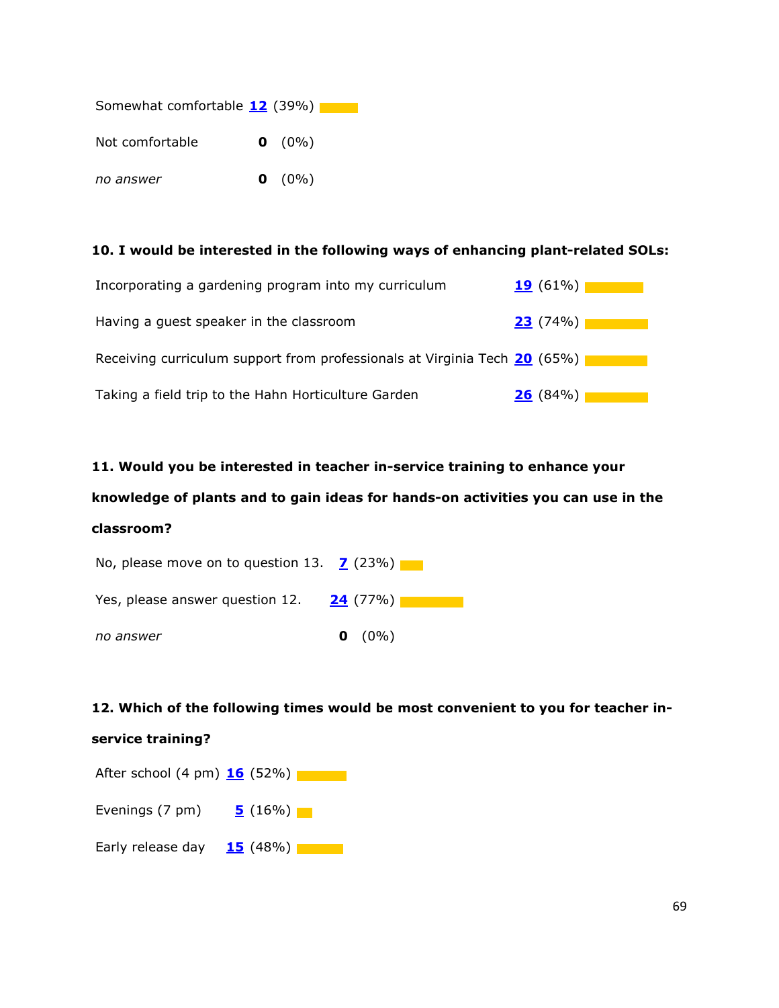| Somewhat comfortable 12 (39%) |           |
|-------------------------------|-----------|
| Not comfortable               | $0 (0\%)$ |
| no answer                     | $0 (0\%)$ |

## 10. I would be interested in the following ways of enhancing plant-related SOLs:

| Incorporating a gardening program into my curriculum                      | 19(61%) |
|---------------------------------------------------------------------------|---------|
| Having a guest speaker in the classroom                                   | 23(74%) |
| Receiving curriculum support from professionals at Virginia Tech 20 (65%) |         |
| Taking a field trip to the Hahn Horticulture Garden                       | 26(84%) |

## 11. Would you be interested in teacher in-service training to enhance your

# knowledge of plants and to gain ideas for hands-on activities you can use in the classroom?

| No, please move on to question 13. <b>7</b> (23%) |                   |
|---------------------------------------------------|-------------------|
| Yes, please answer question 12.                   | <u>24</u> (77%) । |
| no answer                                         | $0 (0\%)$         |

## 12. Which of the following times would be most convenient to you for teacher in-

## service training?

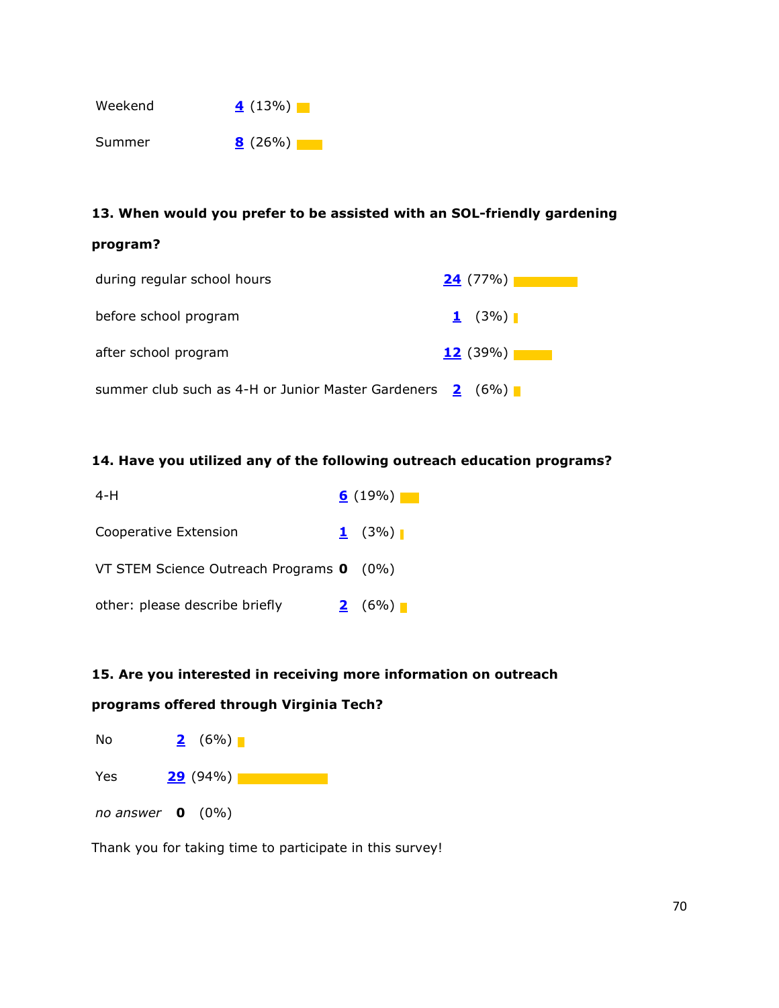

## 13. When would you prefer to be assisted with an SOL-friendly gardening

## program?

| during regular school hours                                           | 24(77%)         |
|-----------------------------------------------------------------------|-----------------|
| before school program                                                 | $1 \quad (3\%)$ |
| after school program                                                  | 12(39%)         |
| summer club such as 4-H or Junior Master Gardeners $\frac{2}{5}$ (6%) |                 |

## 14. Have you utilized any of the following outreach education programs?

| 4-H                                      | $6(19\%)$   |
|------------------------------------------|-------------|
| Cooperative Extension                    | $1 \t(3\%)$ |
| VT STEM Science Outreach Programs 0 (0%) |             |
| other: please describe briefly           | 2(6%)       |

### 15. Are you interested in receiving more information on outreach

## programs offered through Virginia Tech?



Thank you for taking time to participate in this survey!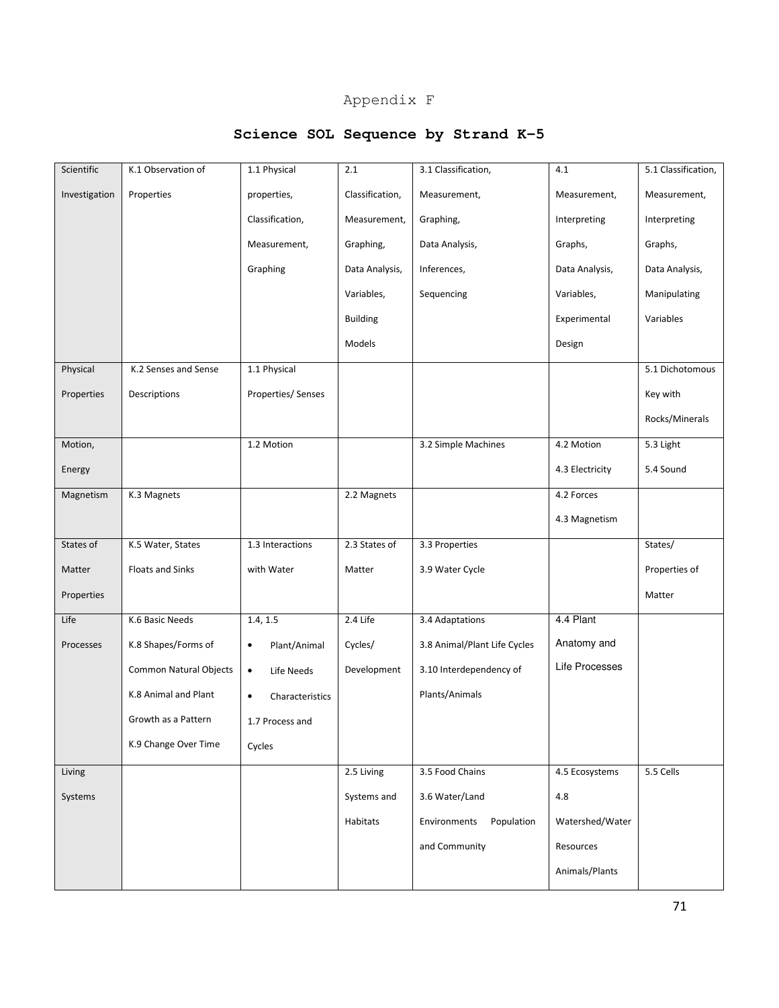## Appendix F

## **Science SOL Sequence by Strand K-5**

| Scientific    | K.1 Observation of      | 1.1 Physical                 | 2.1             | 3.1 Classification,          | 4.1             | 5.1 Classification, |
|---------------|-------------------------|------------------------------|-----------------|------------------------------|-----------------|---------------------|
| Investigation | Properties              | properties,                  | Classification, | Measurement,                 | Measurement,    | Measurement,        |
|               |                         | Classification,              | Measurement,    | Graphing,                    | Interpreting    | Interpreting        |
|               |                         | Measurement,                 | Graphing,       | Data Analysis,               | Graphs,         | Graphs,             |
|               |                         | Graphing                     | Data Analysis,  | Inferences,                  | Data Analysis,  | Data Analysis,      |
|               |                         |                              | Variables,      | Sequencing                   | Variables,      | Manipulating        |
|               |                         |                              | <b>Building</b> |                              | Experimental    | Variables           |
|               |                         |                              | Models          |                              | Design          |                     |
| Physical      | K.2 Senses and Sense    | 1.1 Physical                 |                 |                              |                 | 5.1 Dichotomous     |
| Properties    | Descriptions            | Properties/ Senses           |                 |                              |                 | Key with            |
|               |                         |                              |                 |                              |                 | Rocks/Minerals      |
| Motion,       |                         | 1.2 Motion                   |                 | 3.2 Simple Machines          | 4.2 Motion      | 5.3 Light           |
| Energy        |                         |                              |                 |                              | 4.3 Electricity | 5.4 Sound           |
| Magnetism     | K.3 Magnets             |                              | 2.2 Magnets     |                              | 4.2 Forces      |                     |
|               |                         |                              |                 |                              | 4.3 Magnetism   |                     |
| States of     | K.5 Water, States       | 1.3 Interactions             | 2.3 States of   | 3.3 Properties               |                 | States/             |
| Matter        | <b>Floats and Sinks</b> | with Water                   | Matter          | 3.9 Water Cycle              |                 | Properties of       |
| Properties    |                         |                              |                 |                              |                 | Matter              |
| Life          | K.6 Basic Needs         | 1.4, 1.5                     | 2.4 Life        | 3.4 Adaptations              | 4.4 Plant       |                     |
| Processes     | K.8 Shapes/Forms of     | Plant/Animal<br>$\bullet$    | Cycles/         | 3.8 Animal/Plant Life Cycles | Anatomy and     |                     |
|               | Common Natural Objects  | $\bullet$<br>Life Needs      | Development     | 3.10 Interdependency of      | Life Processes  |                     |
|               | K.8 Animal and Plant    | Characteristics<br>$\bullet$ |                 | Plants/Animals               |                 |                     |
|               | Growth as a Pattern     | 1.7 Process and              |                 |                              |                 |                     |
|               | K.9 Change Over Time    | Cycles                       |                 |                              |                 |                     |
| Living        |                         |                              | 2.5 Living      | 3.5 Food Chains              | 4.5 Ecosystems  | 5.5 Cells           |
| Systems       |                         |                              | Systems and     | 3.6 Water/Land               | 4.8             |                     |
|               |                         |                              | Habitats        | Environments<br>Population   | Watershed/Water |                     |
|               |                         |                              |                 | and Community                | Resources       |                     |
|               |                         |                              |                 |                              | Animals/Plants  |                     |